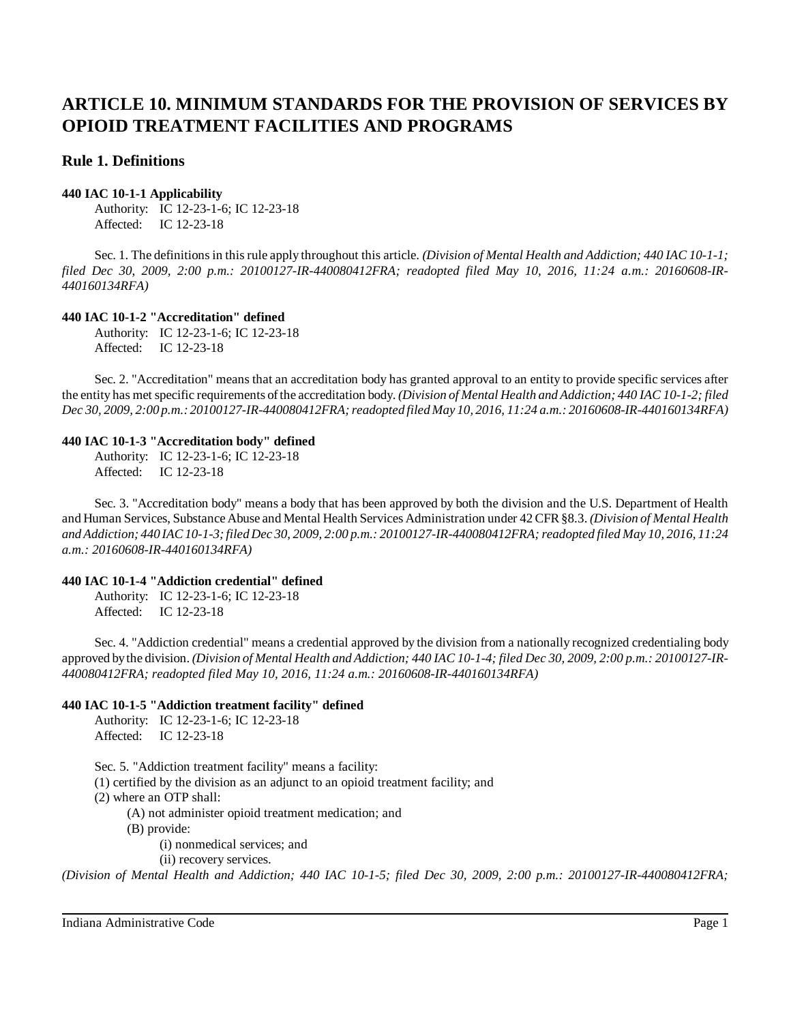# **Rule 1. Definitions**

#### **440 IAC 10-1-1 Applicability**

Authority: IC 12-23-1-6; IC 12-23-18 Affected: IC 12-23-18

Sec. 1. The definitionsin thisrule apply throughout this article. *(Division of Mental Health and Addiction; 440 IAC 10-1-1; filed Dec 30, 2009, 2:00 p.m.: 20100127-IR-440080412FRA; readopted filed May 10, 2016, 11:24 a.m.: 20160608-IR-440160134RFA)*

# **440 IAC 10-1-2 "Accreditation" defined**

Authority: IC 12-23-1-6; IC 12-23-18 Affected: IC 12-23-18

Sec. 2. "Accreditation" means that an accreditation body has granted approval to an entity to provide specific services after the entity has met specific requirements ofthe accreditation body. *(Division of Mental Health and Addiction; 440 IAC 10-1-2; filed Dec 30, 2009, 2:00 p.m.: 20100127-IR-440080412FRA;readopted filed May 10, 2016, 11:24 a.m.: 20160608-IR-440160134RFA)*

# **440 IAC 10-1-3 "Accreditation body" defined**

Authority: IC 12-23-1-6; IC 12-23-18 Affected: IC 12-23-18

Sec. 3. "Accreditation body" means a body that has been approved by both the division and the U.S. Department of Health and Human Services, Substance Abuse and Mental Health Services Administration under 42 CFR§8.3. *(Division of Mental Health andAddiction; 440 IAC10-1-3;filed Dec 30, 2009, 2:00 p.m.: 20100127-IR-440080412FRA;readopted filed May 10, 2016, 11:24 a.m.: 20160608-IR-440160134RFA)*

# **440 IAC 10-1-4 "Addiction credential" defined**

Authority: IC 12-23-1-6; IC 12-23-18 Affected: IC 12-23-18

Sec. 4. "Addiction credential" means a credential approved by the division from a nationally recognized credentialing body approved by the division. (Division of Mental Health and Addiction; 440 IAC 10-1-4; filed Dec 30, 2009, 2:00 p.m.: 20100127-IR-*440080412FRA; readopted filed May 10, 2016, 11:24 a.m.: 20160608-IR-440160134RFA)*

# **440 IAC 10-1-5 "Addiction treatment facility" defined**

Authority: IC 12-23-1-6; IC 12-23-18 Affected: IC 12-23-18

Sec. 5. "Addiction treatment facility" means a facility:

(1) certified by the division as an adjunct to an opioid treatment facility; and

(2) where an OTP shall:

(A) not administer opioid treatment medication; and

(B) provide:

(i) nonmedical services; and

(ii) recovery services.

(Division of Mental Health and Addiction; 440 IAC 10-1-5; filed Dec 30, 2009, 2:00 p.m.: 20100127-IR-440080412FRA;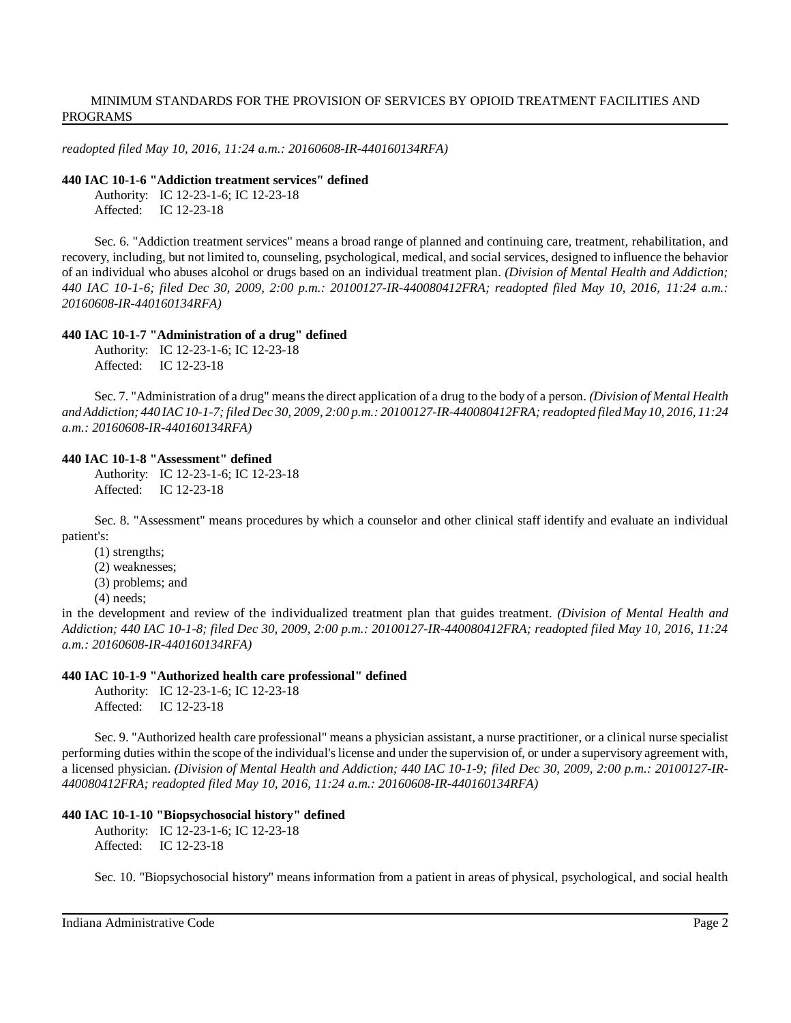*readopted filed May 10, 2016, 11:24 a.m.: 20160608-IR-440160134RFA)*

#### **440 IAC 10-1-6 "Addiction treatment services" defined**

Authority: IC 12-23-1-6; IC 12-23-18 Affected: IC 12-23-18

Sec. 6. "Addiction treatment services" means a broad range of planned and continuing care, treatment, rehabilitation, and recovery, including, but not limited to, counseling, psychological, medical, and social services, designed to influence the behavior of an individual who abuses alcohol or drugs based on an individual treatment plan. *(Division of Mental Health and Addiction; 440 IAC 10-1-6; filed Dec 30, 2009, 2:00 p.m.: 20100127-IR-440080412FRA; readopted filed May 10, 2016, 11:24 a.m.: 20160608-IR-440160134RFA)*

# **440 IAC 10-1-7 "Administration of a drug" defined**

Authority: IC 12-23-1-6; IC 12-23-18 Affected: IC 12-23-18

Sec. 7. "Administration of a drug" meansthe direct application of a drug to the body of a person. *(Division of Mental Health* and Addiction; 440 IAC 10-1-7; filed Dec 30, 2009, 2:00 p.m.: 20100127-IR-440080412FRA; readopted filed May 10, 2016, 11:24 *a.m.: 20160608-IR-440160134RFA)*

# **440 IAC 10-1-8 "Assessment" defined**

Authority: IC 12-23-1-6; IC 12-23-18 Affected: IC 12-23-18

Sec. 8. "Assessment" means procedures by which a counselor and other clinical staff identify and evaluate an individual patient's:

(1) strengths;

(2) weaknesses;

(3) problems; and

(4) needs;

in the development and review of the individualized treatment plan that guides treatment. *(Division of Mental Health and Addiction; 440 IAC 10-1-8; filed Dec 30, 2009, 2:00 p.m.: 20100127-IR-440080412FRA; readopted filed May 10, 2016, 11:24 a.m.: 20160608-IR-440160134RFA)*

# **440 IAC 10-1-9 "Authorized health care professional" defined**

Authority: IC 12-23-1-6; IC 12-23-18 Affected: IC 12-23-18

Sec. 9. "Authorized health care professional" means a physician assistant, a nurse practitioner, or a clinical nurse specialist performing duties within the scope of the individual'slicense and under the supervision of, or under a supervisory agreement with, a licensed physician. *(Division of Mental Health and Addiction; 440 IAC 10-1-9; filed Dec 30, 2009, 2:00 p.m.: 20100127-IR-440080412FRA; readopted filed May 10, 2016, 11:24 a.m.: 20160608-IR-440160134RFA)*

# **440 IAC 10-1-10 "Biopsychosocial history" defined**

Authority: IC 12-23-1-6; IC 12-23-18 Affected: IC 12-23-18

Sec. 10. "Biopsychosocial history" means information from a patient in areas of physical, psychological, and social health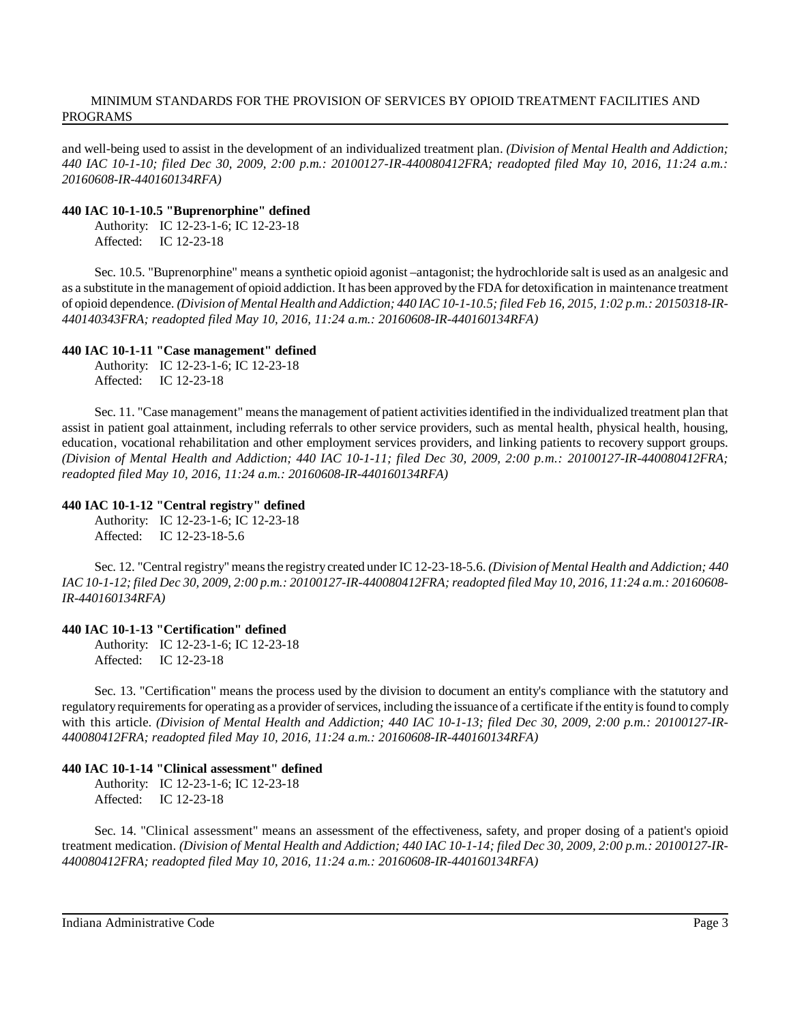and well-being used to assist in the development of an individualized treatment plan. *(Division of Mental Health and Addiction; 440 IAC 10-1-10; filed Dec 30, 2009, 2:00 p.m.: 20100127-IR-440080412FRA; readopted filed May 10, 2016, 11:24 a.m.: 20160608-IR-440160134RFA)*

#### **440 IAC 10-1-10.5 "Buprenorphine" defined**

Authority: IC 12-23-1-6; IC 12-23-18 Affected: IC 12-23-18

Sec. 10.5. "Buprenorphine" means a synthetic opioid agonist –antagonist; the hydrochloride salt is used as an analgesic and as a substitute in themanagement of opioid addiction. It has been approved bythe FDA for detoxification in maintenance treatment of opioid dependence. (Division of Mental Health and Addiction; 440 IAC 10-1-10.5; filed Feb 16, 2015, 1:02 p.m.: 20150318-IR-*440140343FRA; readopted filed May 10, 2016, 11:24 a.m.: 20160608-IR-440160134RFA)*

#### **440 IAC 10-1-11 "Case management" defined**

Authority: IC 12-23-1-6; IC 12-23-18 Affected: IC 12-23-18

Sec. 11. "Case management" meansthe management of patient activitiesidentified in the individualized treatment plan that assist in patient goal attainment, including referrals to other service providers, such as mental health, physical health, housing, education, vocational rehabilitation and other employment services providers, and linking patients to recovery support groups. *(Division of Mental Health and Addiction; 440 IAC 10-1-11; filed Dec 30, 2009, 2:00 p.m.: 20100127-IR-440080412FRA; readopted filed May 10, 2016, 11:24 a.m.: 20160608-IR-440160134RFA)*

#### **440 IAC 10-1-12 "Central registry" defined**

Authority: IC 12-23-1-6; IC 12-23-18 Affected: IC 12-23-18-5.6

Sec. 12. "Central registry" meansthe registrycreated under IC 12-23-18-5.6. *(Division of Mental Health and Addiction; 440* IAC 10-1-12; filed Dec 30, 2009, 2:00 p.m.: 20100127-IR-440080412FRA; readopted filed May 10, 2016, 11:24 a.m.: 20160608-*IR-440160134RFA)*

#### **440 IAC 10-1-13 "Certification" defined**

Authority: IC 12-23-1-6; IC 12-23-18 Affected: IC 12-23-18

Sec. 13. "Certification" means the process used by the division to document an entity's compliance with the statutory and regulatory requirements for operating as a provider of services, including the issuance of a certificate if the entity is found to comply with this article. (Division of Mental Health and Addiction; 440 IAC 10-1-13; filed Dec 30, 2009, 2:00 p.m.: 20100127-IR-*440080412FRA; readopted filed May 10, 2016, 11:24 a.m.: 20160608-IR-440160134RFA)*

### **440 IAC 10-1-14 "Clinical assessment" defined**

Authority: IC 12-23-1-6; IC 12-23-18 Affected: IC 12-23-18

Sec. 14. "Clinical assessment" means an assessment of the effectiveness, safety, and proper dosing of a patient's opioid treatment medication. (Division of Mental Health and Addiction; 440 IAC 10-1-14; filed Dec 30, 2009, 2:00 p.m.: 20100127-IR-*440080412FRA; readopted filed May 10, 2016, 11:24 a.m.: 20160608-IR-440160134RFA)*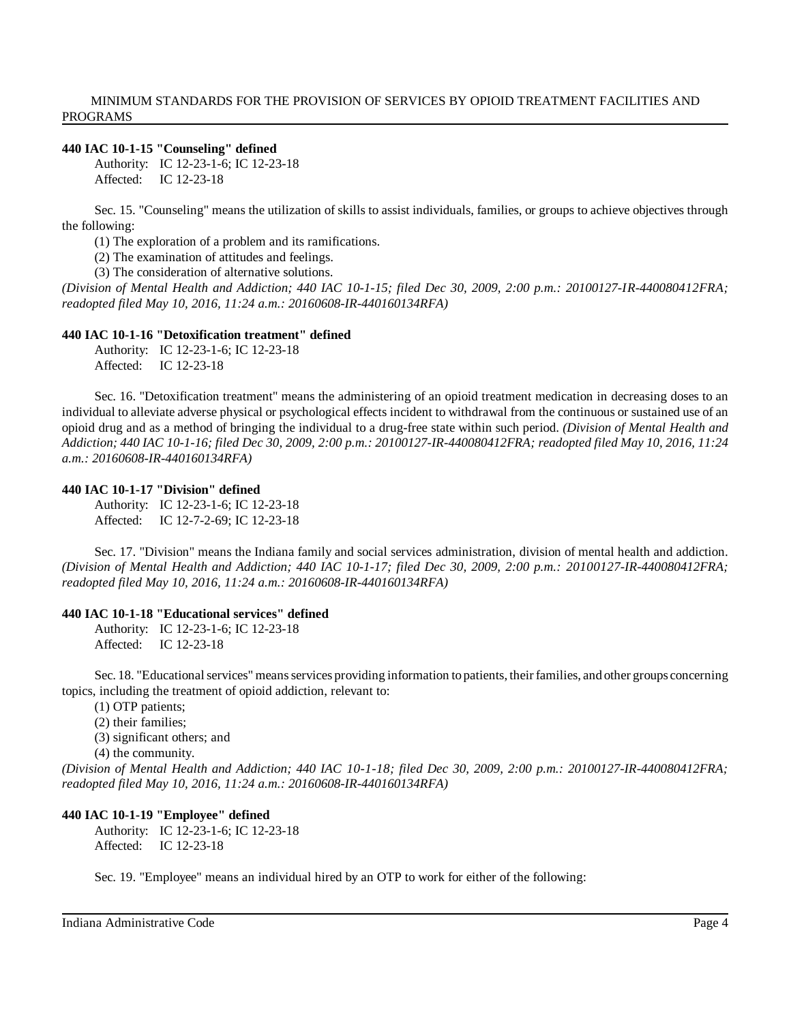#### **440 IAC 10-1-15 "Counseling" defined**

Authority: IC 12-23-1-6; IC 12-23-18 Affected: IC 12-23-18

Sec. 15. "Counseling" means the utilization of skills to assist individuals, families, or groups to achieve objectives through the following:

(1) The exploration of a problem and its ramifications.

(2) The examination of attitudes and feelings.

(3) The consideration of alternative solutions.

*(Division of Mental Health and Addiction; 440 IAC 10-1-15; filed Dec 30, 2009, 2:00 p.m.: 20100127-IR-440080412FRA; readopted filed May 10, 2016, 11:24 a.m.: 20160608-IR-440160134RFA)*

#### **440 IAC 10-1-16 "Detoxification treatment" defined**

Authority: IC 12-23-1-6; IC 12-23-18 Affected: IC 12-23-18

Sec. 16. "Detoxification treatment" means the administering of an opioid treatment medication in decreasing doses to an individual to alleviate adverse physical or psychological effects incident to withdrawal from the continuous or sustained use of an opioid drug and as a method of bringing the individual to a drug-free state within such period. *(Division of Mental Health and* Addiction; 440 IAC 10-1-16; filed Dec 30, 2009, 2:00 p.m.: 20100127-IR-440080412FRA; readopted filed May 10, 2016, 11:24 *a.m.: 20160608-IR-440160134RFA)*

#### **440 IAC 10-1-17 "Division" defined**

Authority: IC 12-23-1-6; IC 12-23-18 Affected: IC 12-7-2-69; IC 12-23-18

Sec. 17. "Division" means the Indiana family and social services administration, division of mental health and addiction. *(Division of Mental Health and Addiction; 440 IAC 10-1-17; filed Dec 30, 2009, 2:00 p.m.: 20100127-IR-440080412FRA; readopted filed May 10, 2016, 11:24 a.m.: 20160608-IR-440160134RFA)*

#### **440 IAC 10-1-18 "Educational services" defined**

Authority: IC 12-23-1-6; IC 12-23-18 Affected: IC 12-23-18

Sec. 18. "Educational services" means services providing information to patients, their families, and other groups concerning topics, including the treatment of opioid addiction, relevant to:

(1) OTP patients;

(2) their families;

(3) significant others; and

(4) the community.

*(Division of Mental Health and Addiction; 440 IAC 10-1-18; filed Dec 30, 2009, 2:00 p.m.: 20100127-IR-440080412FRA; readopted filed May 10, 2016, 11:24 a.m.: 20160608-IR-440160134RFA)*

#### **440 IAC 10-1-19 "Employee" defined**

Authority: IC 12-23-1-6; IC 12-23-18 Affected: IC 12-23-18

Sec. 19. "Employee" means an individual hired by an OTP to work for either of the following: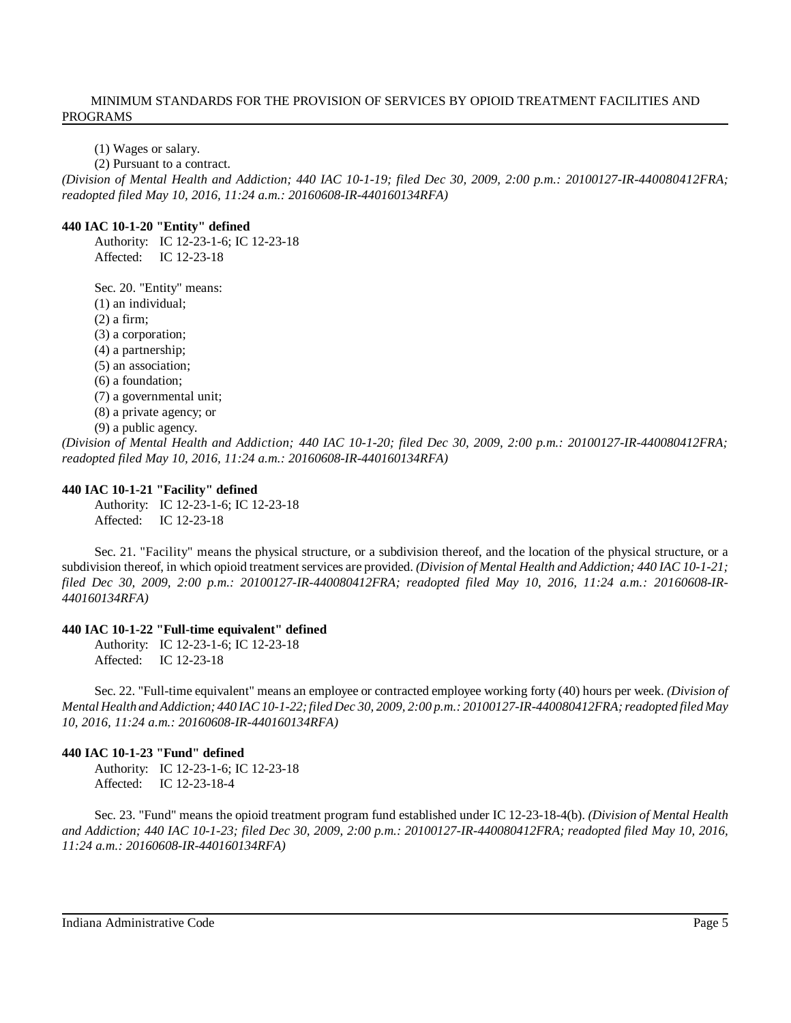(1) Wages or salary.

(2) Pursuant to a contract.

(Division of Mental Health and Addiction; 440 IAC 10-1-19; filed Dec 30, 2009, 2:00 p.m.: 20100127-IR-440080412FRA; *readopted filed May 10, 2016, 11:24 a.m.: 20160608-IR-440160134RFA)*

### **440 IAC 10-1-20 "Entity" defined**

Authority: IC 12-23-1-6; IC 12-23-18 Affected: IC 12-23-18

Sec. 20. "Entity" means:

(1) an individual;

(2) a firm;

(3) a corporation;

(4) a partnership;

(5) an association;

(6) a foundation;

(7) a governmental unit;

(8) a private agency; or

(9) a public agency.

*(Division of Mental Health and Addiction; 440 IAC 10-1-20; filed Dec 30, 2009, 2:00 p.m.: 20100127-IR-440080412FRA; readopted filed May 10, 2016, 11:24 a.m.: 20160608-IR-440160134RFA)*

#### **440 IAC 10-1-21 "Facility" defined**

Authority: IC 12-23-1-6; IC 12-23-18 Affected: IC 12-23-18

Sec. 21. "Facility" means the physical structure, or a subdivision thereof, and the location of the physical structure, or a subdivision thereof, in which opioid treatment services are provided. *(Division of Mental Health and Addiction; 440 IAC 10-1-21; filed Dec 30, 2009, 2:00 p.m.: 20100127-IR-440080412FRA; readopted filed May 10, 2016, 11:24 a.m.: 20160608-IR-440160134RFA)*

# **440 IAC 10-1-22 "Full-time equivalent" defined**

Authority: IC 12-23-1-6; IC 12-23-18 Affected: IC 12-23-18

Sec. 22. "Full-time equivalent" means an employee or contracted employee working forty (40) hours per week. *(Division of Mental Health andAddiction; 440 IAC10-1-22;filed Dec 30, 2009, 2:00 p.m.: 20100127-IR-440080412FRA;readopted filed May 10, 2016, 11:24 a.m.: 20160608-IR-440160134RFA)*

# **440 IAC 10-1-23 "Fund" defined**

Authority: IC 12-23-1-6; IC 12-23-18 Affected: IC 12-23-18-4

Sec. 23. "Fund" means the opioid treatment program fund established under IC 12-23-18-4(b). *(Division of Mental Health and Addiction; 440 IAC 10-1-23; filed Dec 30, 2009, 2:00 p.m.: 20100127-IR-440080412FRA; readopted filed May 10, 2016, 11:24 a.m.: 20160608-IR-440160134RFA)*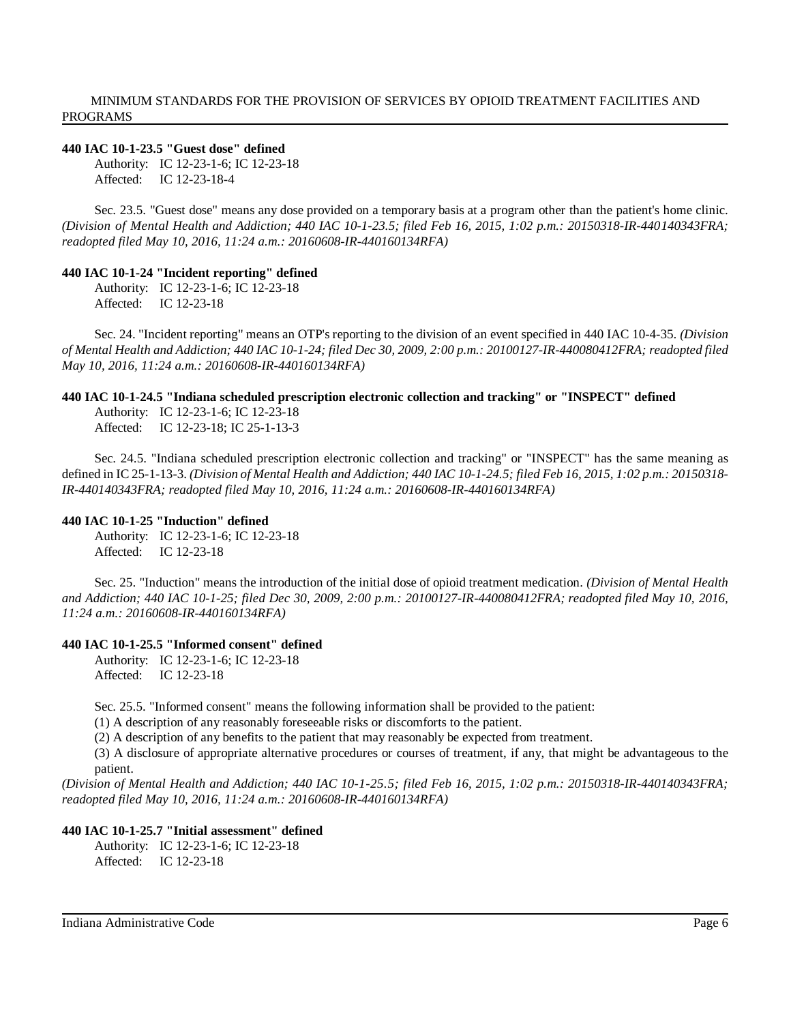# **440 IAC 10-1-23.5 "Guest dose" defined**

Authority: IC 12-23-1-6; IC 12-23-18 Affected: IC 12-23-18-4

Sec. 23.5. "Guest dose" means any dose provided on a temporary basis at a program other than the patient's home clinic. *(Division of Mental Health and Addiction; 440 IAC 10-1-23.5; filed Feb 16, 2015, 1:02 p.m.: 20150318-IR-440140343FRA; readopted filed May 10, 2016, 11:24 a.m.: 20160608-IR-440160134RFA)*

#### **440 IAC 10-1-24 "Incident reporting" defined**

Authority: IC 12-23-1-6; IC 12-23-18 Affected: IC 12-23-18

Sec. 24. "Incident reporting" means an OTP's reporting to the division of an event specified in 440 IAC 10-4-35. *(Division* of Mental Health and Addiction; 440 IAC 10-1-24; filed Dec 30, 2009, 2:00 p.m.: 20100127-IR-440080412FRA; readopted filed *May 10, 2016, 11:24 a.m.: 20160608-IR-440160134RFA)*

### **440 IAC 10-1-24.5 "Indiana scheduled prescription electronic collection and tracking" or "INSPECT" defined**

Authority: IC 12-23-1-6; IC 12-23-18 Affected: IC 12-23-18; IC 25-1-13-3

Sec. 24.5. "Indiana scheduled prescription electronic collection and tracking" or "INSPECT" has the same meaning as defined in IC 25-1-13-3. (Division of Mental Health and Addiction; 440 IAC 10-1-24.5; filed Feb 16, 2015, 1:02 p.m.: 20150318-*IR-440140343FRA; readopted filed May 10, 2016, 11:24 a.m.: 20160608-IR-440160134RFA)*

#### **440 IAC 10-1-25 "Induction" defined**

Authority: IC 12-23-1-6; IC 12-23-18 Affected: IC 12-23-18

Sec. 25. "Induction" means the introduction of the initial dose of opioid treatment medication. *(Division of Mental Health and Addiction; 440 IAC 10-1-25; filed Dec 30, 2009, 2:00 p.m.: 20100127-IR-440080412FRA; readopted filed May 10, 2016, 11:24 a.m.: 20160608-IR-440160134RFA)*

#### **440 IAC 10-1-25.5 "Informed consent" defined**

Authority: IC 12-23-1-6; IC 12-23-18 Affected: IC 12-23-18

Sec. 25.5. "Informed consent" means the following information shall be provided to the patient:

(1) A description of any reasonably foreseeable risks or discomforts to the patient.

(2) A description of any benefits to the patient that may reasonably be expected from treatment.

(3) A disclosure of appropriate alternative procedures or courses of treatment, if any, that might be advantageous to the patient.

*(Division of Mental Health and Addiction; 440 IAC 10-1-25.5; filed Feb 16, 2015, 1:02 p.m.: 20150318-IR-440140343FRA; readopted filed May 10, 2016, 11:24 a.m.: 20160608-IR-440160134RFA)*

#### **440 IAC 10-1-25.7 "Initial assessment" defined**

Authority: IC 12-23-1-6; IC 12-23-18 Affected: IC 12-23-18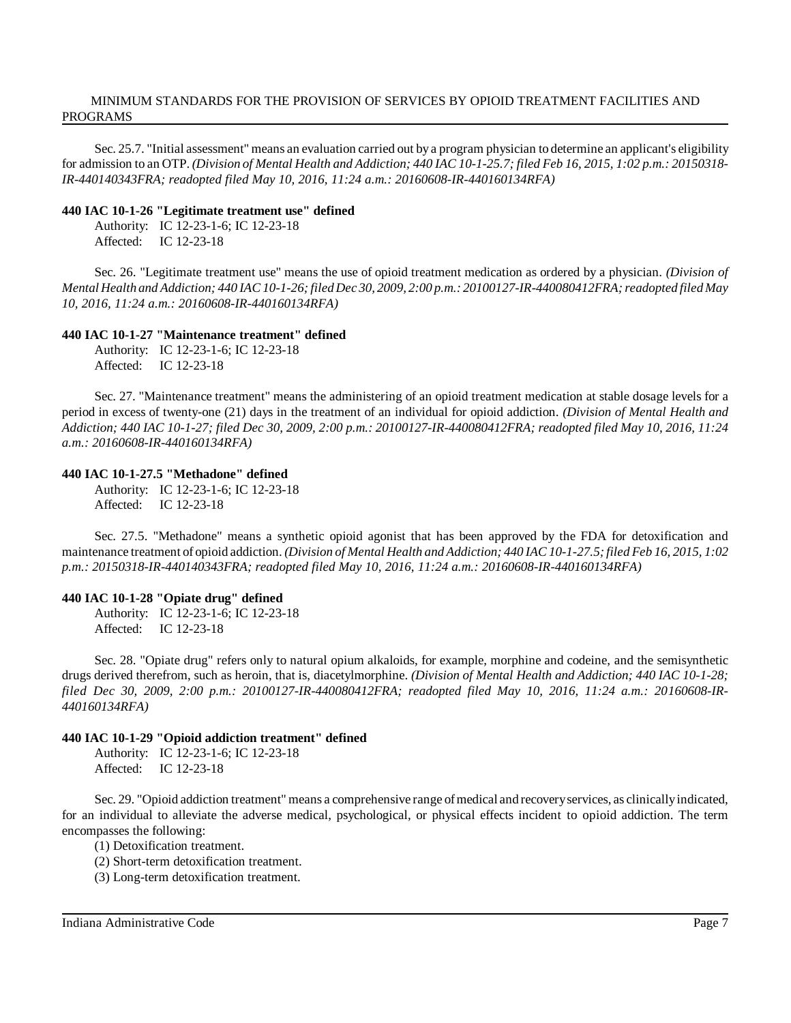Sec. 25.7. "Initial assessment" means an evaluation carried out by a program physician to determine an applicant's eligibility for admission to an OTP. (Division of Mental Health and Addiction; 440 IAC 10-1-25.7; filed Feb 16, 2015, 1:02 p.m.: 20150318-*IR-440140343FRA; readopted filed May 10, 2016, 11:24 a.m.: 20160608-IR-440160134RFA)*

#### **440 IAC 10-1-26 "Legitimate treatment use" defined**

Authority: IC 12-23-1-6; IC 12-23-18 Affected: IC 12-23-18

Sec. 26. "Legitimate treatment use" means the use of opioid treatment medication as ordered by a physician. *(Division of* Mental Health and Addiction; 440 IAC 10-1-26; filed Dec 30, 2009, 2:00 p.m.: 20100127-IR-440080412FRA; readopted filed May *10, 2016, 11:24 a.m.: 20160608-IR-440160134RFA)*

#### **440 IAC 10-1-27 "Maintenance treatment" defined**

Authority: IC 12-23-1-6; IC 12-23-18 Affected: IC 12-23-18

Sec. 27. "Maintenance treatment" means the administering of an opioid treatment medication at stable dosage levels for a period in excess of twenty-one (21) days in the treatment of an individual for opioid addiction. *(Division of Mental Health and* Addiction; 440 IAC 10-1-27; filed Dec 30, 2009, 2:00 p.m.: 20100127-IR-440080412FRA; readopted filed May 10, 2016, 11:24 *a.m.: 20160608-IR-440160134RFA)*

#### **440 IAC 10-1-27.5 "Methadone" defined**

Authority: IC 12-23-1-6; IC 12-23-18 Affected: IC 12-23-18

Sec. 27.5. "Methadone" means a synthetic opioid agonist that has been approved by the FDA for detoxification and maintenance treatment of opioid addiction. *(Division of Mental Health and Addiction; 440 IAC 10-1-27.5;filed Feb 16, 2015, 1:02 p.m.: 20150318-IR-440140343FRA; readopted filed May 10, 2016, 11:24 a.m.: 20160608-IR-440160134RFA)*

#### **440 IAC 10-1-28 "Opiate drug" defined**

Authority: IC 12-23-1-6; IC 12-23-18 Affected: IC 12-23-18

Sec. 28. "Opiate drug" refers only to natural opium alkaloids, for example, morphine and codeine, and the semisynthetic drugs derived therefrom, such as heroin, that is, diacetylmorphine. *(Division of Mental Health and Addiction; 440 IAC 10-1-28; filed Dec 30, 2009, 2:00 p.m.: 20100127-IR-440080412FRA; readopted filed May 10, 2016, 11:24 a.m.: 20160608-IR-440160134RFA)*

#### **440 IAC 10-1-29 "Opioid addiction treatment" defined**

Authority: IC 12-23-1-6; IC 12-23-18 Affected: IC 12-23-18

Sec. 29. "Opioid addiction treatment" means a comprehensive range of medical and recovery services, as clinically indicated, for an individual to alleviate the adverse medical, psychological, or physical effects incident to opioid addiction. The term encompasses the following:

(1) Detoxification treatment.

(2) Short-term detoxification treatment.

(3) Long-term detoxification treatment.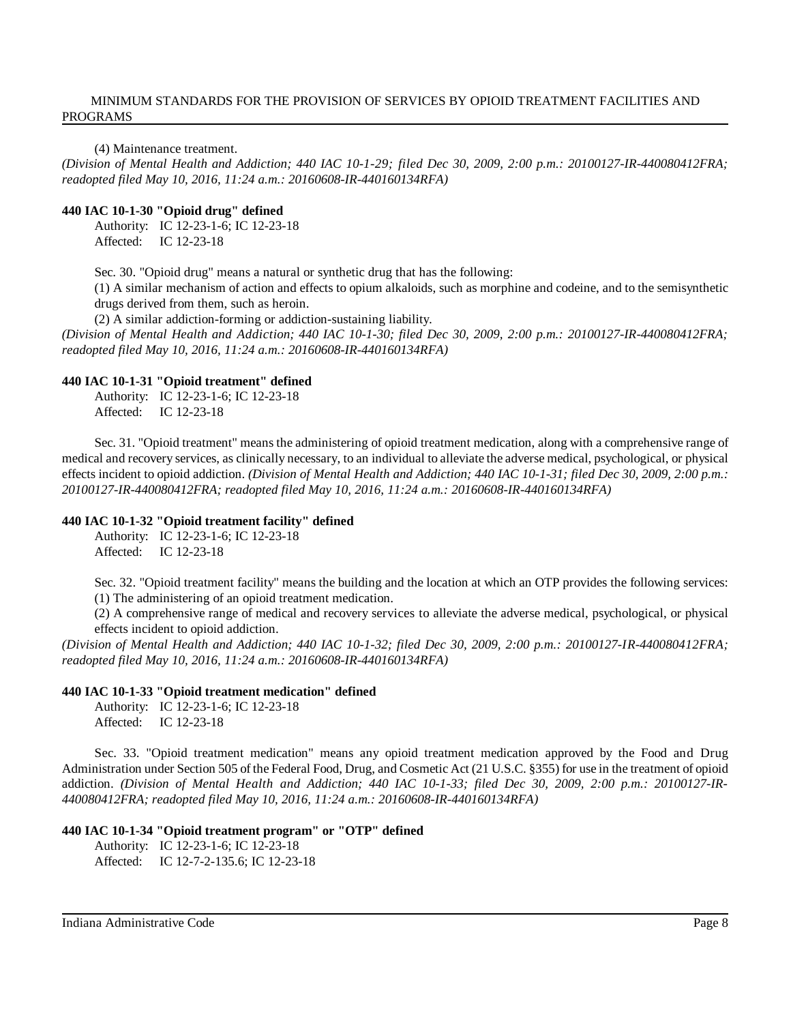(4) Maintenance treatment.

*(Division of Mental Health and Addiction; 440 IAC 10-1-29; filed Dec 30, 2009, 2:00 p.m.: 20100127-IR-440080412FRA; readopted filed May 10, 2016, 11:24 a.m.: 20160608-IR-440160134RFA)*

#### **440 IAC 10-1-30 "Opioid drug" defined**

Authority: IC 12-23-1-6; IC 12-23-18 Affected: IC 12-23-18

Sec. 30. "Opioid drug" means a natural or synthetic drug that has the following:

(1) A similar mechanism of action and effects to opium alkaloids, such as morphine and codeine, and to the semisynthetic drugs derived from them, such as heroin.

(2) A similar addiction-forming or addiction-sustaining liability.

*(Division of Mental Health and Addiction; 440 IAC 10-1-30; filed Dec 30, 2009, 2:00 p.m.: 20100127-IR-440080412FRA; readopted filed May 10, 2016, 11:24 a.m.: 20160608-IR-440160134RFA)*

#### **440 IAC 10-1-31 "Opioid treatment" defined**

Authority: IC 12-23-1-6; IC 12-23-18 Affected: IC 12-23-18

Sec. 31. "Opioid treatment" means the administering of opioid treatment medication, along with a comprehensive range of medical and recovery services, as clinically necessary, to an individual to alleviate the adverse medical, psychological, or physical effects incident to opioid addiction. *(Division of Mental Health and Addiction; 440 IAC 10-1-31; filed Dec 30, 2009, 2:00 p.m.: 20100127-IR-440080412FRA; readopted filed May 10, 2016, 11:24 a.m.: 20160608-IR-440160134RFA)*

#### **440 IAC 10-1-32 "Opioid treatment facility" defined**

Authority: IC 12-23-1-6; IC 12-23-18 Affected: IC 12-23-18

Sec. 32. "Opioid treatment facility" means the building and the location at which an OTP provides the following services: (1) The administering of an opioid treatment medication.

(2) A comprehensive range of medical and recovery services to alleviate the adverse medical, psychological, or physical effects incident to opioid addiction.

*(Division of Mental Health and Addiction; 440 IAC 10-1-32; filed Dec 30, 2009, 2:00 p.m.: 20100127-IR-440080412FRA; readopted filed May 10, 2016, 11:24 a.m.: 20160608-IR-440160134RFA)*

#### **440 IAC 10-1-33 "Opioid treatment medication" defined**

Authority: IC 12-23-1-6; IC 12-23-18 Affected: IC 12-23-18

Sec. 33. "Opioid treatment medication" means any opioid treatment medication approved by the Food and Drug Administration under Section 505 of the Federal Food, Drug, and Cosmetic Act (21 U.S.C. §355) for use in the treatment of opioid addiction. *(Division of Mental Health and Addiction; 440 IAC 10-1-33; filed Dec 30, 2009, 2:00 p.m.: 20100127-IR-440080412FRA; readopted filed May 10, 2016, 11:24 a.m.: 20160608-IR-440160134RFA)*

### **440 IAC 10-1-34 "Opioid treatment program" or "OTP" defined**

Authority: IC 12-23-1-6; IC 12-23-18 Affected: IC 12-7-2-135.6; IC 12-23-18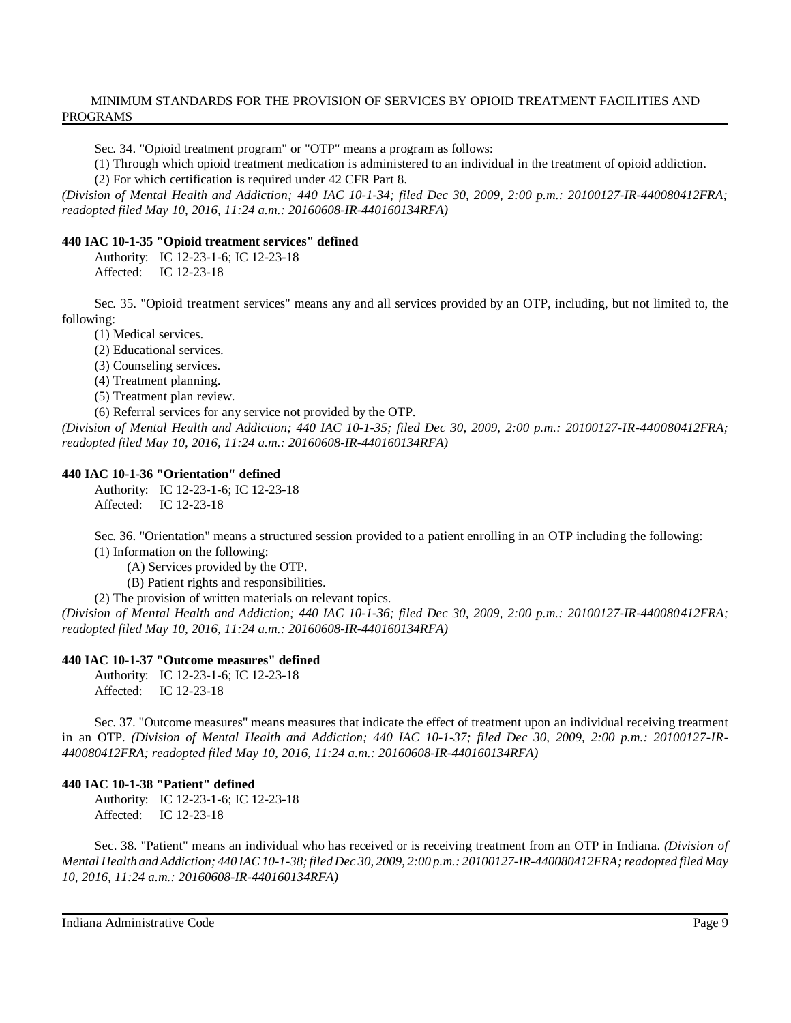Sec. 34. "Opioid treatment program" or "OTP" means a program as follows:

(1) Through which opioid treatment medication is administered to an individual in the treatment of opioid addiction.

(2) For which certification is required under 42 CFR Part 8.

*(Division of Mental Health and Addiction; 440 IAC 10-1-34; filed Dec 30, 2009, 2:00 p.m.: 20100127-IR-440080412FRA; readopted filed May 10, 2016, 11:24 a.m.: 20160608-IR-440160134RFA)*

# **440 IAC 10-1-35 "Opioid treatment services" defined**

Authority: IC 12-23-1-6; IC 12-23-18 Affected: IC 12-23-18

Sec. 35. "Opioid treatment services" means any and all services provided by an OTP, including, but not limited to, the following:

(1) Medical services.

(2) Educational services.

(3) Counseling services.

(4) Treatment planning.

(5) Treatment plan review.

(6) Referral services for any service not provided by the OTP.

(Division of Mental Health and Addiction; 440 IAC 10-1-35; filed Dec 30, 2009, 2:00 p.m.: 20100127-IR-440080412FRA; *readopted filed May 10, 2016, 11:24 a.m.: 20160608-IR-440160134RFA)*

# **440 IAC 10-1-36 "Orientation" defined**

Authority: IC 12-23-1-6; IC 12-23-18 Affected: IC 12-23-18

Sec. 36. "Orientation" means a structured session provided to a patient enrolling in an OTP including the following: (1) Information on the following:

(A) Services provided by the OTP.

(B) Patient rights and responsibilities.

(2) The provision of written materials on relevant topics.

*(Division of Mental Health and Addiction; 440 IAC 10-1-36; filed Dec 30, 2009, 2:00 p.m.: 20100127-IR-440080412FRA; readopted filed May 10, 2016, 11:24 a.m.: 20160608-IR-440160134RFA)*

# **440 IAC 10-1-37 "Outcome measures" defined**

Authority: IC 12-23-1-6; IC 12-23-18

Affected: IC 12-23-18

Sec. 37. "Outcome measures" means measures that indicate the effect of treatment upon an individual receiving treatment in an OTP. (Division of Mental Health and Addiction; 440 IAC 10-1-37; filed Dec 30, 2009, 2:00 p.m.: 20100127-IR-*440080412FRA; readopted filed May 10, 2016, 11:24 a.m.: 20160608-IR-440160134RFA)*

# **440 IAC 10-1-38 "Patient" defined**

Authority: IC 12-23-1-6; IC 12-23-18 Affected: IC 12-23-18

Sec. 38. "Patient" means an individual who has received or is receiving treatment from an OTP in Indiana. *(Division of Mental Health andAddiction; 440 IAC10-1-38;filed Dec 30, 2009, 2:00 p.m.: 20100127-IR-440080412FRA;readopted filed May 10, 2016, 11:24 a.m.: 20160608-IR-440160134RFA)*

Indiana Administrative Code Page 9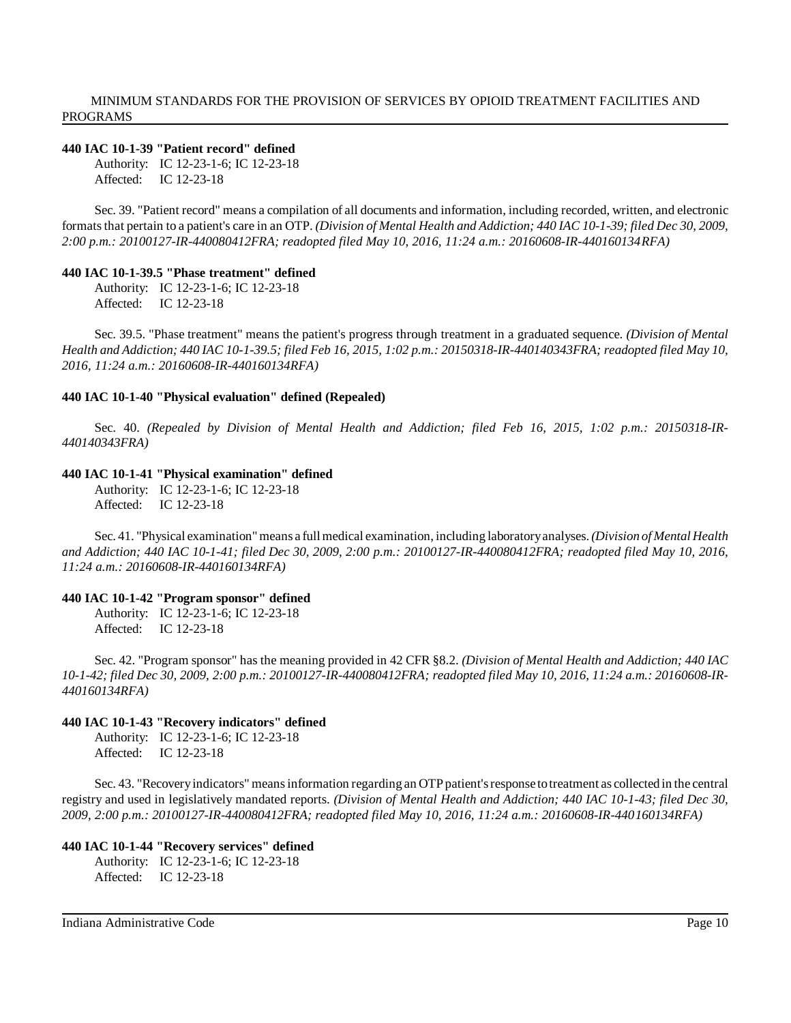#### **440 IAC 10-1-39 "Patient record" defined**

Authority: IC 12-23-1-6; IC 12-23-18 Affected: IC 12-23-18

Sec. 39. "Patient record" means a compilation of all documents and information, including recorded, written, and electronic formatsthat pertain to a patient's care in an OTP. *(Division of Mental Health and Addiction; 440 IAC 10-1-39; filed Dec 30, 2009, 2:00 p.m.: 20100127-IR-440080412FRA; readopted filed May 10, 2016, 11:24 a.m.: 20160608-IR-440160134RFA)*

#### **440 IAC 10-1-39.5 "Phase treatment" defined**

Authority: IC 12-23-1-6; IC 12-23-18 Affected: IC 12-23-18

Sec. 39.5. "Phase treatment" means the patient's progress through treatment in a graduated sequence. *(Division of Mental* Health and Addiction; 440 IAC 10-1-39.5; filed Feb 16, 2015, 1:02 p.m.: 20150318-IR-440140343FRA; readopted filed May 10, *2016, 11:24 a.m.: 20160608-IR-440160134RFA)*

#### **440 IAC 10-1-40 "Physical evaluation" defined (Repealed)**

Sec. 40. *(Repealed by Division of Mental Health and Addiction; filed Feb 16, 2015, 1:02 p.m.: 20150318-IR-440140343FRA)*

#### **440 IAC 10-1-41 "Physical examination" defined**

Authority: IC 12-23-1-6; IC 12-23-18 Affected: IC 12-23-18

Sec. 41. "Physical examination"means a fullmedical examination, including laboratoryanalyses.*(Division of Mental Health and Addiction; 440 IAC 10-1-41; filed Dec 30, 2009, 2:00 p.m.: 20100127-IR-440080412FRA; readopted filed May 10, 2016, 11:24 a.m.: 20160608-IR-440160134RFA)*

#### **440 IAC 10-1-42 "Program sponsor" defined**

Authority: IC 12-23-1-6; IC 12-23-18 Affected: IC 12-23-18

Sec. 42. "Program sponsor" has the meaning provided in 42 CFR §8.2. *(Division of Mental Health and Addiction; 440 IAC* 10-1-42; filed Dec 30, 2009, 2:00 p.m.: 20100127-IR-440080412FRA; readopted filed May 10, 2016, 11:24 a.m.: 20160608-IR-*440160134RFA)*

#### **440 IAC 10-1-43 "Recovery indicators" defined**

Authority: IC 12-23-1-6; IC 12-23-18 Affected: IC 12-23-18

Sec. 43. "Recovery indicators" means information regarding an OTP patient's response to treatment as collected in the central registry and used in legislatively mandated reports. *(Division of Mental Health and Addiction; 440 IAC 10-1-43; filed Dec 30, 2009, 2:00 p.m.: 20100127-IR-440080412FRA; readopted filed May 10, 2016, 11:24 a.m.: 20160608-IR-440160134RFA)*

#### **440 IAC 10-1-44 "Recovery services" defined**

Authority: IC 12-23-1-6; IC 12-23-18 Affected: IC 12-23-18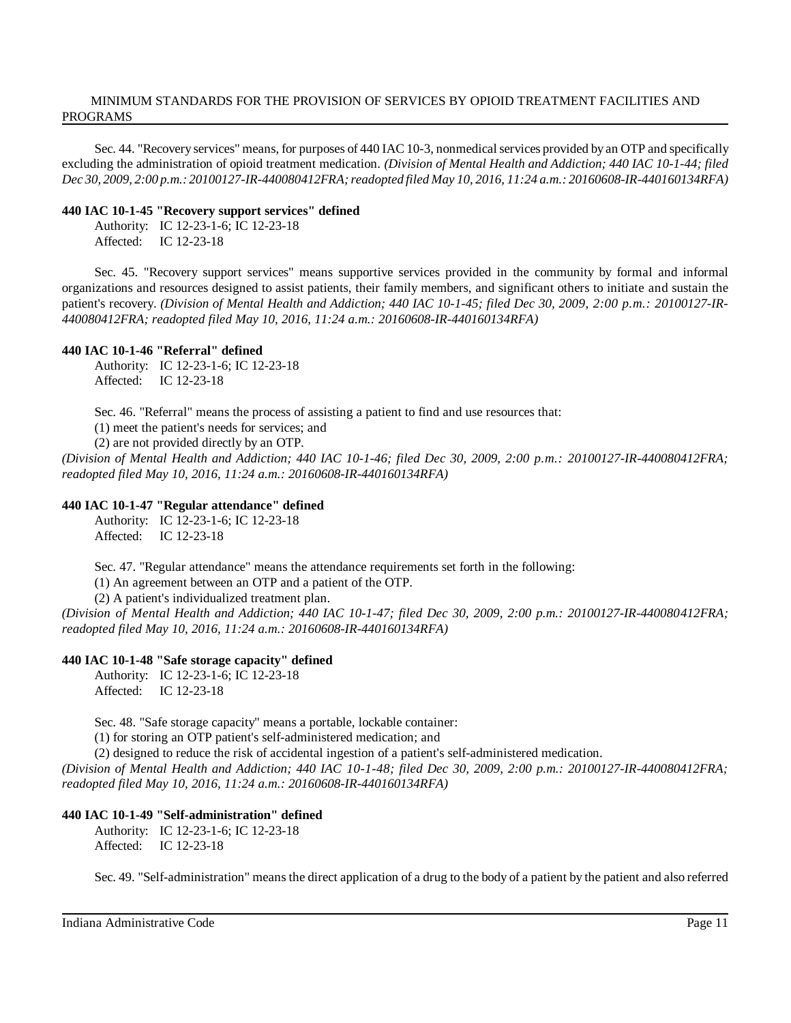Sec. 44. "Recovery services" means, for purposes of 440 IAC 10-3, nonmedical services provided by an OTP and specifically excluding the administration of opioid treatment medication. *(Division of Mental Health and Addiction; 440 IAC 10-1-44; filed Dec 30, 2009, 2:00 p.m.: 20100127-IR-440080412FRA;readopted filed May 10, 2016, 11:24 a.m.: 20160608-IR-440160134RFA)*

#### **440 IAC 10-1-45 "Recovery support services" defined**

Authority: IC 12-23-1-6; IC 12-23-18 Affected: IC 12-23-18

Sec. 45. "Recovery support services" means supportive services provided in the community by formal and informal organizations and resources designed to assist patients, their family members, and significant others to initiate and sustain the patient's recovery. *(Division of Mental Health and Addiction; 440 IAC 10-1-45; filed Dec 30, 2009, 2:00 p.m.: 20100127-IR-440080412FRA; readopted filed May 10, 2016, 11:24 a.m.: 20160608-IR-440160134RFA)*

# **440 IAC 10-1-46 "Referral" defined**

Authority: IC 12-23-1-6; IC 12-23-18 Affected: IC 12-23-18

Sec. 46. "Referral" means the process of assisting a patient to find and use resources that:

(1) meet the patient's needs for services; and

(2) are not provided directly by an OTP.

*(Division of Mental Health and Addiction; 440 IAC 10-1-46; filed Dec 30, 2009, 2:00 p.m.: 20100127-IR-440080412FRA; readopted filed May 10, 2016, 11:24 a.m.: 20160608-IR-440160134RFA)*

# **440 IAC 10-1-47 "Regular attendance" defined**

Authority: IC 12-23-1-6; IC 12-23-18 Affected: IC 12-23-18

Sec. 47. "Regular attendance" means the attendance requirements set forth in the following:

(1) An agreement between an OTP and a patient of the OTP.

(2) A patient's individualized treatment plan.

*(Division of Mental Health and Addiction; 440 IAC 10-1-47; filed Dec 30, 2009, 2:00 p.m.: 20100127-IR-440080412FRA; readopted filed May 10, 2016, 11:24 a.m.: 20160608-IR-440160134RFA)*

# **440 IAC 10-1-48 "Safe storage capacity" defined**

Authority: IC 12-23-1-6; IC 12-23-18 Affected: IC 12-23-18

Sec. 48. "Safe storage capacity" means a portable, lockable container:

(1) for storing an OTP patient's self-administered medication; and

(2) designed to reduce the risk of accidental ingestion of a patient's self-administered medication.

*(Division of Mental Health and Addiction; 440 IAC 10-1-48; filed Dec 30, 2009, 2:00 p.m.: 20100127-IR-440080412FRA; readopted filed May 10, 2016, 11:24 a.m.: 20160608-IR-440160134RFA)*

# **440 IAC 10-1-49 "Self-administration" defined**

Authority: IC 12-23-1-6; IC 12-23-18 Affected: IC 12-23-18

Sec. 49. "Self-administration" means the direct application of a drug to the body of a patient by the patient and also referred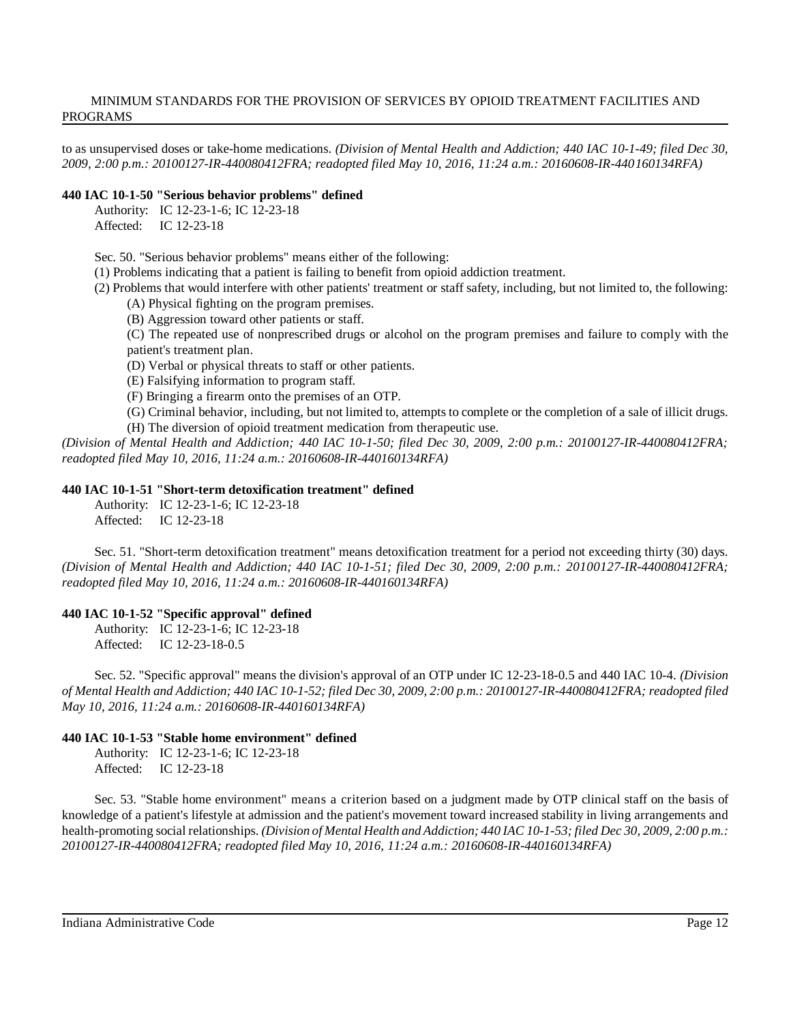to as unsupervised doses or take-home medications. *(Division of Mental Health and Addiction; 440 IAC 10-1-49; filed Dec 30, 2009, 2:00 p.m.: 20100127-IR-440080412FRA; readopted filed May 10, 2016, 11:24 a.m.: 20160608-IR-440160134RFA)*

#### **440 IAC 10-1-50 "Serious behavior problems" defined**

Authority: IC 12-23-1-6; IC 12-23-18 Affected: IC 12-23-18

Sec. 50. "Serious behavior problems" means either of the following:

(1) Problems indicating that a patient is failing to benefit from opioid addiction treatment.

(2) Problems that would interfere with other patients' treatment or staff safety, including, but not limited to, the following:

(A) Physical fighting on the program premises.

(B) Aggression toward other patients or staff.

(C) The repeated use of nonprescribed drugs or alcohol on the program premises and failure to comply with the patient's treatment plan.

(D) Verbal or physical threats to staff or other patients.

(E) Falsifying information to program staff.

(F) Bringing a firearm onto the premises of an OTP.

(G) Criminal behavior, including, but not limited to, attempts to complete or the completion of a sale of illicit drugs. (H) The diversion of opioid treatment medication from therapeutic use.

*(Division of Mental Health and Addiction; 440 IAC 10-1-50; filed Dec 30, 2009, 2:00 p.m.: 20100127-IR-440080412FRA; readopted filed May 10, 2016, 11:24 a.m.: 20160608-IR-440160134RFA)*

# **440 IAC 10-1-51 "Short-term detoxification treatment" defined**

Authority: IC 12-23-1-6; IC 12-23-18 Affected: IC 12-23-18

Sec. 51. "Short-term detoxification treatment" means detoxification treatment for a period not exceeding thirty (30) days. *(Division of Mental Health and Addiction; 440 IAC 10-1-51; filed Dec 30, 2009, 2:00 p.m.: 20100127-IR-440080412FRA; readopted filed May 10, 2016, 11:24 a.m.: 20160608-IR-440160134RFA)*

# **440 IAC 10-1-52 "Specific approval" defined**

Authority: IC 12-23-1-6; IC 12-23-18 Affected: IC 12-23-18-0.5

Sec. 52. "Specific approval" means the division's approval of an OTP under IC 12-23-18-0.5 and 440 IAC 10-4. *(Division* of Mental Health and Addiction; 440 IAC 10-1-52; filed Dec 30, 2009, 2:00 p.m.: 20100127-IR-440080412FRA; readopted filed *May 10, 2016, 11:24 a.m.: 20160608-IR-440160134RFA)*

# **440 IAC 10-1-53 "Stable home environment" defined**

Authority: IC 12-23-1-6; IC 12-23-18 Affected: IC 12-23-18

Sec. 53. "Stable home environment" means a criterion based on a judgment made by OTP clinical staff on the basis of knowledge of a patient's lifestyle at admission and the patient's movement toward increased stability in living arrangements and health-promoting social relationships. (Division of Mental Health and Addiction; 440 IAC 10-1-53; filed Dec 30, 2009, 2:00 p.m.: *20100127-IR-440080412FRA; readopted filed May 10, 2016, 11:24 a.m.: 20160608-IR-440160134RFA)*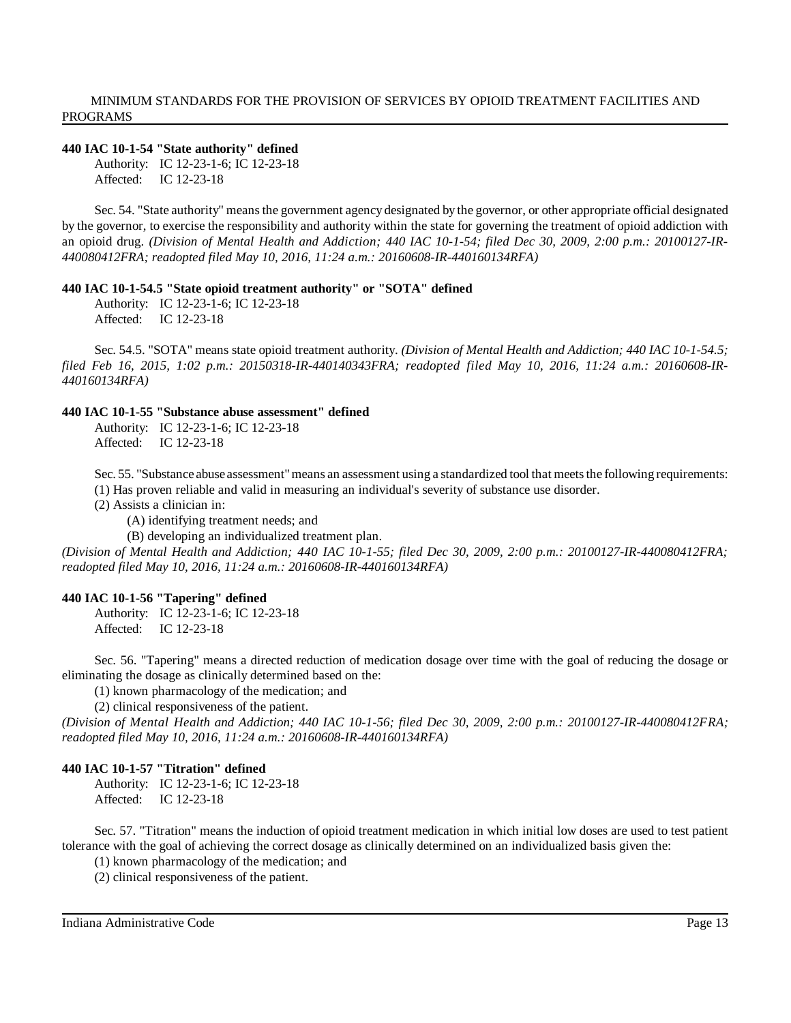#### **440 IAC 10-1-54 "State authority" defined**

Authority: IC 12-23-1-6; IC 12-23-18 Affected: IC 12-23-18

Sec. 54. "State authority" means the government agency designated by the governor, or other appropriate official designated by the governor, to exercise the responsibility and authority within the state for governing the treatment of opioid addiction with an opioid drug. *(Division of Mental Health and Addiction; 440 IAC 10-1-54; filed Dec 30, 2009, 2:00 p.m.: 20100127-IR-440080412FRA; readopted filed May 10, 2016, 11:24 a.m.: 20160608-IR-440160134RFA)*

#### **440 IAC 10-1-54.5 "State opioid treatment authority" or "SOTA" defined**

Authority: IC 12-23-1-6; IC 12-23-18 Affected: IC 12-23-18

Sec. 54.5. "SOTA" means state opioid treatment authority. *(Division of Mental Health and Addiction; 440 IAC 10-1-54.5; filed Feb 16, 2015, 1:02 p.m.: 20150318-IR-440140343FRA; readopted filed May 10, 2016, 11:24 a.m.: 20160608-IR-440160134RFA)*

### **440 IAC 10-1-55 "Substance abuse assessment" defined**

Authority: IC 12-23-1-6; IC 12-23-18 Affected: IC 12-23-18

Sec. 55. "Substance abuse assessment" means an assessment using a standardized tool that meets the following requirements:

(1) Has proven reliable and valid in measuring an individual's severity of substance use disorder.

(2) Assists a clinician in:

(A) identifying treatment needs; and

(B) developing an individualized treatment plan.

*(Division of Mental Health and Addiction; 440 IAC 10-1-55; filed Dec 30, 2009, 2:00 p.m.: 20100127-IR-440080412FRA; readopted filed May 10, 2016, 11:24 a.m.: 20160608-IR-440160134RFA)*

#### **440 IAC 10-1-56 "Tapering" defined**

Authority: IC 12-23-1-6; IC 12-23-18 Affected: IC 12-23-18

Sec. 56. "Tapering" means a directed reduction of medication dosage over time with the goal of reducing the dosage or eliminating the dosage as clinically determined based on the:

(1) known pharmacology of the medication; and

(2) clinical responsiveness of the patient.

*(Division of Mental Health and Addiction; 440 IAC 10-1-56; filed Dec 30, 2009, 2:00 p.m.: 20100127-IR-440080412FRA; readopted filed May 10, 2016, 11:24 a.m.: 20160608-IR-440160134RFA)*

#### **440 IAC 10-1-57 "Titration" defined**

Authority: IC 12-23-1-6; IC 12-23-18 Affected: IC 12-23-18

Sec. 57. "Titration" means the induction of opioid treatment medication in which initial low doses are used to test patient tolerance with the goal of achieving the correct dosage as clinically determined on an individualized basis given the:

(1) known pharmacology of the medication; and

(2) clinical responsiveness of the patient.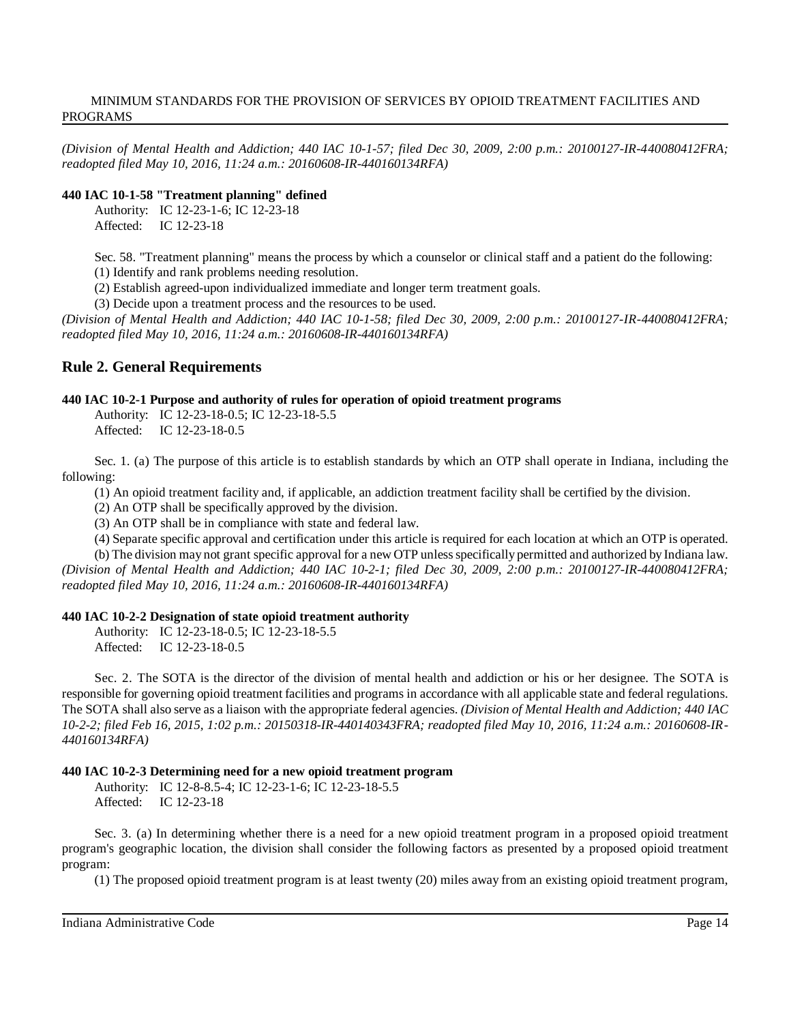*(Division of Mental Health and Addiction; 440 IAC 10-1-57; filed Dec 30, 2009, 2:00 p.m.: 20100127-IR-440080412FRA; readopted filed May 10, 2016, 11:24 a.m.: 20160608-IR-440160134RFA)*

#### **440 IAC 10-1-58 "Treatment planning" defined**

Authority: IC 12-23-1-6; IC 12-23-18 Affected: IC 12-23-18

Sec. 58. "Treatment planning" means the process by which a counselor or clinical staff and a patient do the following: (1) Identify and rank problems needing resolution.

(2) Establish agreed-upon individualized immediate and longer term treatment goals.

(3) Decide upon a treatment process and the resources to be used.

(Division of Mental Health and Addiction; 440 IAC 10-1-58; filed Dec 30, 2009, 2:00 p.m.: 20100127-IR-440080412FRA; *readopted filed May 10, 2016, 11:24 a.m.: 20160608-IR-440160134RFA)*

# **Rule 2. General Requirements**

#### **440 IAC 10-2-1 Purpose and authority of rules for operation of opioid treatment programs**

Authority: IC 12-23-18-0.5; IC 12-23-18-5.5 Affected: IC 12-23-18-0.5

Sec. 1. (a) The purpose of this article is to establish standards by which an OTP shall operate in Indiana, including the following:

(1) An opioid treatment facility and, if applicable, an addiction treatment facility shall be certified by the division.

(2) An OTP shall be specifically approved by the division.

(3) An OTP shall be in compliance with state and federal law.

(4) Separate specific approval and certification under this article is required for each location at which an OTP is operated.

(b) The division may not grant specific approval for a new OTP unlessspecifically permitted and authorized by Indiana law. (Division of Mental Health and Addiction; 440 IAC 10-2-1; filed Dec 30, 2009, 2:00 p.m.: 20100127-IR-440080412FRA; *readopted filed May 10, 2016, 11:24 a.m.: 20160608-IR-440160134RFA)*

# **440 IAC 10-2-2 Designation of state opioid treatment authority**

Authority: IC 12-23-18-0.5; IC 12-23-18-5.5 Affected: IC 12-23-18-0.5

Sec. 2. The SOTA is the director of the division of mental health and addiction or his or her designee. The SOTA is responsible for governing opioid treatment facilities and programs in accordance with all applicable state and federal regulations. The SOTA shall also serve as a liaison with the appropriate federal agencies. *(Division of Mental Health and Addiction; 440 IAC 10-2-2; filed Feb 16, 2015, 1:02 p.m.: 20150318-IR-440140343FRA; readopted filed May 10, 2016, 11:24 a.m.: 20160608-IR-440160134RFA)*

# **440 IAC 10-2-3 Determining need for a new opioid treatment program**

Authority: IC 12-8-8.5-4; IC 12-23-1-6; IC 12-23-18-5.5 Affected: IC 12-23-18

Sec. 3. (a) In determining whether there is a need for a new opioid treatment program in a proposed opioid treatment program's geographic location, the division shall consider the following factors as presented by a proposed opioid treatment program:

(1) The proposed opioid treatment program is at least twenty (20) miles away from an existing opioid treatment program,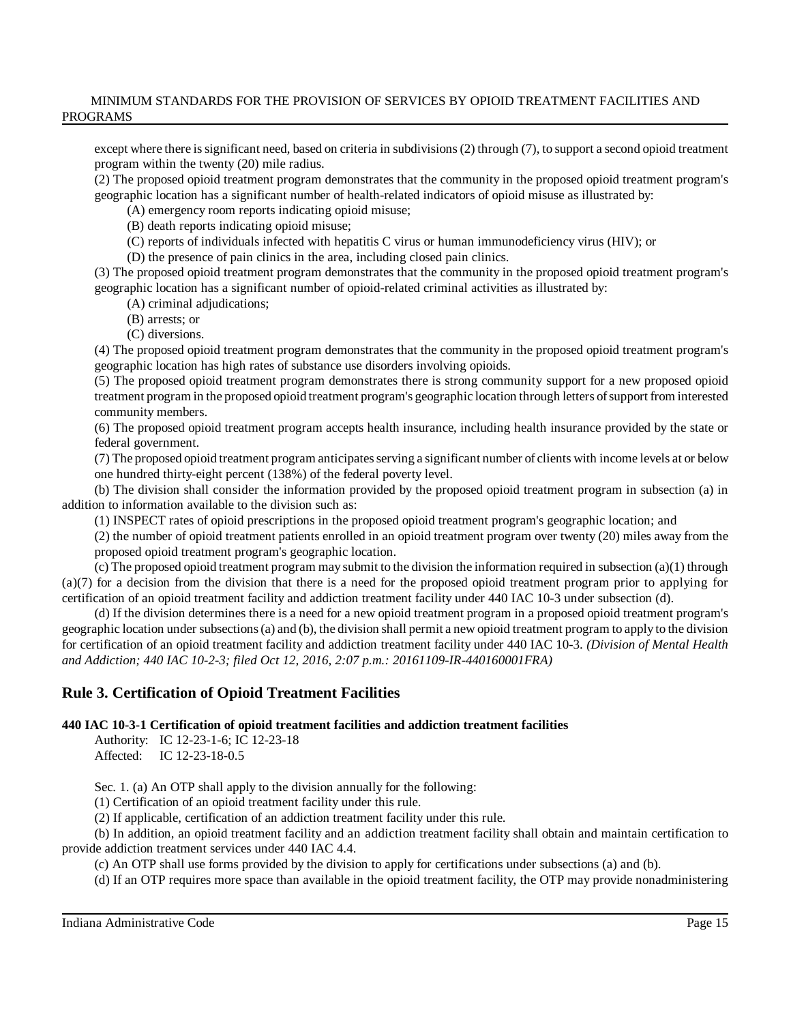except where there issignificant need, based on criteria in subdivisions(2) through (7), to support a second opioid treatment program within the twenty (20) mile radius.

(2) The proposed opioid treatment program demonstrates that the community in the proposed opioid treatment program's geographic location has a significant number of health-related indicators of opioid misuse as illustrated by:

(A) emergency room reports indicating opioid misuse;

(B) death reports indicating opioid misuse;

(C) reports of individuals infected with hepatitis C virus or human immunodeficiency virus (HIV); or

(D) the presence of pain clinics in the area, including closed pain clinics.

(3) The proposed opioid treatment program demonstrates that the community in the proposed opioid treatment program's geographic location has a significant number of opioid-related criminal activities as illustrated by:

(A) criminal adjudications;

- (B) arrests; or
- (C) diversions.

(4) The proposed opioid treatment program demonstrates that the community in the proposed opioid treatment program's geographic location has high rates of substance use disorders involving opioids.

(5) The proposed opioid treatment program demonstrates there is strong community support for a new proposed opioid treatment program in the proposed opioid treatment program's geographic location through letters ofsupport from interested community members.

(6) The proposed opioid treatment program accepts health insurance, including health insurance provided by the state or federal government.

(7) The proposed opioid treatment program anticipatesserving a significant number of clients with income levels at or below one hundred thirty-eight percent (138%) of the federal poverty level.

(b) The division shall consider the information provided by the proposed opioid treatment program in subsection (a) in addition to information available to the division such as:

(1) INSPECT rates of opioid prescriptions in the proposed opioid treatment program's geographic location; and

(2) the number of opioid treatment patients enrolled in an opioid treatment program over twenty (20) miles away from the proposed opioid treatment program's geographic location.

(c) The proposed opioid treatment program may submit to the division the information required in subsection (a)(1) through  $(a)(7)$  for a decision from the division that there is a need for the proposed opioid treatment program prior to applying for certification of an opioid treatment facility and addiction treatment facility under 440 IAC 10-3 under subsection (d).

(d) If the division determines there is a need for a new opioid treatment program in a proposed opioid treatment program's geographic location under subsections(a) and (b), the division shall permit a new opioid treatment program to apply to the division for certification of an opioid treatment facility and addiction treatment facility under 440 IAC 10-3. *(Division of Mental Health and Addiction; 440 IAC 10-2-3; filed Oct 12, 2016, 2:07 p.m.: 20161109-IR-440160001FRA)*

# **Rule 3. Certification of Opioid Treatment Facilities**

**440 IAC 10-3-1 Certification of opioid treatment facilities and addiction treatment facilities**

Authority: IC 12-23-1-6; IC 12-23-18 Affected: IC 12-23-18-0.5

Sec. 1. (a) An OTP shall apply to the division annually for the following:

(1) Certification of an opioid treatment facility under this rule.

(2) If applicable, certification of an addiction treatment facility under this rule.

(b) In addition, an opioid treatment facility and an addiction treatment facility shall obtain and maintain certification to provide addiction treatment services under 440 IAC 4.4.

(c) An OTP shall use forms provided by the division to apply for certifications under subsections (a) and (b).

(d) If an OTP requires more space than available in the opioid treatment facility, the OTP may provide nonadministering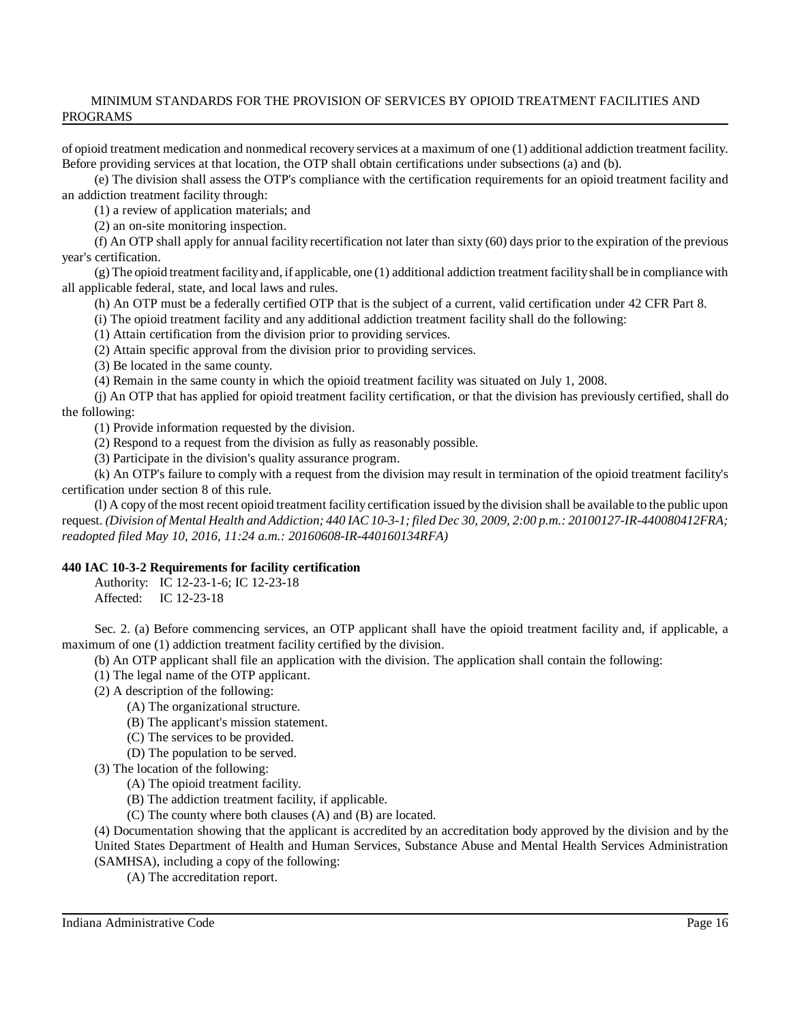of opioid treatment medication and nonmedical recovery services at a maximum of one (1) additional addiction treatment facility. Before providing services at that location, the OTP shall obtain certifications under subsections (a) and (b).

(e) The division shall assess the OTP's compliance with the certification requirements for an opioid treatment facility and an addiction treatment facility through:

(1) a review of application materials; and

(2) an on-site monitoring inspection.

(f) An OTP shall apply for annual facility recertification not later than sixty (60) days prior to the expiration of the previous year's certification.

(g) The opioid treatment facilityand, if applicable, one (1) additional addiction treatment facilityshall be in compliance with all applicable federal, state, and local laws and rules.

(h) An OTP must be a federally certified OTP that is the subject of a current, valid certification under 42 CFR Part 8.

(i) The opioid treatment facility and any additional addiction treatment facility shall do the following:

(1) Attain certification from the division prior to providing services.

(2) Attain specific approval from the division prior to providing services.

(3) Be located in the same county.

(4) Remain in the same county in which the opioid treatment facility was situated on July 1, 2008.

(j) An OTP that has applied for opioid treatment facility certification, or that the division has previously certified, shall do the following:

(1) Provide information requested by the division.

(2) Respond to a request from the division as fully as reasonably possible.

(3) Participate in the division's quality assurance program.

(k) An OTP's failure to comply with a request from the division may result in termination of the opioid treatment facility's certification under section 8 of this rule.

(l) A copy of the most recent opioid treatment facility certification issued by the division shall be available to the public upon request. (Division of Mental Health and Addiction; 440 IAC 10-3-1; filed Dec 30, 2009, 2:00 p.m.: 20100127-IR-440080412FRA; *readopted filed May 10, 2016, 11:24 a.m.: 20160608-IR-440160134RFA)*

# **440 IAC 10-3-2 Requirements for facility certification**

Authority: IC 12-23-1-6; IC 12-23-18 Affected: IC 12-23-18

Sec. 2. (a) Before commencing services, an OTP applicant shall have the opioid treatment facility and, if applicable, a maximum of one (1) addiction treatment facility certified by the division.

(b) An OTP applicant shall file an application with the division. The application shall contain the following:

(1) The legal name of the OTP applicant.

- (2) A description of the following:
	- (A) The organizational structure.
	- (B) The applicant's mission statement.
	- (C) The services to be provided.
	- (D) The population to be served.
- (3) The location of the following:
	- (A) The opioid treatment facility.
	- (B) The addiction treatment facility, if applicable.
	- (C) The county where both clauses (A) and (B) are located.

(4) Documentation showing that the applicant is accredited by an accreditation body approved by the division and by the United States Department of Health and Human Services, Substance Abuse and Mental Health Services Administration (SAMHSA), including a copy of the following:

(A) The accreditation report.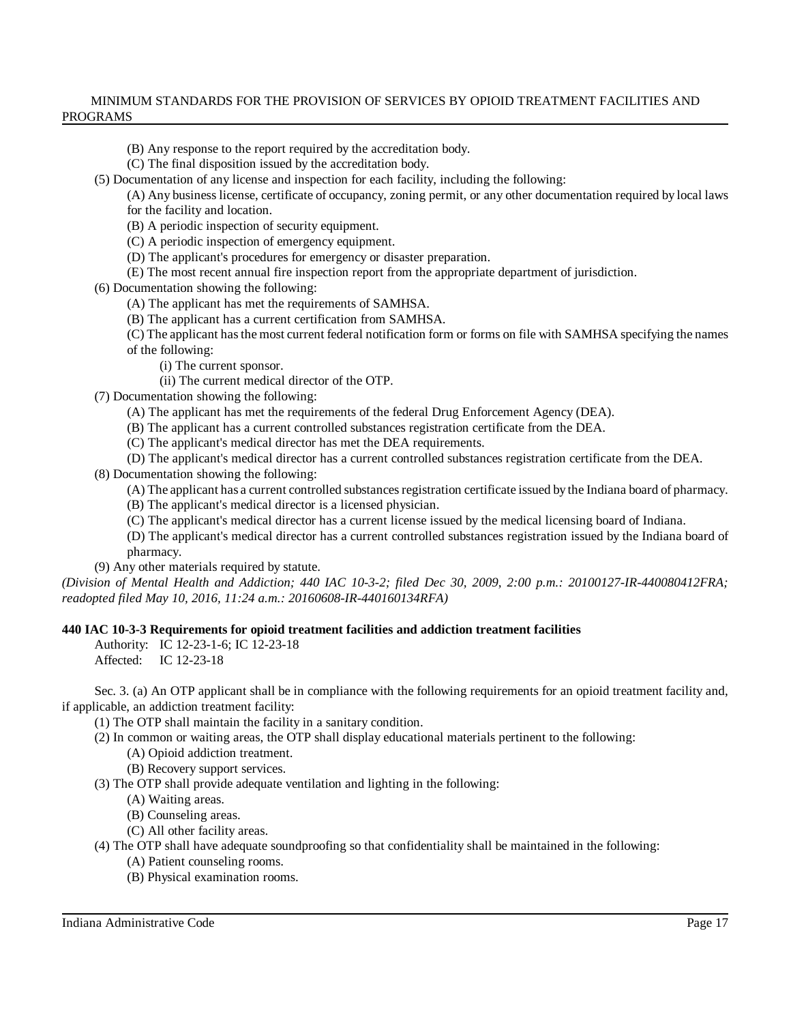- (B) Any response to the report required by the accreditation body.
- (C) The final disposition issued by the accreditation body.
- (5) Documentation of any license and inspection for each facility, including the following:

(A) Any business license, certificate of occupancy, zoning permit, or any other documentation required by local laws for the facility and location.

- (B) A periodic inspection of security equipment.
- (C) A periodic inspection of emergency equipment.
- (D) The applicant's procedures for emergency or disaster preparation.
- (E) The most recent annual fire inspection report from the appropriate department of jurisdiction.
- (6) Documentation showing the following:
	- (A) The applicant has met the requirements of SAMHSA.
	- (B) The applicant has a current certification from SAMHSA.
	- (C) The applicant hasthe most current federal notification form or forms on file with SAMHSA specifying the names of the following:
		- (i) The current sponsor.
		- (ii) The current medical director of the OTP.
- (7) Documentation showing the following:
	- (A) The applicant has met the requirements of the federal Drug Enforcement Agency (DEA).
	- (B) The applicant has a current controlled substances registration certificate from the DEA.
	- (C) The applicant's medical director has met the DEA requirements.
	- (D) The applicant's medical director has a current controlled substances registration certificate from the DEA.
- (8) Documentation showing the following:
	- (A) The applicant has a current controlled substancesregistration certificate issued by the Indiana board of pharmacy.
	- (B) The applicant's medical director is a licensed physician.
	- (C) The applicant's medical director has a current license issued by the medical licensing board of Indiana.
	- (D) The applicant's medical director has a current controlled substances registration issued by the Indiana board of pharmacy.
- (9) Any other materials required by statute.
- (Division of Mental Health and Addiction; 440 IAC 10-3-2; filed Dec 30, 2009, 2:00 p.m.: 20100127-IR-440080412FRA; *readopted filed May 10, 2016, 11:24 a.m.: 20160608-IR-440160134RFA)*

# **440 IAC 10-3-3 Requirements for opioid treatment facilities and addiction treatment facilities**

- Authority: IC 12-23-1-6; IC 12-23-18
- Affected: IC 12-23-18
- Sec. 3. (a) An OTP applicant shall be in compliance with the following requirements for an opioid treatment facility and, if applicable, an addiction treatment facility:
	- (1) The OTP shall maintain the facility in a sanitary condition.
	- (2) In common or waiting areas, the OTP shall display educational materials pertinent to the following:
		- (A) Opioid addiction treatment.
		- (B) Recovery support services.
	- (3) The OTP shall provide adequate ventilation and lighting in the following:
		- (A) Waiting areas.
		- (B) Counseling areas.
		- (C) All other facility areas.
	- (4) The OTP shall have adequate soundproofing so that confidentiality shall be maintained in the following:
		- (A) Patient counseling rooms.
		- (B) Physical examination rooms.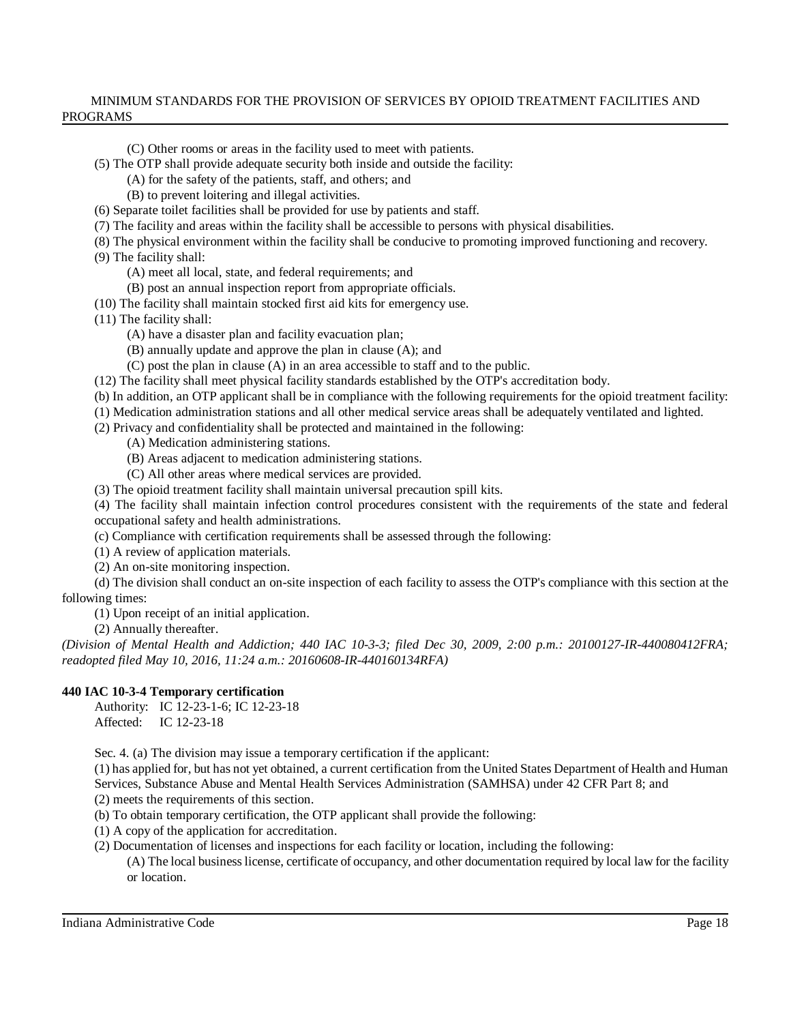(C) Other rooms or areas in the facility used to meet with patients.

(5) The OTP shall provide adequate security both inside and outside the facility:

- (A) for the safety of the patients, staff, and others; and
- (B) to prevent loitering and illegal activities.
- (6) Separate toilet facilities shall be provided for use by patients and staff.
- (7) The facility and areas within the facility shall be accessible to persons with physical disabilities.
- (8) The physical environment within the facility shall be conducive to promoting improved functioning and recovery.
- (9) The facility shall:
	- (A) meet all local, state, and federal requirements; and
	- (B) post an annual inspection report from appropriate officials.
- (10) The facility shall maintain stocked first aid kits for emergency use.
- (11) The facility shall:
	- (A) have a disaster plan and facility evacuation plan;
	- (B) annually update and approve the plan in clause (A); and
	- (C) post the plan in clause (A) in an area accessible to staff and to the public.
- (12) The facility shall meet physical facility standards established by the OTP's accreditation body.
- (b) In addition, an OTP applicant shall be in compliance with the following requirements for the opioid treatment facility:
- (1) Medication administration stations and all other medical service areas shall be adequately ventilated and lighted.
- (2) Privacy and confidentiality shall be protected and maintained in the following:
	- (A) Medication administering stations.
	- (B) Areas adjacent to medication administering stations.
	- (C) All other areas where medical services are provided.
- (3) The opioid treatment facility shall maintain universal precaution spill kits.

(4) The facility shall maintain infection control procedures consistent with the requirements of the state and federal occupational safety and health administrations.

- (c) Compliance with certification requirements shall be assessed through the following:
- (1) A review of application materials.
- (2) An on-site monitoring inspection.

(d) The division shall conduct an on-site inspection of each facility to assess the OTP's compliance with this section at the following times:

(1) Upon receipt of an initial application.

(2) Annually thereafter.

(Division of Mental Health and Addiction; 440 IAC 10-3-3; filed Dec 30, 2009, 2:00 p.m.: 20100127-IR-440080412FRA; *readopted filed May 10, 2016, 11:24 a.m.: 20160608-IR-440160134RFA)*

# **440 IAC 10-3-4 Temporary certification**

Authority: IC 12-23-1-6; IC 12-23-18 Affected: IC 12-23-18

Sec. 4. (a) The division may issue a temporary certification if the applicant:

(1) has applied for, but has not yet obtained, a current certification from the United States Department of Health and Human Services, Substance Abuse and Mental Health Services Administration (SAMHSA) under 42 CFR Part 8; and (2) meets the requirements of this section.

(b) To obtain temporary certification, the OTP applicant shall provide the following:

(1) A copy of the application for accreditation.

(2) Documentation of licenses and inspections for each facility or location, including the following:

(A) The local businesslicense, certificate of occupancy, and other documentation required by local law for the facility or location.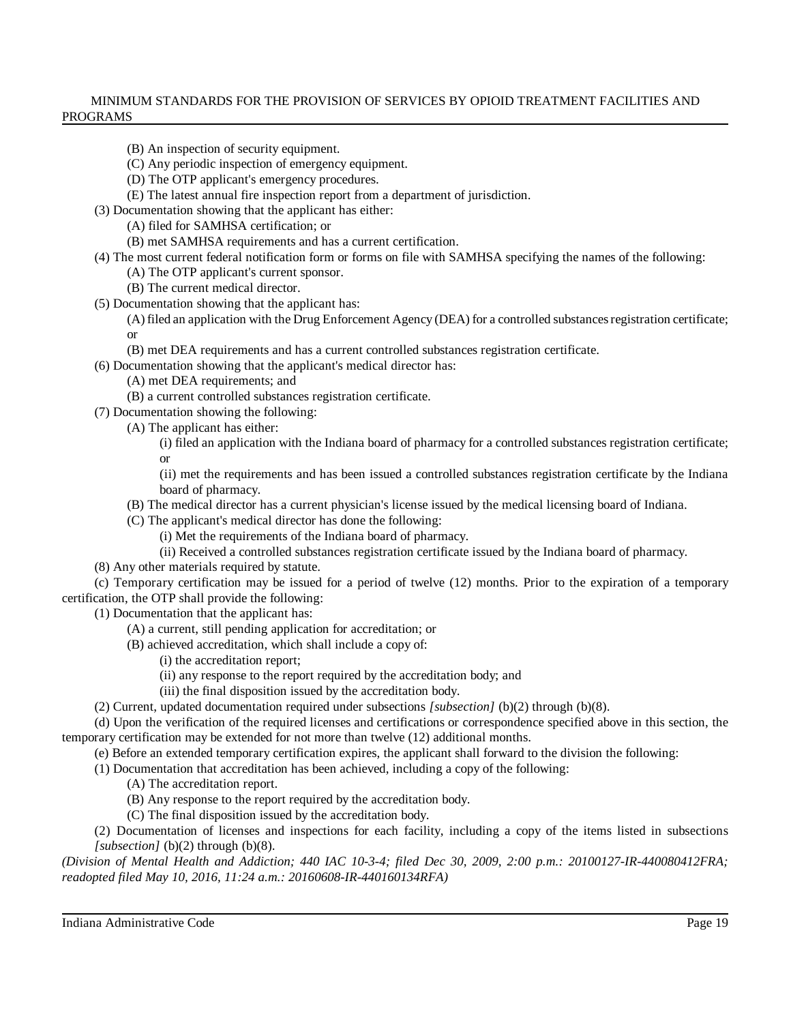- (B) An inspection of security equipment.
- (C) Any periodic inspection of emergency equipment.
- (D) The OTP applicant's emergency procedures.
- (E) The latest annual fire inspection report from a department of jurisdiction.
- (3) Documentation showing that the applicant has either:
	- (A) filed for SAMHSA certification; or
		- (B) met SAMHSA requirements and has a current certification.
- (4) The most current federal notification form or forms on file with SAMHSA specifying the names of the following:
	- (A) The OTP applicant's current sponsor.
	- (B) The current medical director.
- (5) Documentation showing that the applicant has:
	- (A) filed an application with the Drug Enforcement Agency (DEA) for a controlled substancesregistration certificate; or
	- (B) met DEA requirements and has a current controlled substances registration certificate.

(6) Documentation showing that the applicant's medical director has:

(A) met DEA requirements; and

- (B) a current controlled substances registration certificate.
- (7) Documentation showing the following:
	- (A) The applicant has either:
		- (i) filed an application with the Indiana board of pharmacy for a controlled substances registration certificate; or

(ii) met the requirements and has been issued a controlled substances registration certificate by the Indiana board of pharmacy.

- (B) The medical director has a current physician's license issued by the medical licensing board of Indiana.
- (C) The applicant's medical director has done the following:
	- (i) Met the requirements of the Indiana board of pharmacy.
	- (ii) Received a controlled substances registration certificate issued by the Indiana board of pharmacy.
- (8) Any other materials required by statute.

(c) Temporary certification may be issued for a period of twelve (12) months. Prior to the expiration of a temporary certification, the OTP shall provide the following:

(1) Documentation that the applicant has:

- (A) a current, still pending application for accreditation; or
- (B) achieved accreditation, which shall include a copy of:
	- (i) the accreditation report;
	- (ii) any response to the report required by the accreditation body; and
	- (iii) the final disposition issued by the accreditation body.
- (2) Current, updated documentation required under subsections *[subsection]* (b)(2) through (b)(8).

(d) Upon the verification of the required licenses and certifications or correspondence specified above in this section, the temporary certification may be extended for not more than twelve (12) additional months.

(e) Before an extended temporary certification expires, the applicant shall forward to the division the following:

(1) Documentation that accreditation has been achieved, including a copy of the following:

- (A) The accreditation report.
- (B) Any response to the report required by the accreditation body.
- (C) The final disposition issued by the accreditation body.

(2) Documentation of licenses and inspections for each facility, including a copy of the items listed in subsections *[subsection]* (b)(2) through (b)(8).

(Division of Mental Health and Addiction; 440 IAC 10-3-4; filed Dec 30, 2009, 2:00 p.m.: 20100127-IR-440080412FRA; *readopted filed May 10, 2016, 11:24 a.m.: 20160608-IR-440160134RFA)*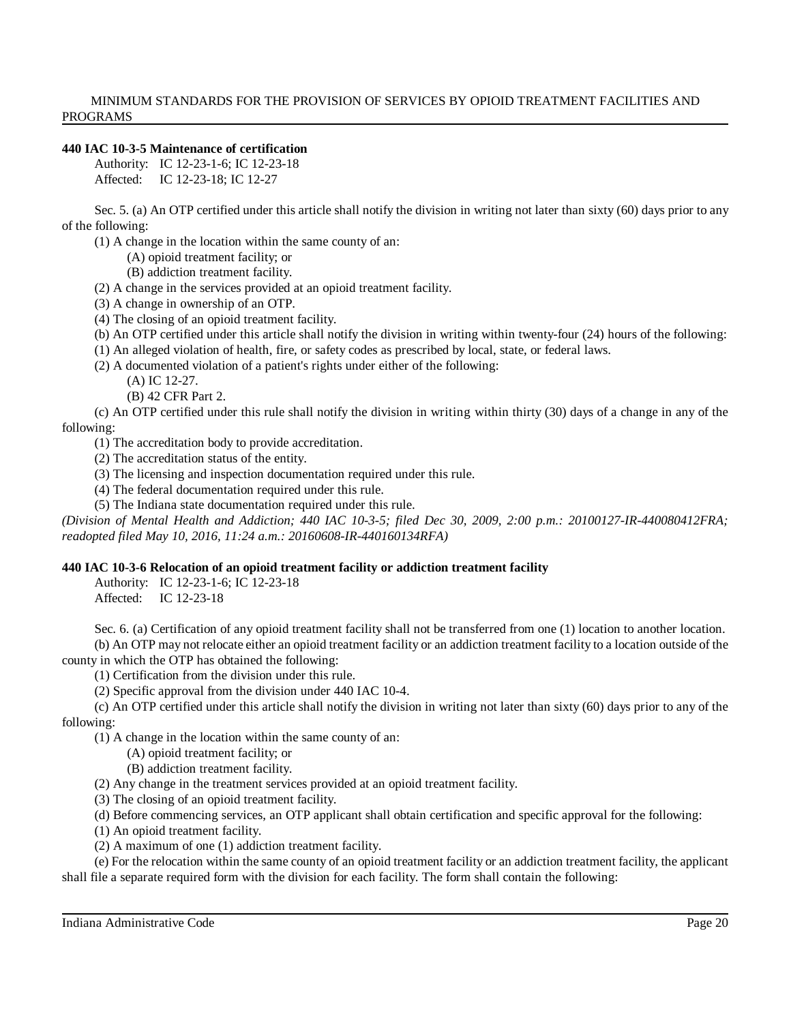#### **440 IAC 10-3-5 Maintenance of certification**

Authority: IC 12-23-1-6; IC 12-23-18 Affected: IC 12-23-18; IC 12-27

Sec. 5. (a) An OTP certified under this article shall notify the division in writing not later than sixty (60) days prior to any of the following:

- (1) A change in the location within the same county of an:
	- (A) opioid treatment facility; or
	- (B) addiction treatment facility.
- (2) A change in the services provided at an opioid treatment facility.
- (3) A change in ownership of an OTP.
- (4) The closing of an opioid treatment facility.
- (b) An OTP certified under this article shall notify the division in writing within twenty-four (24) hours of the following:
- (1) An alleged violation of health, fire, or safety codes as prescribed by local, state, or federal laws.
- (2) A documented violation of a patient's rights under either of the following:
	- (A) IC 12-27.
		- (B) 42 CFR Part 2.

(c) An OTP certified under this rule shall notify the division in writing within thirty (30) days of a change in any of the following:

- (1) The accreditation body to provide accreditation.
- (2) The accreditation status of the entity.
- (3) The licensing and inspection documentation required under this rule.
- (4) The federal documentation required under this rule.
- (5) The Indiana state documentation required under this rule.

(Division of Mental Health and Addiction; 440 IAC 10-3-5; filed Dec 30, 2009, 2:00 p.m.: 20100127-IR-440080412FRA; *readopted filed May 10, 2016, 11:24 a.m.: 20160608-IR-440160134RFA)*

# **440 IAC 10-3-6 Relocation of an opioid treatment facility or addiction treatment facility**

Authority: IC 12-23-1-6; IC 12-23-18 Affected: IC 12-23-18

Sec. 6. (a) Certification of any opioid treatment facility shall not be transferred from one (1) location to another location.

(b) An OTP may not relocate either an opioid treatment facility or an addiction treatment facility to a location outside of the county in which the OTP has obtained the following:

(1) Certification from the division under this rule.

(2) Specific approval from the division under 440 IAC 10-4.

(c) An OTP certified under this article shall notify the division in writing not later than sixty (60) days prior to any of the following:

(1) A change in the location within the same county of an:

(A) opioid treatment facility; or

(B) addiction treatment facility.

- (2) Any change in the treatment services provided at an opioid treatment facility.
- (3) The closing of an opioid treatment facility.
- (d) Before commencing services, an OTP applicant shall obtain certification and specific approval for the following:

(1) An opioid treatment facility.

(2) A maximum of one (1) addiction treatment facility.

(e) For the relocation within the same county of an opioid treatment facility or an addiction treatment facility, the applicant shall file a separate required form with the division for each facility. The form shall contain the following: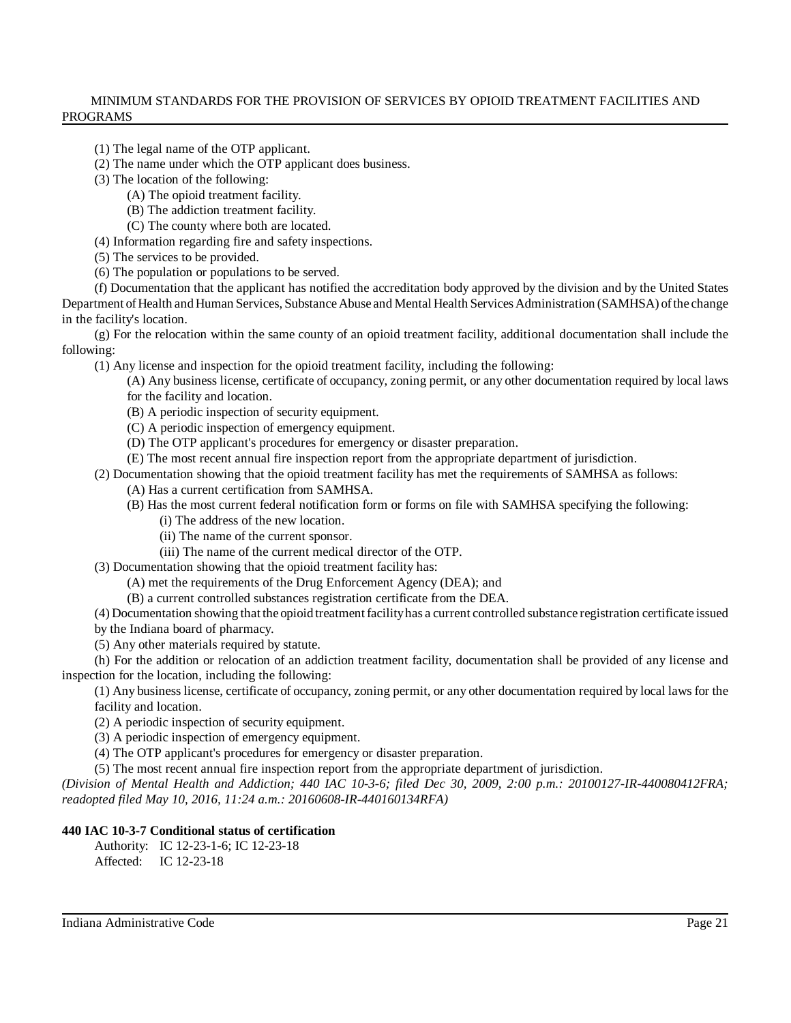- (1) The legal name of the OTP applicant.
- (2) The name under which the OTP applicant does business.
- (3) The location of the following:
	- (A) The opioid treatment facility.
	- (B) The addiction treatment facility.
	- (C) The county where both are located.
- (4) Information regarding fire and safety inspections.
- (5) The services to be provided.
- (6) The population or populations to be served.

(f) Documentation that the applicant has notified the accreditation body approved by the division and by the United States Department of Health and Human Services, Substance Abuse and Mental Health Services Administration (SAMHSA) of the change in the facility's location.

(g) For the relocation within the same county of an opioid treatment facility, additional documentation shall include the following:

(1) Any license and inspection for the opioid treatment facility, including the following:

(A) Any business license, certificate of occupancy, zoning permit, or any other documentation required by local laws for the facility and location.

- (B) A periodic inspection of security equipment.
- (C) A periodic inspection of emergency equipment.
- (D) The OTP applicant's procedures for emergency or disaster preparation.
- (E) The most recent annual fire inspection report from the appropriate department of jurisdiction.

(2) Documentation showing that the opioid treatment facility has met the requirements of SAMHSA as follows:

- (A) Has a current certification from SAMHSA.
- (B) Has the most current federal notification form or forms on file with SAMHSA specifying the following:
	- (i) The address of the new location.
	- (ii) The name of the current sponsor.
	- (iii) The name of the current medical director of the OTP.
- (3) Documentation showing that the opioid treatment facility has:
	- (A) met the requirements of the Drug Enforcement Agency (DEA); and
	- (B) a current controlled substances registration certificate from the DEA.

(4) Documentation showing that the opioid treatmentfacilityhas a current controlled substance registration certificate issued by the Indiana board of pharmacy.

(5) Any other materials required by statute.

(h) For the addition or relocation of an addiction treatment facility, documentation shall be provided of any license and inspection for the location, including the following:

(1) Any business license, certificate of occupancy, zoning permit, or any other documentation required by local laws for the facility and location.

(2) A periodic inspection of security equipment.

(3) A periodic inspection of emergency equipment.

(4) The OTP applicant's procedures for emergency or disaster preparation.

(5) The most recent annual fire inspection report from the appropriate department of jurisdiction.

(Division of Mental Health and Addiction; 440 IAC 10-3-6; filed Dec 30, 2009, 2:00 p.m.: 20100127-IR-440080412FRA; *readopted filed May 10, 2016, 11:24 a.m.: 20160608-IR-440160134RFA)*

# **440 IAC 10-3-7 Conditional status of certification**

Authority: IC 12-23-1-6; IC 12-23-18

Affected: IC 12-23-18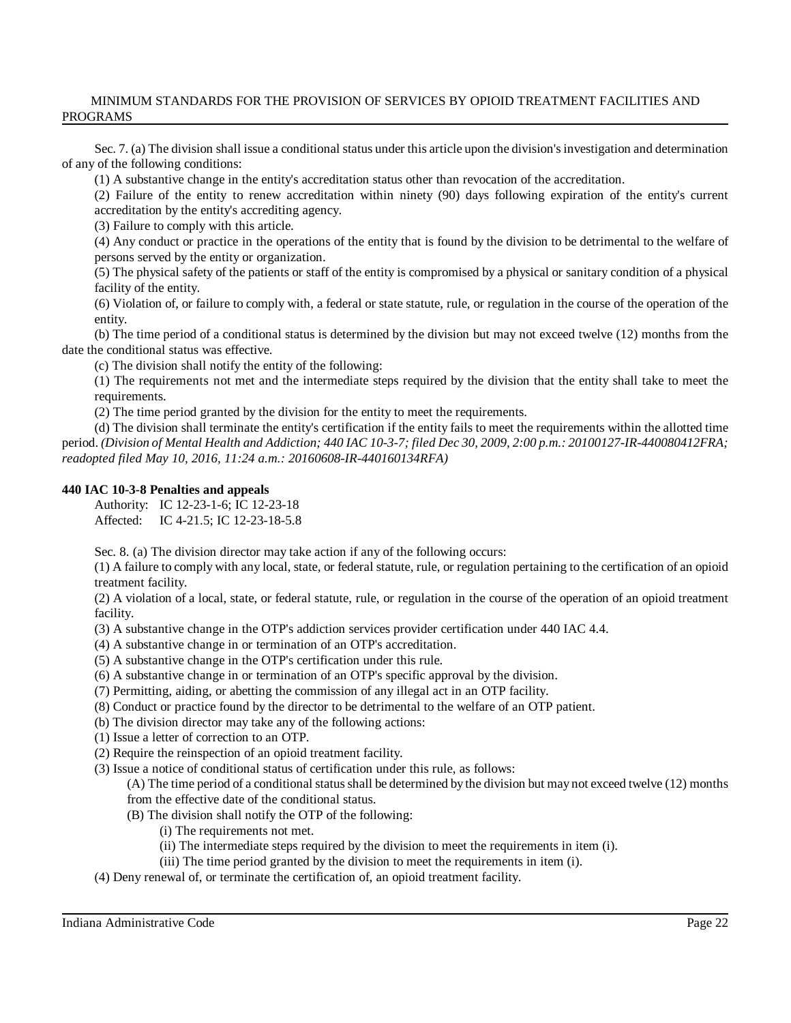Sec. 7. (a) The division shall issue a conditional status under this article upon the division's investigation and determination of any of the following conditions:

(1) A substantive change in the entity's accreditation status other than revocation of the accreditation.

(2) Failure of the entity to renew accreditation within ninety (90) days following expiration of the entity's current accreditation by the entity's accrediting agency.

(3) Failure to comply with this article.

(4) Any conduct or practice in the operations of the entity that is found by the division to be detrimental to the welfare of persons served by the entity or organization.

(5) The physical safety of the patients or staff of the entity is compromised by a physical or sanitary condition of a physical facility of the entity.

(6) Violation of, or failure to comply with, a federal or state statute, rule, or regulation in the course of the operation of the entity.

(b) The time period of a conditional status is determined by the division but may not exceed twelve (12) months from the date the conditional status was effective.

(c) The division shall notify the entity of the following:

(1) The requirements not met and the intermediate steps required by the division that the entity shall take to meet the requirements.

(2) The time period granted by the division for the entity to meet the requirements.

(d) The division shall terminate the entity's certification if the entity fails to meet the requirements within the allotted time period. (Division of Mental Health and Addiction; 440 IAC 10-3-7; filed Dec 30, 2009, 2:00 p.m.: 20100127-IR-440080412FRA; *readopted filed May 10, 2016, 11:24 a.m.: 20160608-IR-440160134RFA)*

#### **440 IAC 10-3-8 Penalties and appeals**

Authority: IC 12-23-1-6; IC 12-23-18 Affected: IC 4-21.5; IC 12-23-18-5.8

Sec. 8. (a) The division director may take action if any of the following occurs:

(1) A failure to comply with any local, state, or federal statute, rule, or regulation pertaining to the certification of an opioid treatment facility.

(2) A violation of a local, state, or federal statute, rule, or regulation in the course of the operation of an opioid treatment facility.

(3) A substantive change in the OTP's addiction services provider certification under 440 IAC 4.4.

- (4) A substantive change in or termination of an OTP's accreditation.
- (5) A substantive change in the OTP's certification under this rule.
- (6) A substantive change in or termination of an OTP's specific approval by the division.
- (7) Permitting, aiding, or abetting the commission of any illegal act in an OTP facility.
- (8) Conduct or practice found by the director to be detrimental to the welfare of an OTP patient.
- (b) The division director may take any of the following actions:
- (1) Issue a letter of correction to an OTP.
- (2) Require the reinspection of an opioid treatment facility.

(3) Issue a notice of conditional status of certification under this rule, as follows:

(A) The time period of a conditional statusshall be determined by the division but may not exceed twelve (12) months from the effective date of the conditional status.

- (B) The division shall notify the OTP of the following:
	- (i) The requirements not met.
	- (ii) The intermediate steps required by the division to meet the requirements in item (i).
	- (iii) The time period granted by the division to meet the requirements in item (i).
- (4) Deny renewal of, or terminate the certification of, an opioid treatment facility.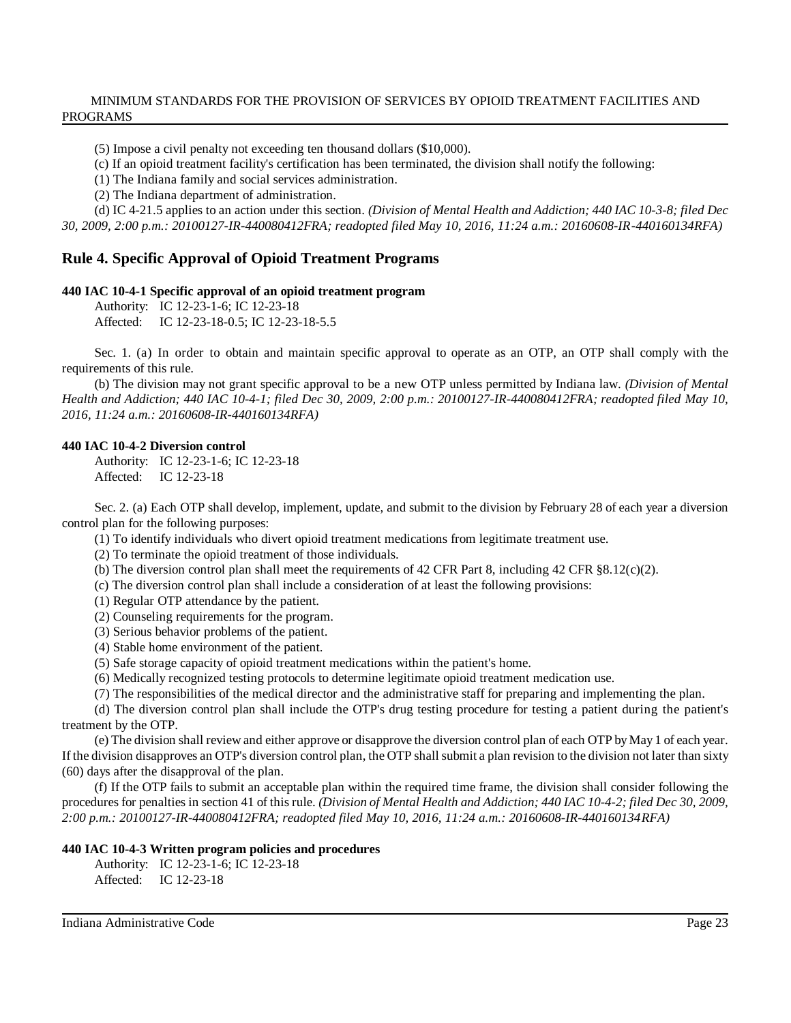(5) Impose a civil penalty not exceeding ten thousand dollars (\$10,000).

(c) If an opioid treatment facility's certification has been terminated, the division shall notify the following:

(1) The Indiana family and social services administration.

(2) The Indiana department of administration.

(d) IC 4-21.5 applies to an action under this section. *(Division of Mental Health and Addiction; 440 IAC 10-3-8; filed Dec 30, 2009, 2:00 p.m.: 20100127-IR-440080412FRA; readopted filed May 10, 2016, 11:24 a.m.: 20160608-IR-440160134RFA)*

# **Rule 4. Specific Approval of Opioid Treatment Programs**

#### **440 IAC 10-4-1 Specific approval of an opioid treatment program**

Authority: IC 12-23-1-6; IC 12-23-18 Affected: IC 12-23-18-0.5; IC 12-23-18-5.5

Sec. 1. (a) In order to obtain and maintain specific approval to operate as an OTP, an OTP shall comply with the requirements of this rule.

(b) The division may not grant specific approval to be a new OTP unless permitted by Indiana law. *(Division of Mental Health and Addiction; 440 IAC 10-4-1; filed Dec 30, 2009, 2:00 p.m.: 20100127-IR-440080412FRA; readopted filed May 10, 2016, 11:24 a.m.: 20160608-IR-440160134RFA)*

#### **440 IAC 10-4-2 Diversion control**

Authority: IC 12-23-1-6; IC 12-23-18 Affected: IC 12-23-18

Sec. 2. (a) Each OTP shall develop, implement, update, and submit to the division by February 28 of each year a diversion control plan for the following purposes:

(1) To identify individuals who divert opioid treatment medications from legitimate treatment use.

(2) To terminate the opioid treatment of those individuals.

- (b) The diversion control plan shall meet the requirements of 42 CFR Part 8, including 42 CFR  $\S 8.12(c)(2)$ .
- (c) The diversion control plan shall include a consideration of at least the following provisions:
- (1) Regular OTP attendance by the patient.
- (2) Counseling requirements for the program.
- (3) Serious behavior problems of the patient.
- (4) Stable home environment of the patient.
- (5) Safe storage capacity of opioid treatment medications within the patient's home.
- (6) Medically recognized testing protocols to determine legitimate opioid treatment medication use.

(7) The responsibilities of the medical director and the administrative staff for preparing and implementing the plan.

(d) The diversion control plan shall include the OTP's drug testing procedure for testing a patient during the patient's treatment by the OTP.

(e) The division shall review and either approve or disapprove the diversion control plan of each OTP byMay 1 of each year. If the division disapproves an OTP's diversion control plan, the OTP shall submit a plan revision to the division not later than sixty (60) days after the disapproval of the plan.

(f) If the OTP fails to submit an acceptable plan within the required time frame, the division shall consider following the procedures for penalties in section 41 of this rule. *(Division of Mental Health and Addiction; 440 IAC 10-4-2; filed Dec 30, 2009, 2:00 p.m.: 20100127-IR-440080412FRA; readopted filed May 10, 2016, 11:24 a.m.: 20160608-IR-440160134RFA)*

#### **440 IAC 10-4-3 Written program policies and procedures**

```
Authority: IC 12-23-1-6; IC 12-23-18
Affected: IC 12-23-18
```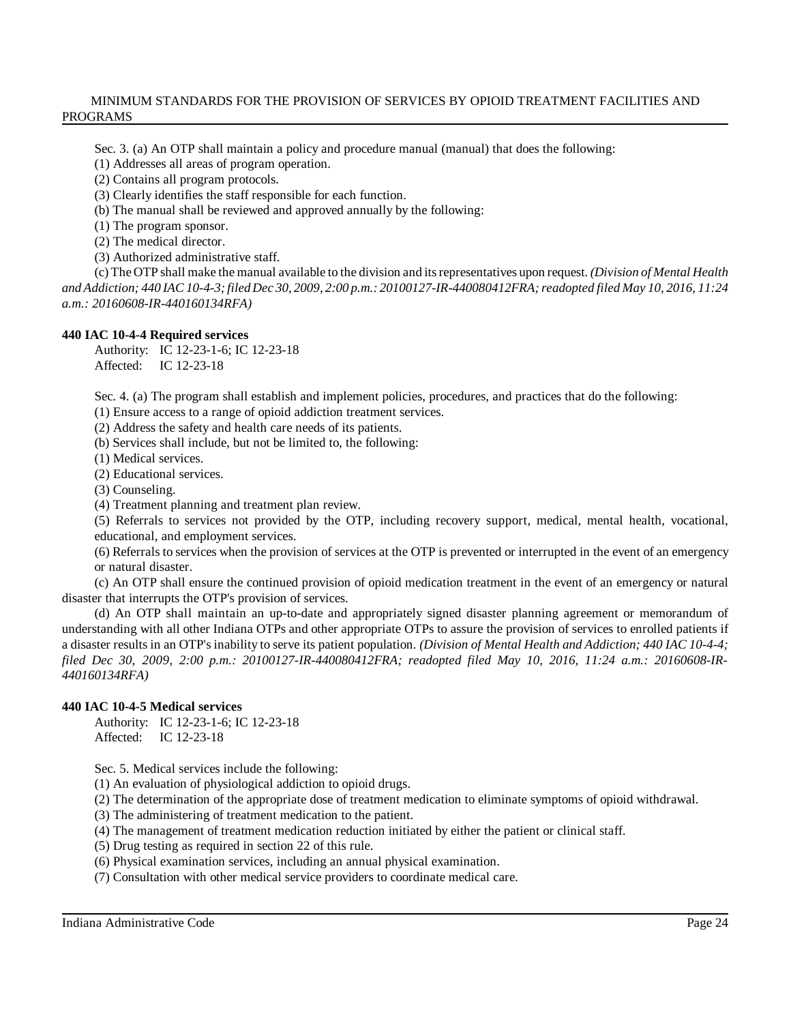Sec. 3. (a) An OTP shall maintain a policy and procedure manual (manual) that does the following:

(1) Addresses all areas of program operation.

(2) Contains all program protocols.

(3) Clearly identifies the staff responsible for each function.

(b) The manual shall be reviewed and approved annually by the following:

(1) The program sponsor.

(2) The medical director.

(3) Authorized administrative staff.

(c) The OTP shall make the manual available to the division and itsrepresentatives upon request. *(Division of Mental Health* and Addiction; 440 IAC 10-4-3; filed Dec 30, 2009, 2:00 p.m.: 20100127-IR-440080412FRA; readopted filed May 10, 2016, 11:24 *a.m.: 20160608-IR-440160134RFA)*

#### **440 IAC 10-4-4 Required services**

Authority: IC 12-23-1-6; IC 12-23-18 Affected: IC 12-23-18

Sec. 4. (a) The program shall establish and implement policies, procedures, and practices that do the following:

(1) Ensure access to a range of opioid addiction treatment services.

(2) Address the safety and health care needs of its patients.

(b) Services shall include, but not be limited to, the following:

(1) Medical services.

(2) Educational services.

(3) Counseling.

(4) Treatment planning and treatment plan review.

(5) Referrals to services not provided by the OTP, including recovery support, medical, mental health, vocational, educational, and employment services.

(6) Referrals to services when the provision of services at the OTP is prevented or interrupted in the event of an emergency or natural disaster.

(c) An OTP shall ensure the continued provision of opioid medication treatment in the event of an emergency or natural disaster that interrupts the OTP's provision of services.

(d) An OTP shall maintain an up-to-date and appropriately signed disaster planning agreement or memorandum of understanding with all other Indiana OTPs and other appropriate OTPs to assure the provision of services to enrolled patients if a disaster results in an OTP's inability to serve its patient population. *(Division of Mental Health and Addiction; 440 IAC 10-4-4; filed Dec 30, 2009, 2:00 p.m.: 20100127-IR-440080412FRA; readopted filed May 10, 2016, 11:24 a.m.: 20160608-IR-440160134RFA)*

#### **440 IAC 10-4-5 Medical services**

Authority: IC 12-23-1-6; IC 12-23-18 Affected: IC 12-23-18

Sec. 5. Medical services include the following:

(1) An evaluation of physiological addiction to opioid drugs.

(2) The determination of the appropriate dose of treatment medication to eliminate symptoms of opioid withdrawal.

(3) The administering of treatment medication to the patient.

(4) The management of treatment medication reduction initiated by either the patient or clinical staff.

(5) Drug testing as required in section 22 of this rule.

(6) Physical examination services, including an annual physical examination.

(7) Consultation with other medical service providers to coordinate medical care.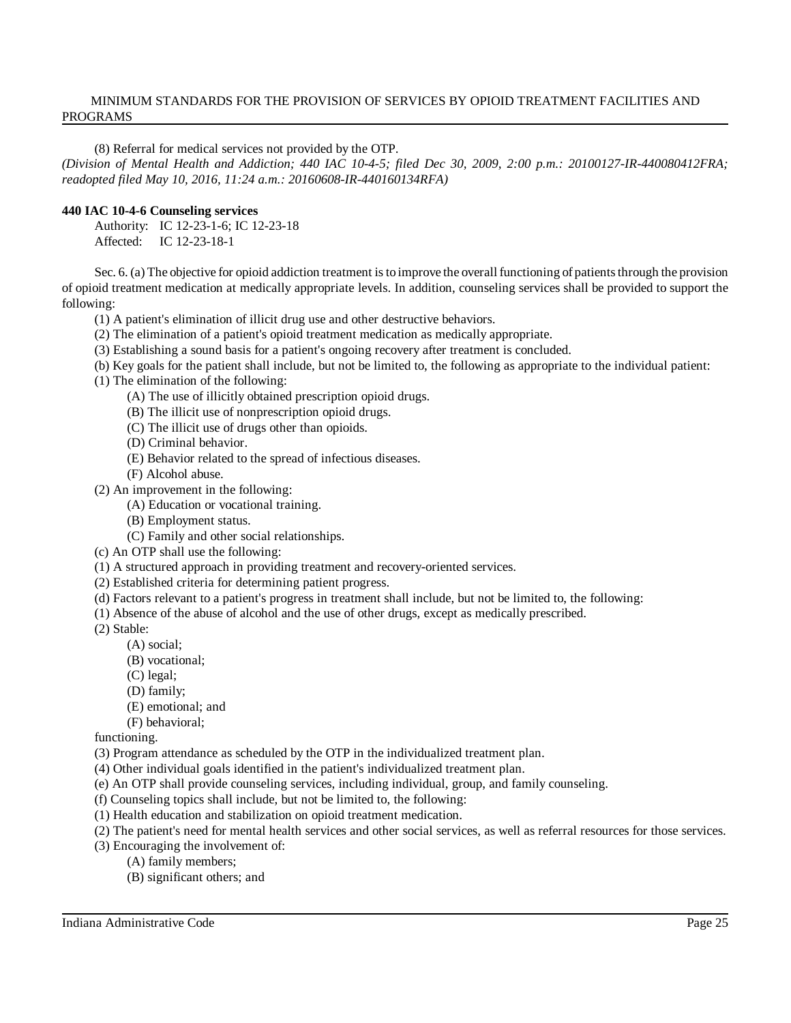(8) Referral for medical services not provided by the OTP.

(Division of Mental Health and Addiction; 440 IAC 10-4-5; filed Dec 30, 2009, 2:00 p.m.: 20100127-IR-440080412FRA; *readopted filed May 10, 2016, 11:24 a.m.: 20160608-IR-440160134RFA)*

### **440 IAC 10-4-6 Counseling services**

Authority: IC 12-23-1-6; IC 12-23-18 Affected: IC 12-23-18-1

Sec. 6. (a) The objective for opioid addiction treatment is to improve the overall functioning of patients through the provision of opioid treatment medication at medically appropriate levels. In addition, counseling services shall be provided to support the following:

(1) A patient's elimination of illicit drug use and other destructive behaviors.

(2) The elimination of a patient's opioid treatment medication as medically appropriate.

(3) Establishing a sound basis for a patient's ongoing recovery after treatment is concluded.

(b) Key goals for the patient shall include, but not be limited to, the following as appropriate to the individual patient:

(1) The elimination of the following:

(A) The use of illicitly obtained prescription opioid drugs.

- (B) The illicit use of nonprescription opioid drugs.
- (C) The illicit use of drugs other than opioids.
- (D) Criminal behavior.
- (E) Behavior related to the spread of infectious diseases.
- (F) Alcohol abuse.
- (2) An improvement in the following:
	- (A) Education or vocational training.
	- (B) Employment status.
	- (C) Family and other social relationships.
- (c) An OTP shall use the following:
- (1) A structured approach in providing treatment and recovery-oriented services.
- (2) Established criteria for determining patient progress.
- (d) Factors relevant to a patient's progress in treatment shall include, but not be limited to, the following:
- (1) Absence of the abuse of alcohol and the use of other drugs, except as medically prescribed.

(2) Stable:

- (A) social;
- (B) vocational;
- (C) legal;
- (D) family;
- (E) emotional; and
- (F) behavioral;

functioning.

(3) Program attendance as scheduled by the OTP in the individualized treatment plan.

- (4) Other individual goals identified in the patient's individualized treatment plan.
- (e) An OTP shall provide counseling services, including individual, group, and family counseling.
- (f) Counseling topics shall include, but not be limited to, the following:
- (1) Health education and stabilization on opioid treatment medication.
- (2) The patient's need for mental health services and other social services, as well as referral resources for those services.
- (3) Encouraging the involvement of:
	- (A) family members;
	- (B) significant others; and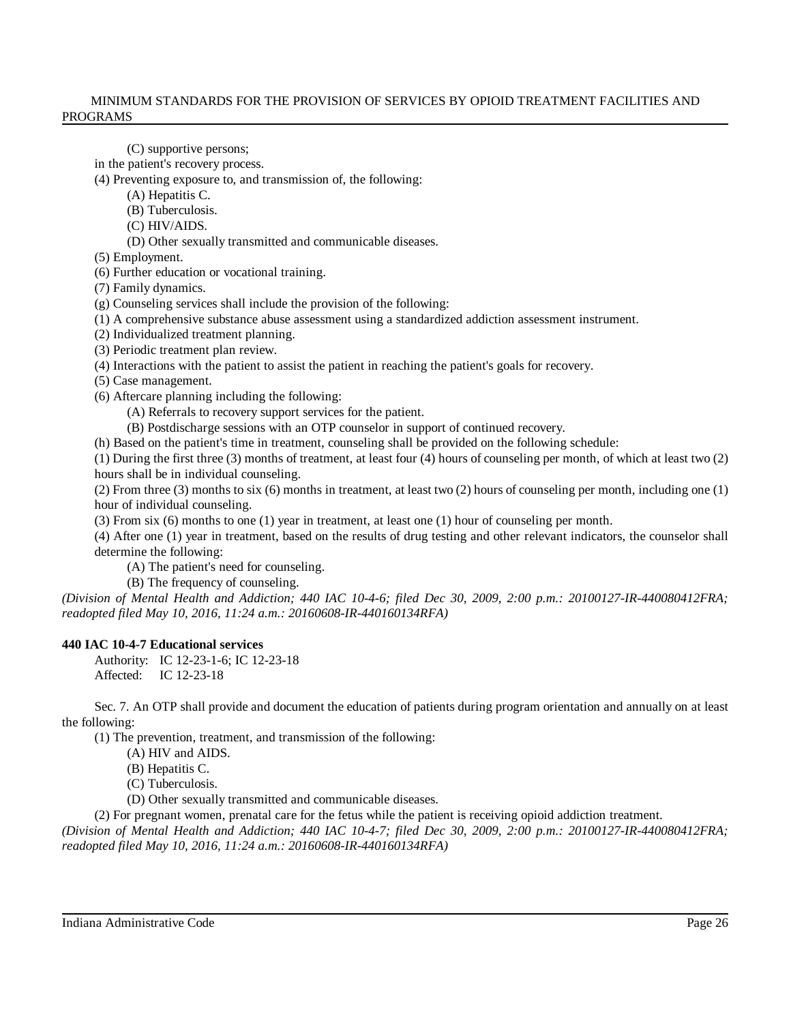(C) supportive persons;

in the patient's recovery process.

(4) Preventing exposure to, and transmission of, the following:

(A) Hepatitis C.

(B) Tuberculosis.

(C) HIV/AIDS.

(D) Other sexually transmitted and communicable diseases.

(5) Employment.

(6) Further education or vocational training.

(7) Family dynamics.

(g) Counseling services shall include the provision of the following:

(1) A comprehensive substance abuse assessment using a standardized addiction assessment instrument.

(2) Individualized treatment planning.

(3) Periodic treatment plan review.

(4) Interactions with the patient to assist the patient in reaching the patient's goals for recovery.

(5) Case management.

(6) Aftercare planning including the following:

(A) Referrals to recovery support services for the patient.

(B) Postdischarge sessions with an OTP counselor in support of continued recovery.

(h) Based on the patient's time in treatment, counseling shall be provided on the following schedule:

(1) During the first three (3) months of treatment, at least four (4) hours of counseling per month, of which at least two (2) hours shall be in individual counseling.

(2) From three (3) months to six (6) months in treatment, at least two (2) hours of counseling per month, including one (1) hour of individual counseling.

(3) From six (6) months to one (1) year in treatment, at least one (1) hour of counseling per month.

(4) After one (1) year in treatment, based on the results of drug testing and other relevant indicators, the counselor shall determine the following:

(A) The patient's need for counseling.

(B) The frequency of counseling.

(Division of Mental Health and Addiction; 440 IAC 10-4-6; filed Dec 30, 2009, 2:00 p.m.: 20100127-IR-440080412FRA; *readopted filed May 10, 2016, 11:24 a.m.: 20160608-IR-440160134RFA)*

# **440 IAC 10-4-7 Educational services**

Authority: IC 12-23-1-6; IC 12-23-18 Affected: IC 12-23-18

Sec. 7. An OTP shall provide and document the education of patients during program orientation and annually on at least the following:

(1) The prevention, treatment, and transmission of the following:

(A) HIV and AIDS.

(B) Hepatitis C.

(C) Tuberculosis.

(D) Other sexually transmitted and communicable diseases.

(2) For pregnant women, prenatal care for the fetus while the patient is receiving opioid addiction treatment.

(Division of Mental Health and Addiction; 440 IAC 10-4-7; filed Dec 30, 2009, 2:00 p.m.: 20100127-IR-440080412FRA; *readopted filed May 10, 2016, 11:24 a.m.: 20160608-IR-440160134RFA)*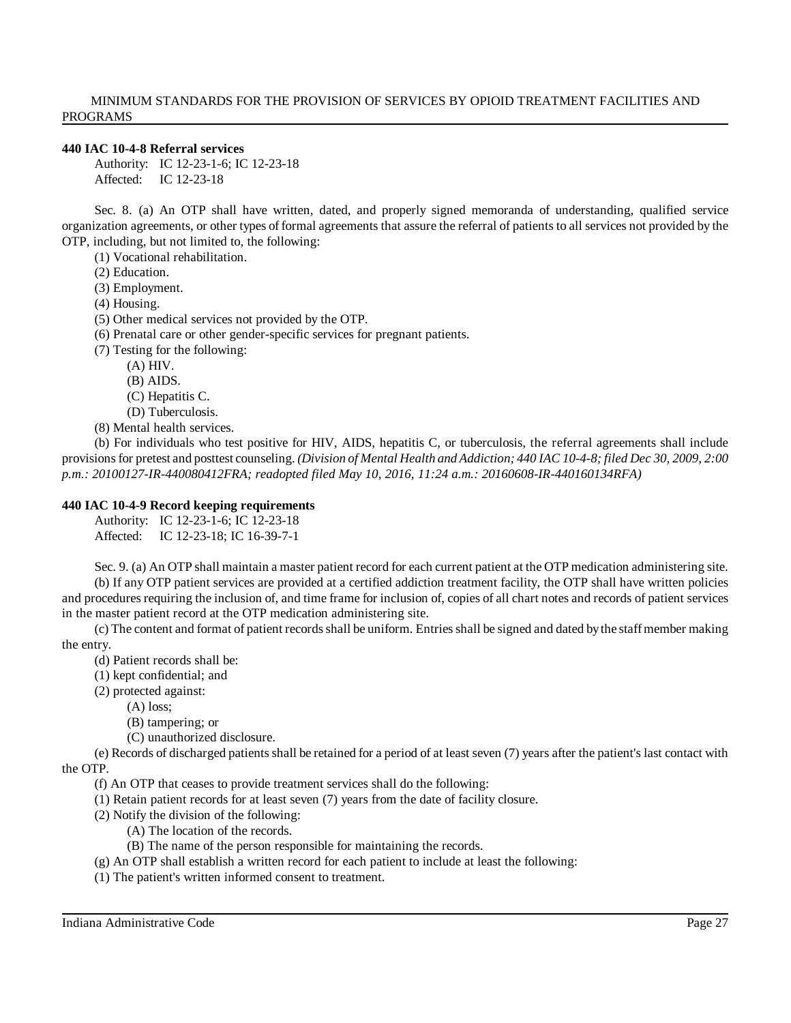#### **440 IAC 10-4-8 Referral services**

Authority: IC 12-23-1-6; IC 12-23-18 Affected: IC 12-23-18

Sec. 8. (a) An OTP shall have written, dated, and properly signed memoranda of understanding, qualified service organization agreements, or other types of formal agreements that assure the referral of patients to all services not provided by the OTP, including, but not limited to, the following:

(1) Vocational rehabilitation.

(2) Education.

(3) Employment.

(4) Housing.

(5) Other medical services not provided by the OTP.

(6) Prenatal care or other gender-specific services for pregnant patients.

(7) Testing for the following:

(A) HIV.

- (B) AIDS.
- (C) Hepatitis C.
- (D) Tuberculosis.

(8) Mental health services.

(b) For individuals who test positive for HIV, AIDS, hepatitis C, or tuberculosis, the referral agreements shall include provisions for pretest and posttest counseling. (Division of Mental Health and Addiction; 440 IAC 10-4-8; filed Dec 30, 2009, 2:00 *p.m.: 20100127-IR-440080412FRA; readopted filed May 10, 2016, 11:24 a.m.: 20160608-IR-440160134RFA)*

# **440 IAC 10-4-9 Record keeping requirements**

Authority: IC 12-23-1-6; IC 12-23-18 Affected: IC 12-23-18; IC 16-39-7-1

Sec. 9. (a) An OTP shall maintain a master patient record for each current patient at the OTP medication administering site. (b) If any OTP patient services are provided at a certified addiction treatment facility, the OTP shall have written policies and procedures requiring the inclusion of, and time frame for inclusion of, copies of all chart notes and records of patient services in the master patient record at the OTP medication administering site.

(c) The content and format of patient records shall be uniform. Entries shall be signed and dated by the staff member making the entry.

(d) Patient records shall be:

(1) kept confidential; and

(2) protected against:

(A) loss;

(B) tampering; or

(C) unauthorized disclosure.

(e) Records of discharged patientsshall be retained for a period of at least seven (7) years after the patient's last contact with the OTP.

(f) An OTP that ceases to provide treatment services shall do the following:

(1) Retain patient records for at least seven (7) years from the date of facility closure.

(2) Notify the division of the following:

- (A) The location of the records.
- (B) The name of the person responsible for maintaining the records.
- (g) An OTP shall establish a written record for each patient to include at least the following:
- (1) The patient's written informed consent to treatment.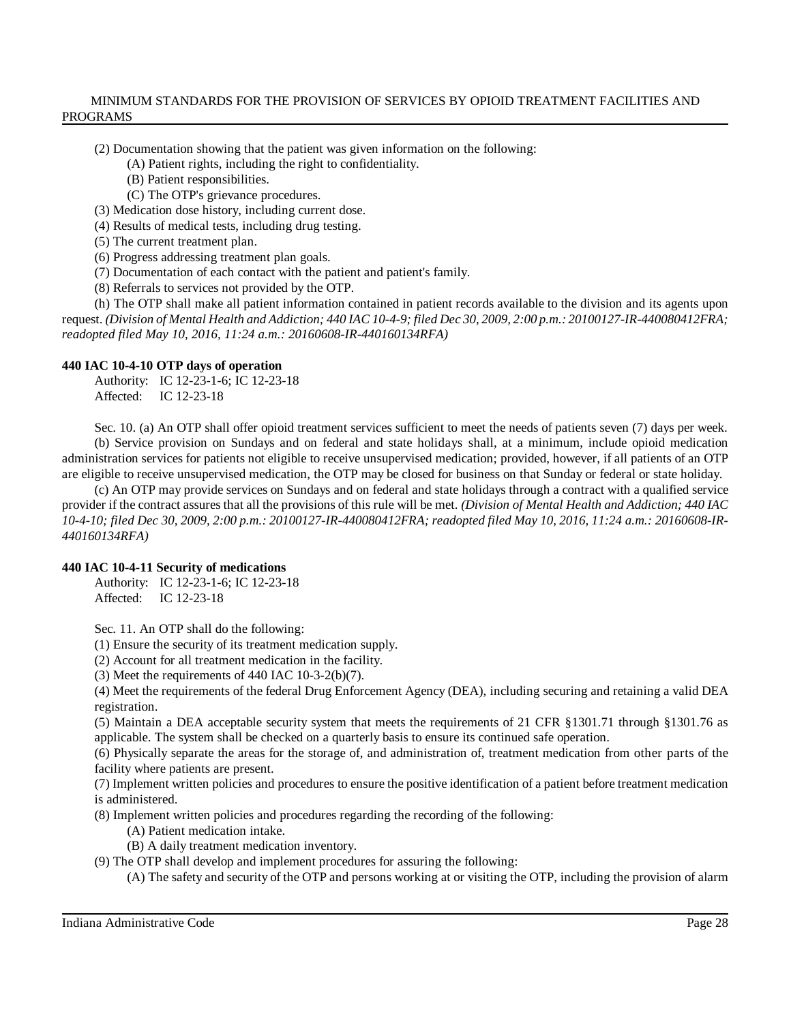(2) Documentation showing that the patient was given information on the following:

(A) Patient rights, including the right to confidentiality.

(B) Patient responsibilities.

(C) The OTP's grievance procedures.

(3) Medication dose history, including current dose.

(4) Results of medical tests, including drug testing.

(5) The current treatment plan.

(6) Progress addressing treatment plan goals.

(7) Documentation of each contact with the patient and patient's family.

(8) Referrals to services not provided by the OTP.

(h) The OTP shall make all patient information contained in patient records available to the division and its agents upon request. (Division of Mental Health and Addiction; 440 IAC 10-4-9; filed Dec 30, 2009, 2:00 p.m.: 20100127-IR-440080412FRA; *readopted filed May 10, 2016, 11:24 a.m.: 20160608-IR-440160134RFA)*

#### **440 IAC 10-4-10 OTP days of operation**

Authority: IC 12-23-1-6; IC 12-23-18 Affected: IC 12-23-18

Sec. 10. (a) An OTP shall offer opioid treatment services sufficient to meet the needs of patients seven (7) days per week. (b) Service provision on Sundays and on federal and state holidays shall, at a minimum, include opioid medication administration services for patients not eligible to receive unsupervised medication; provided, however, if all patients of an OTP are eligible to receive unsupervised medication, the OTP may be closed for business on that Sunday or federal or state holiday.

(c) An OTP may provide services on Sundays and on federal and state holidays through a contract with a qualified service provider if the contract assures that all the provisions of this rule will be met. *(Division of Mental Health and Addiction; 440 IAC* 10-4-10; filed Dec 30, 2009, 2:00 p.m.: 20100127-IR-440080412FRA; readopted filed May 10, 2016, 11:24 a.m.: 20160608-IR-*440160134RFA)*

# **440 IAC 10-4-11 Security of medications**

Authority: IC 12-23-1-6; IC 12-23-18 Affected: IC 12-23-18

Sec. 11. An OTP shall do the following:

(1) Ensure the security of its treatment medication supply.

(2) Account for all treatment medication in the facility.

(3) Meet the requirements of 440 IAC 10-3-2(b)(7).

(4) Meet the requirements of the federal Drug Enforcement Agency (DEA), including securing and retaining a valid DEA registration.

(5) Maintain a DEA acceptable security system that meets the requirements of 21 CFR §1301.71 through §1301.76 as applicable. The system shall be checked on a quarterly basis to ensure its continued safe operation.

(6) Physically separate the areas for the storage of, and administration of, treatment medication from other parts of the facility where patients are present.

(7) Implement written policies and procedures to ensure the positive identification of a patient before treatment medication is administered.

(8) Implement written policies and procedures regarding the recording of the following:

(A) Patient medication intake.

(B) A daily treatment medication inventory.

(9) The OTP shall develop and implement procedures for assuring the following:

(A) The safety and security of the OTP and persons working at or visiting the OTP, including the provision of alarm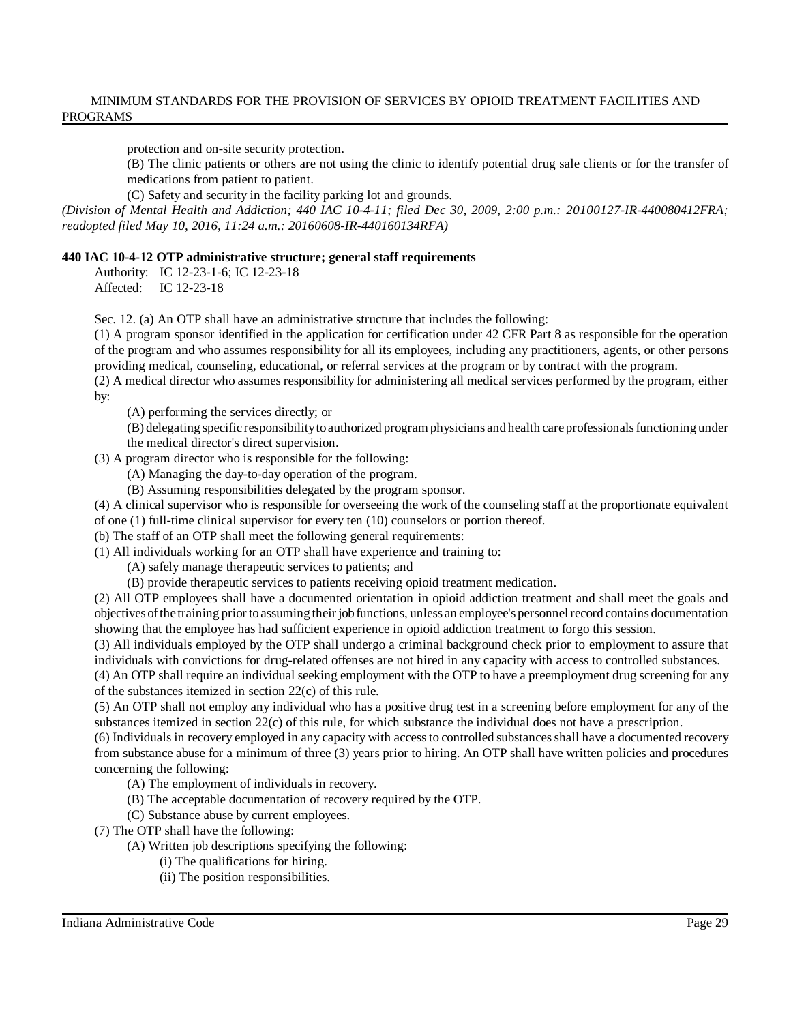protection and on-site security protection.

(B) The clinic patients or others are not using the clinic to identify potential drug sale clients or for the transfer of medications from patient to patient.

(C) Safety and security in the facility parking lot and grounds.

*(Division of Mental Health and Addiction; 440 IAC 10-4-11; filed Dec 30, 2009, 2:00 p.m.: 20100127-IR-440080412FRA; readopted filed May 10, 2016, 11:24 a.m.: 20160608-IR-440160134RFA)*

### **440 IAC 10-4-12 OTP administrative structure; general staff requirements**

Authority: IC 12-23-1-6; IC 12-23-18 Affected: IC 12-23-18

Sec. 12. (a) An OTP shall have an administrative structure that includes the following:

(1) A program sponsor identified in the application for certification under 42 CFR Part 8 as responsible for the operation of the program and who assumes responsibility for all its employees, including any practitioners, agents, or other persons providing medical, counseling, educational, or referral services at the program or by contract with the program.

(2) A medical director who assumes responsibility for administering all medical services performed by the program, either by:

(A) performing the services directly; or

(B) delegating specific responsibilitytoauthorized program physicians and health care professionals functioning under the medical director's direct supervision.

(3) A program director who is responsible for the following:

(A) Managing the day-to-day operation of the program.

(B) Assuming responsibilities delegated by the program sponsor.

(4) A clinical supervisor who is responsible for overseeing the work of the counseling staff at the proportionate equivalent of one (1) full-time clinical supervisor for every ten (10) counselors or portion thereof.

(b) The staff of an OTP shall meet the following general requirements:

(1) All individuals working for an OTP shall have experience and training to:

(A) safely manage therapeutic services to patients; and

(B) provide therapeutic services to patients receiving opioid treatment medication.

(2) All OTP employees shall have a documented orientation in opioid addiction treatment and shall meet the goals and objectives ofthe training prior toassuming their jobfunctions, unless an employee's personnelrecord contains documentation showing that the employee has had sufficient experience in opioid addiction treatment to forgo this session.

(3) All individuals employed by the OTP shall undergo a criminal background check prior to employment to assure that individuals with convictions for drug-related offenses are not hired in any capacity with access to controlled substances.

(4) An OTP shall require an individual seeking employment with the OTP to have a preemployment drug screening for any of the substances itemized in section 22(c) of this rule.

(5) An OTP shall not employ any individual who has a positive drug test in a screening before employment for any of the substances itemized in section 22(c) of this rule, for which substance the individual does not have a prescription.

(6) Individuals in recovery employed in any capacity with accessto controlled substancesshall have a documented recovery from substance abuse for a minimum of three (3) years prior to hiring. An OTP shall have written policies and procedures concerning the following:

- (A) The employment of individuals in recovery.
- (B) The acceptable documentation of recovery required by the OTP.
- (C) Substance abuse by current employees.

(7) The OTP shall have the following:

- (A) Written job descriptions specifying the following:
	- (i) The qualifications for hiring.
	- (ii) The position responsibilities.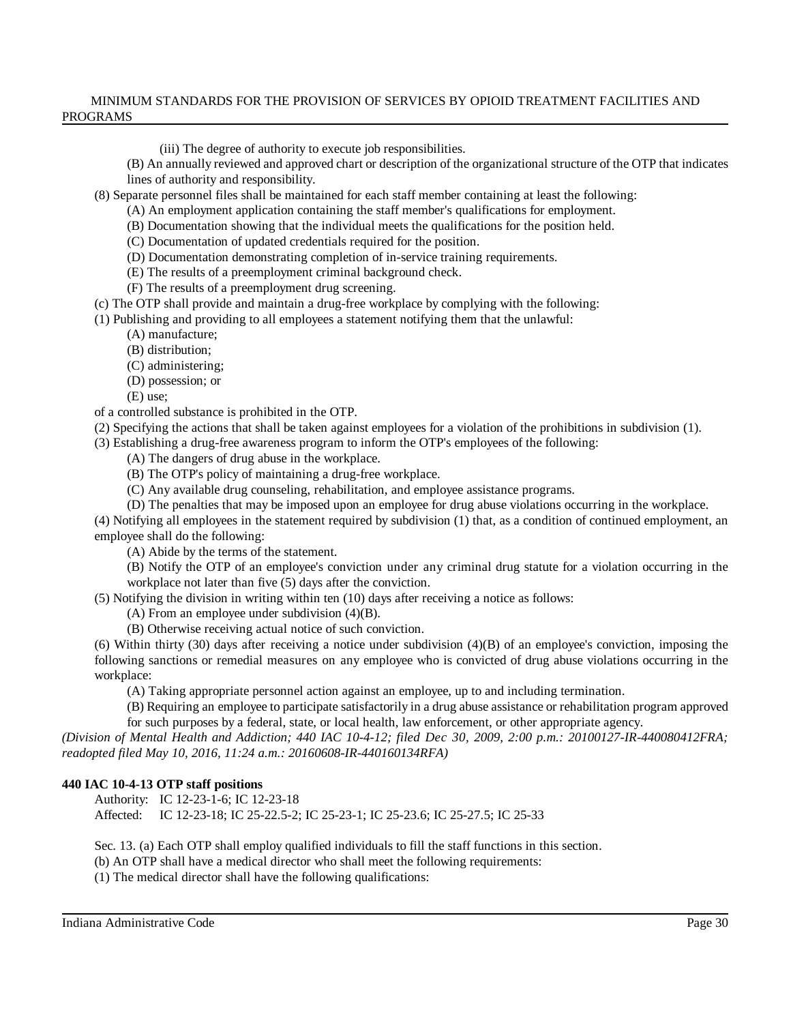(iii) The degree of authority to execute job responsibilities.

(B) An annually reviewed and approved chart or description of the organizational structure of the OTP that indicates lines of authority and responsibility.

(8) Separate personnel files shall be maintained for each staff member containing at least the following:

(A) An employment application containing the staff member's qualifications for employment.

(B) Documentation showing that the individual meets the qualifications for the position held.

(C) Documentation of updated credentials required for the position.

(D) Documentation demonstrating completion of in-service training requirements.

(E) The results of a preemployment criminal background check.

(F) The results of a preemployment drug screening.

(c) The OTP shall provide and maintain a drug-free workplace by complying with the following:

(1) Publishing and providing to all employees a statement notifying them that the unlawful:

(A) manufacture;

(B) distribution;

(C) administering;

(D) possession; or

(E) use;

of a controlled substance is prohibited in the OTP.

(2) Specifying the actions that shall be taken against employees for a violation of the prohibitions in subdivision (1).

(3) Establishing a drug-free awareness program to inform the OTP's employees of the following:

(A) The dangers of drug abuse in the workplace.

(B) The OTP's policy of maintaining a drug-free workplace.

(C) Any available drug counseling, rehabilitation, and employee assistance programs.

(D) The penalties that may be imposed upon an employee for drug abuse violations occurring in the workplace.

(4) Notifying all employees in the statement required by subdivision (1) that, as a condition of continued employment, an employee shall do the following:

(A) Abide by the terms of the statement.

(B) Notify the OTP of an employee's conviction under any criminal drug statute for a violation occurring in the workplace not later than five (5) days after the conviction.

(5) Notifying the division in writing within ten (10) days after receiving a notice as follows:

(A) From an employee under subdivision (4)(B).

(B) Otherwise receiving actual notice of such conviction.

(6) Within thirty (30) days after receiving a notice under subdivision (4)(B) of an employee's conviction, imposing the following sanctions or remedial measures on any employee who is convicted of drug abuse violations occurring in the workplace:

(A) Taking appropriate personnel action against an employee, up to and including termination.

(B) Requiring an employee to participate satisfactorily in a drug abuse assistance or rehabilitation program approved for such purposes by a federal, state, or local health, law enforcement, or other appropriate agency.

*(Division of Mental Health and Addiction; 440 IAC 10-4-12; filed Dec 30, 2009, 2:00 p.m.: 20100127-IR-440080412FRA; readopted filed May 10, 2016, 11:24 a.m.: 20160608-IR-440160134RFA)*

# **440 IAC 10-4-13 OTP staff positions**

Authority: IC 12-23-1-6; IC 12-23-18

Affected: IC 12-23-18; IC 25-22.5-2; IC 25-23-1; IC 25-23.6; IC 25-27.5; IC 25-33

Sec. 13. (a) Each OTP shall employ qualified individuals to fill the staff functions in this section.

(b) An OTP shall have a medical director who shall meet the following requirements:

(1) The medical director shall have the following qualifications: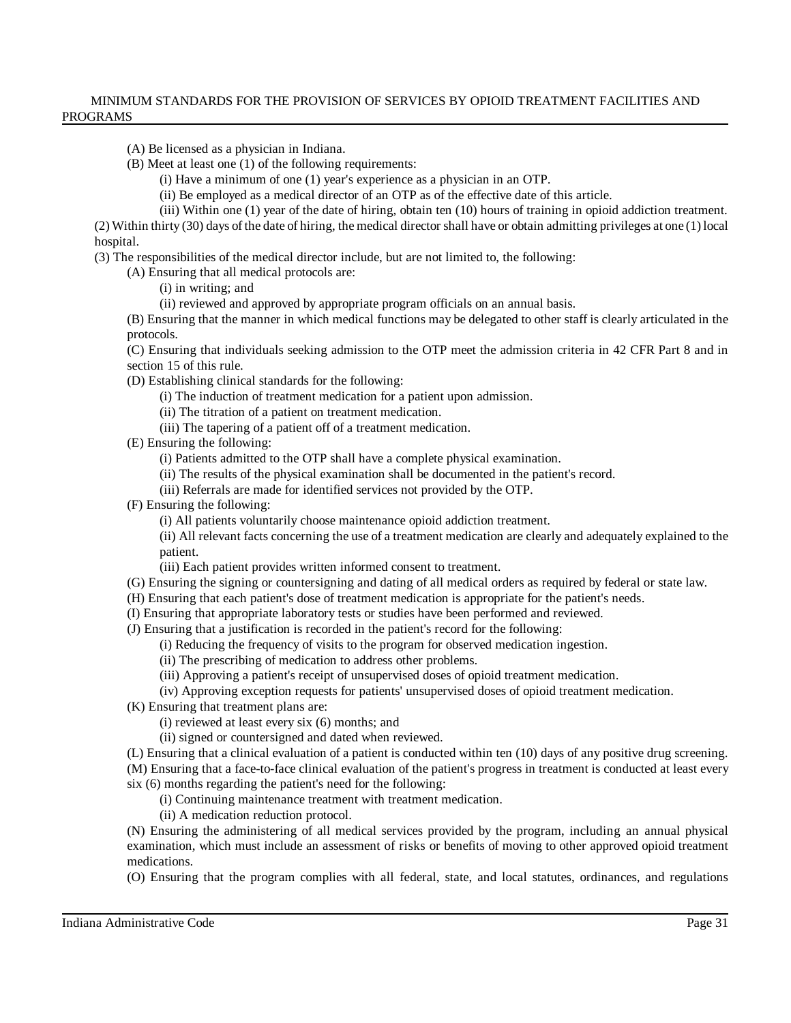(A) Be licensed as a physician in Indiana.

(B) Meet at least one (1) of the following requirements:

(i) Have a minimum of one (1) year's experience as a physician in an OTP.

(ii) Be employed as a medical director of an OTP as of the effective date of this article.

(iii) Within one (1) year of the date of hiring, obtain ten (10) hours of training in opioid addiction treatment.

(2) Within thirty (30) days of the date of hiring, the medical director shall have or obtain admitting privileges at one (1) local hospital.

(3) The responsibilities of the medical director include, but are not limited to, the following:

(A) Ensuring that all medical protocols are:

(i) in writing; and

(ii) reviewed and approved by appropriate program officials on an annual basis.

(B) Ensuring that the manner in which medical functions may be delegated to other staff is clearly articulated in the protocols.

(C) Ensuring that individuals seeking admission to the OTP meet the admission criteria in 42 CFR Part 8 and in section 15 of this rule.

(D) Establishing clinical standards for the following:

(i) The induction of treatment medication for a patient upon admission.

(ii) The titration of a patient on treatment medication.

(iii) The tapering of a patient off of a treatment medication.

(E) Ensuring the following:

(i) Patients admitted to the OTP shall have a complete physical examination.

(ii) The results of the physical examination shall be documented in the patient's record.

(iii) Referrals are made for identified services not provided by the OTP.

(F) Ensuring the following:

(i) All patients voluntarily choose maintenance opioid addiction treatment.

(ii) All relevant facts concerning the use of a treatment medication are clearly and adequately explained to the patient.

(iii) Each patient provides written informed consent to treatment.

(G) Ensuring the signing or countersigning and dating of all medical orders as required by federal or state law.

(H) Ensuring that each patient's dose of treatment medication is appropriate for the patient's needs.

(I) Ensuring that appropriate laboratory tests or studies have been performed and reviewed.

(J) Ensuring that a justification is recorded in the patient's record for the following:

(i) Reducing the frequency of visits to the program for observed medication ingestion.

(ii) The prescribing of medication to address other problems.

(iii) Approving a patient's receipt of unsupervised doses of opioid treatment medication.

(iv) Approving exception requests for patients' unsupervised doses of opioid treatment medication.

(K) Ensuring that treatment plans are:

(i) reviewed at least every six (6) months; and

(ii) signed or countersigned and dated when reviewed.

(L) Ensuring that a clinical evaluation of a patient is conducted within ten (10) days of any positive drug screening.

(M) Ensuring that a face-to-face clinical evaluation of the patient's progress in treatment is conducted at least every six (6) months regarding the patient's need for the following:

(i) Continuing maintenance treatment with treatment medication.

(ii) A medication reduction protocol.

(N) Ensuring the administering of all medical services provided by the program, including an annual physical examination, which must include an assessment of risks or benefits of moving to other approved opioid treatment medications.

(O) Ensuring that the program complies with all federal, state, and local statutes, ordinances, and regulations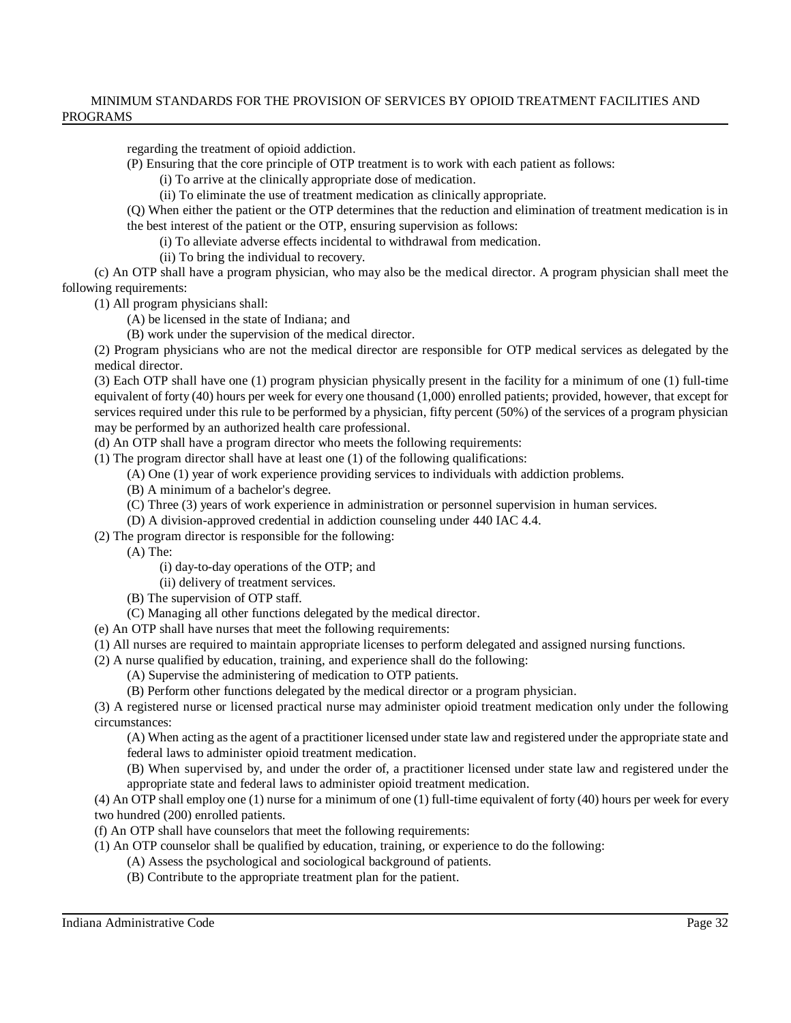regarding the treatment of opioid addiction.

- (P) Ensuring that the core principle of OTP treatment is to work with each patient as follows:
	- (i) To arrive at the clinically appropriate dose of medication.
	- (ii) To eliminate the use of treatment medication as clinically appropriate.
- (Q) When either the patient or the OTP determines that the reduction and elimination of treatment medication is in the best interest of the patient or the OTP, ensuring supervision as follows:
	- (i) To alleviate adverse effects incidental to withdrawal from medication.
	- (ii) To bring the individual to recovery.

(c) An OTP shall have a program physician, who may also be the medical director. A program physician shall meet the following requirements:

(1) All program physicians shall:

- (A) be licensed in the state of Indiana; and
- (B) work under the supervision of the medical director.

(2) Program physicians who are not the medical director are responsible for OTP medical services as delegated by the medical director.

(3) Each OTP shall have one (1) program physician physically present in the facility for a minimum of one (1) full-time equivalent of forty (40) hours per week for every one thousand (1,000) enrolled patients; provided, however, that except for services required under this rule to be performed by a physician, fifty percent (50%) of the services of a program physician may be performed by an authorized health care professional.

(d) An OTP shall have a program director who meets the following requirements:

(1) The program director shall have at least one (1) of the following qualifications:

- (A) One (1) year of work experience providing services to individuals with addiction problems.
- (B) A minimum of a bachelor's degree.
- (C) Three (3) years of work experience in administration or personnel supervision in human services.
- (D) A division-approved credential in addiction counseling under 440 IAC 4.4.
- (2) The program director is responsible for the following:

(A) The:

- (i) day-to-day operations of the OTP; and
- (ii) delivery of treatment services.
- (B) The supervision of OTP staff.
- (C) Managing all other functions delegated by the medical director.
- (e) An OTP shall have nurses that meet the following requirements:
- (1) All nurses are required to maintain appropriate licenses to perform delegated and assigned nursing functions.
- (2) A nurse qualified by education, training, and experience shall do the following:
	- (A) Supervise the administering of medication to OTP patients.
	- (B) Perform other functions delegated by the medical director or a program physician.

(3) A registered nurse or licensed practical nurse may administer opioid treatment medication only under the following circumstances:

(A) When acting as the agent of a practitioner licensed under state law and registered under the appropriate state and federal laws to administer opioid treatment medication.

(B) When supervised by, and under the order of, a practitioner licensed under state law and registered under the appropriate state and federal laws to administer opioid treatment medication.

(4) An OTP shall employ one (1) nurse for a minimum of one (1) full-time equivalent of forty (40) hours per week for every two hundred (200) enrolled patients.

(f) An OTP shall have counselors that meet the following requirements:

- (1) An OTP counselor shall be qualified by education, training, or experience to do the following:
	- (A) Assess the psychological and sociological background of patients.
	- (B) Contribute to the appropriate treatment plan for the patient.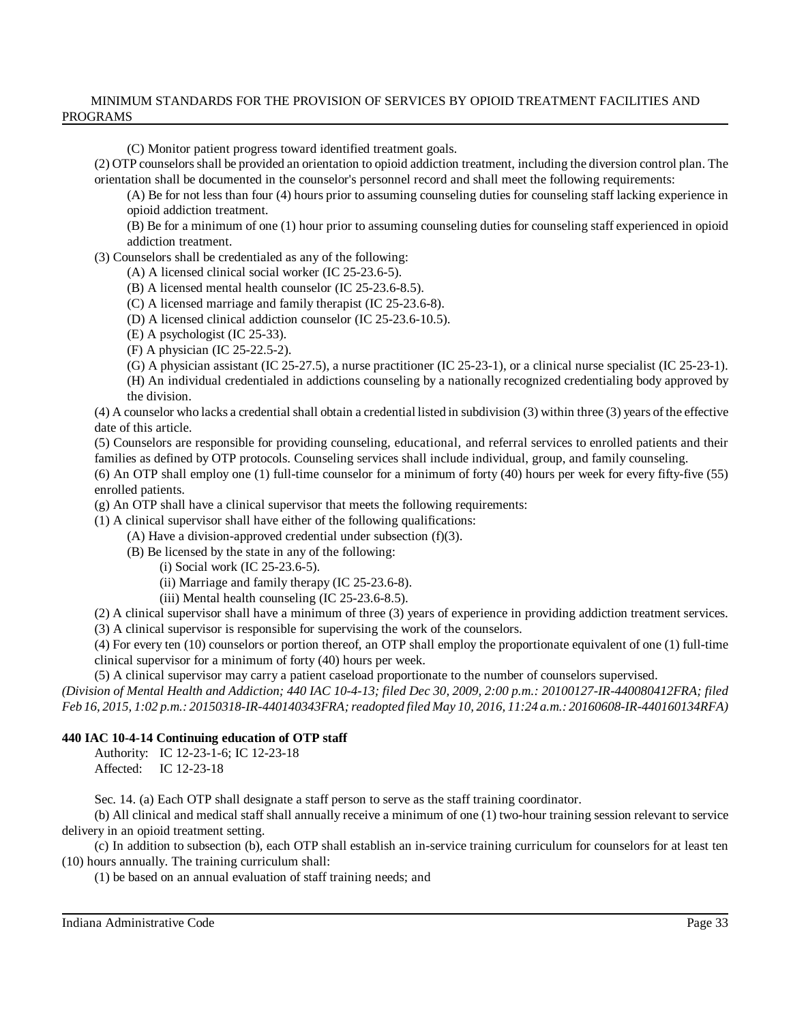(C) Monitor patient progress toward identified treatment goals.

(2) OTP counselorsshall be provided an orientation to opioid addiction treatment, including the diversion control plan. The orientation shall be documented in the counselor's personnel record and shall meet the following requirements:

(A) Be for not less than four (4) hours prior to assuming counseling duties for counseling staff lacking experience in opioid addiction treatment.

(B) Be for a minimum of one (1) hour prior to assuming counseling duties for counseling staff experienced in opioid addiction treatment.

(3) Counselors shall be credentialed as any of the following:

- (A) A licensed clinical social worker (IC 25-23.6-5).
- (B) A licensed mental health counselor (IC 25-23.6-8.5).
- (C) A licensed marriage and family therapist (IC 25-23.6-8).
- (D) A licensed clinical addiction counselor (IC 25-23.6-10.5).
- (E) A psychologist (IC 25-33).
- (F) A physician (IC 25-22.5-2).
- (G) A physician assistant (IC 25-27.5), a nurse practitioner (IC 25-23-1), or a clinical nurse specialist (IC 25-23-1).

(H) An individual credentialed in addictions counseling by a nationally recognized credentialing body approved by the division.

(4) A counselor who lacks a credential shall obtain a credential listed in subdivision (3) within three (3) years of the effective date of this article.

(5) Counselors are responsible for providing counseling, educational, and referral services to enrolled patients and their families as defined by OTP protocols. Counseling services shall include individual, group, and family counseling.

(6) An OTP shall employ one (1) full-time counselor for a minimum of forty (40) hours per week for every fifty-five (55) enrolled patients.

(g) An OTP shall have a clinical supervisor that meets the following requirements:

- (1) A clinical supervisor shall have either of the following qualifications:
	- (A) Have a division-approved credential under subsection (f)(3).
	- (B) Be licensed by the state in any of the following:
		- (i) Social work (IC 25-23.6-5).
		- (ii) Marriage and family therapy (IC 25-23.6-8).
		- (iii) Mental health counseling (IC 25-23.6-8.5).

(2) A clinical supervisor shall have a minimum of three (3) years of experience in providing addiction treatment services.

(3) A clinical supervisor is responsible for supervising the work of the counselors.

(4) For every ten (10) counselors or portion thereof, an OTP shall employ the proportionate equivalent of one (1) full-time clinical supervisor for a minimum of forty (40) hours per week.

(5) A clinical supervisor may carry a patient caseload proportionate to the number of counselors supervised.

(Division of Mental Health and Addiction; 440 IAC 10-4-13; filed Dec 30, 2009, 2:00 p.m.: 20100127-IR-440080412FRA; filed *Feb 16, 2015, 1:02 p.m.: 20150318-IR-440140343FRA;readopted filed May 10, 2016, 11:24 a.m.: 20160608-IR-440160134RFA)*

# **440 IAC 10-4-14 Continuing education of OTP staff**

Authority: IC 12-23-1-6; IC 12-23-18 Affected: IC 12-23-18

Sec. 14. (a) Each OTP shall designate a staff person to serve as the staff training coordinator.

(b) All clinical and medical staff shall annually receive a minimum of one (1) two-hour training session relevant to service delivery in an opioid treatment setting.

(c) In addition to subsection (b), each OTP shall establish an in-service training curriculum for counselors for at least ten (10) hours annually. The training curriculum shall:

(1) be based on an annual evaluation of staff training needs; and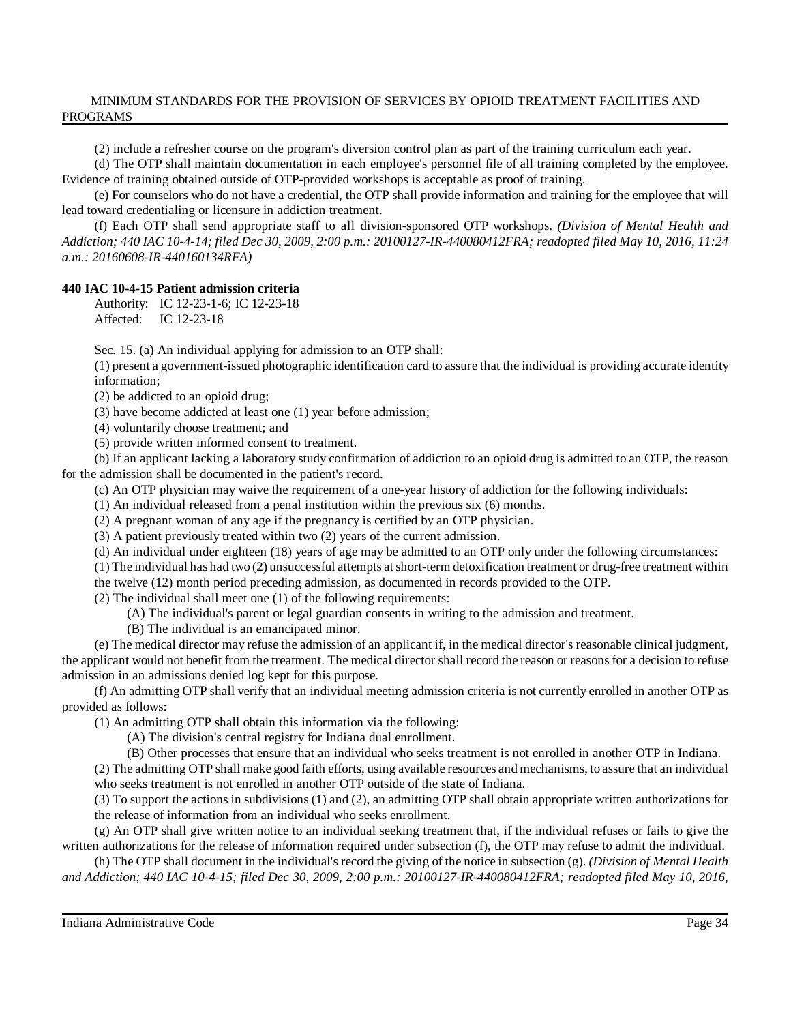(2) include a refresher course on the program's diversion control plan as part of the training curriculum each year.

(d) The OTP shall maintain documentation in each employee's personnel file of all training completed by the employee. Evidence of training obtained outside of OTP-provided workshops is acceptable as proof of training.

(e) For counselors who do not have a credential, the OTP shall provide information and training for the employee that will lead toward credentialing or licensure in addiction treatment.

(f) Each OTP shall send appropriate staff to all division-sponsored OTP workshops. *(Division of Mental Health and* Addiction; 440 IAC 10-4-14; filed Dec 30, 2009, 2:00 p.m.: 20100127-IR-440080412FRA; readopted filed May 10, 2016, 11:24 *a.m.: 20160608-IR-440160134RFA)*

# **440 IAC 10-4-15 Patient admission criteria**

Authority: IC 12-23-1-6; IC 12-23-18 Affected: IC 12-23-18

Sec. 15. (a) An individual applying for admission to an OTP shall:

(1) present a government-issued photographic identification card to assure that the individual is providing accurate identity information;

(2) be addicted to an opioid drug;

(3) have become addicted at least one (1) year before admission;

(4) voluntarily choose treatment; and

(5) provide written informed consent to treatment.

(b) If an applicant lacking a laboratory study confirmation of addiction to an opioid drug is admitted to an OTP, the reason for the admission shall be documented in the patient's record.

(c) An OTP physician may waive the requirement of a one-year history of addiction for the following individuals:

(1) An individual released from a penal institution within the previous six (6) months.

(2) A pregnant woman of any age if the pregnancy is certified by an OTP physician.

(3) A patient previously treated within two (2) years of the current admission.

(d) An individual under eighteen (18) years of age may be admitted to an OTP only under the following circumstances:

(1) The individual has had two (2) unsuccessful attempts atshort-term detoxification treatment or drug-free treatment within

the twelve (12) month period preceding admission, as documented in records provided to the OTP.

(2) The individual shall meet one (1) of the following requirements:

(A) The individual's parent or legal guardian consents in writing to the admission and treatment.

(B) The individual is an emancipated minor.

(e) The medical director may refuse the admission of an applicant if, in the medical director's reasonable clinical judgment, the applicant would not benefit from the treatment. The medical director shall record the reason or reasons for a decision to refuse admission in an admissions denied log kept for this purpose.

(f) An admitting OTP shall verify that an individual meeting admission criteria is not currently enrolled in another OTP as provided as follows:

(1) An admitting OTP shall obtain this information via the following:

(A) The division's central registry for Indiana dual enrollment.

(B) Other processes that ensure that an individual who seeks treatment is not enrolled in another OTP in Indiana.

(2) The admitting OTP shall make good faith efforts, using available resources and mechanisms, to assure that an individual who seeks treatment is not enrolled in another OTP outside of the state of Indiana.

(3) To support the actions in subdivisions (1) and (2), an admitting OTP shall obtain appropriate written authorizations for the release of information from an individual who seeks enrollment.

(g) An OTP shall give written notice to an individual seeking treatment that, if the individual refuses or fails to give the written authorizations for the release of information required under subsection (f), the OTP may refuse to admit the individual.

(h) The OTP shall document in the individual's record the giving of the notice in subsection (g). *(Division of Mental Health and Addiction; 440 IAC 10-4-15; filed Dec 30, 2009, 2:00 p.m.: 20100127-IR-440080412FRA; readopted filed May 10, 2016,*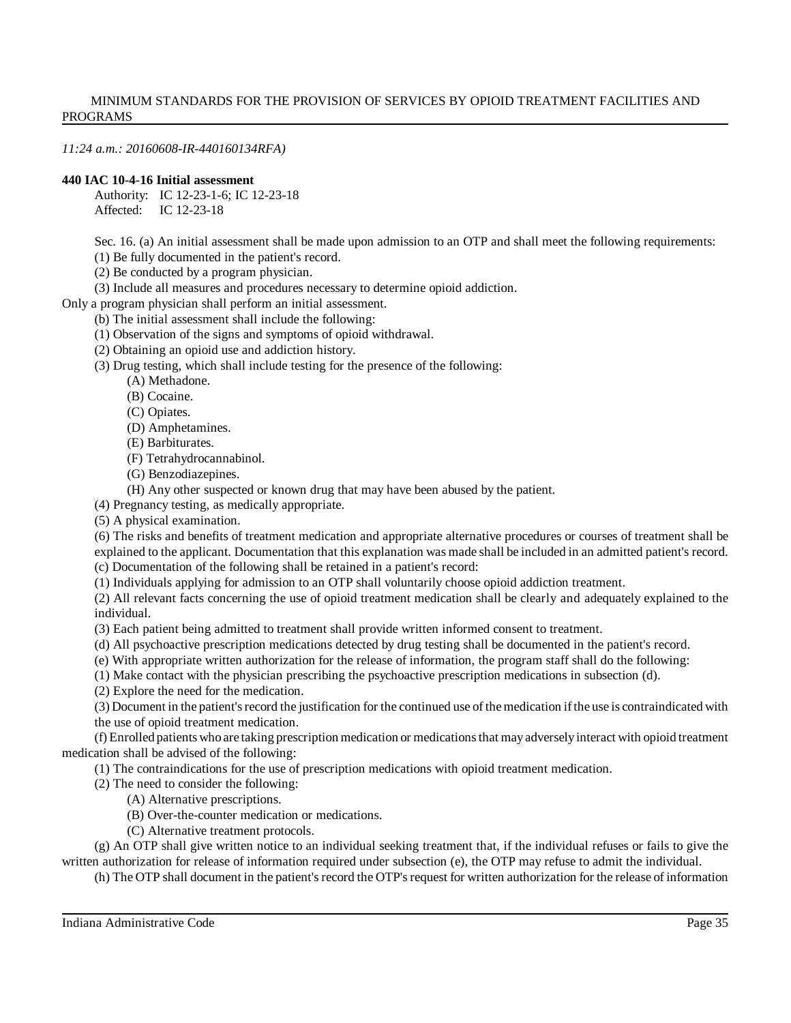*11:24 a.m.: 20160608-IR-440160134RFA)*

#### **440 IAC 10-4-16 Initial assessment**

Authority: IC 12-23-1-6; IC 12-23-18 Affected: IC 12-23-18

Sec. 16. (a) An initial assessment shall be made upon admission to an OTP and shall meet the following requirements:

(1) Be fully documented in the patient's record.

(2) Be conducted by a program physician.

(3) Include all measures and procedures necessary to determine opioid addiction.

Only a program physician shall perform an initial assessment.

(b) The initial assessment shall include the following:

(1) Observation of the signs and symptoms of opioid withdrawal.

(2) Obtaining an opioid use and addiction history.

(3) Drug testing, which shall include testing for the presence of the following:

(A) Methadone.

(B) Cocaine.

(C) Opiates.

(D) Amphetamines.

(E) Barbiturates.

(F) Tetrahydrocannabinol.

(G) Benzodiazepines.

(H) Any other suspected or known drug that may have been abused by the patient.

(4) Pregnancy testing, as medically appropriate.

(5) A physical examination.

(6) The risks and benefits of treatment medication and appropriate alternative procedures or courses of treatment shall be explained to the applicant. Documentation that this explanation was made shall be included in an admitted patient's record.

(c) Documentation of the following shall be retained in a patient's record:

(1) Individuals applying for admission to an OTP shall voluntarily choose opioid addiction treatment.

(2) All relevant facts concerning the use of opioid treatment medication shall be clearly and adequately explained to the individual.

(3) Each patient being admitted to treatment shall provide written informed consent to treatment.

(d) All psychoactive prescription medications detected by drug testing shall be documented in the patient's record.

(e) With appropriate written authorization for the release of information, the program staff shall do the following:

(1) Make contact with the physician prescribing the psychoactive prescription medications in subsection (d).

(2) Explore the need for the medication.

(3) Document in the patient'srecord the justification for the continued use of themedication ifthe use is contraindicated with the use of opioid treatment medication.

(f) Enrolled patientswhoare taking prescription medication or medicationsthat mayadverselyinteract with opioid treatment medication shall be advised of the following:

(1) The contraindications for the use of prescription medications with opioid treatment medication.

(2) The need to consider the following:

(A) Alternative prescriptions.

(B) Over-the-counter medication or medications.

(C) Alternative treatment protocols.

(g) An OTP shall give written notice to an individual seeking treatment that, if the individual refuses or fails to give the written authorization for release of information required under subsection (e), the OTP may refuse to admit the individual.

(h) The OTP shall document in the patient's record the OTP's request for written authorization for the release of information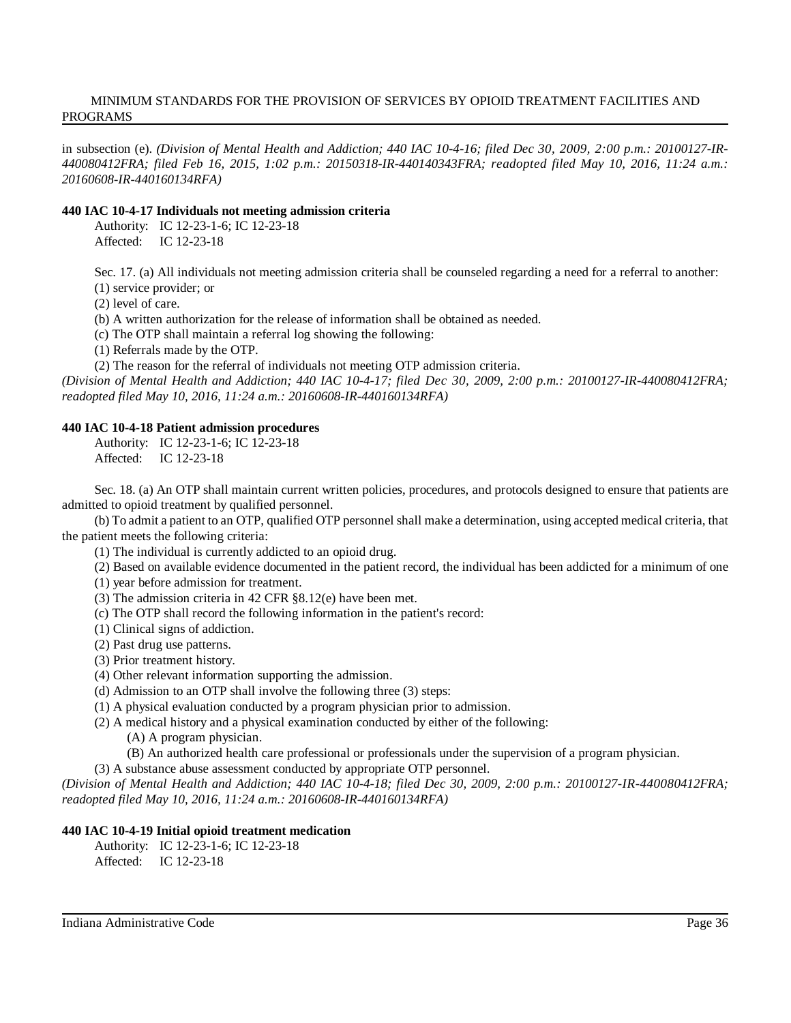in subsection (e). *(Division of Mental Health and Addiction; 440 IAC 10-4-16; filed Dec 30, 2009, 2:00 p.m.: 20100127-IR-440080412FRA; filed Feb 16, 2015, 1:02 p.m.: 20150318-IR-440140343FRA; readopted filed May 10, 2016, 11:24 a.m.: 20160608-IR-440160134RFA)*

#### **440 IAC 10-4-17 Individuals not meeting admission criteria**

Authority: IC 12-23-1-6; IC 12-23-18 Affected: IC 12-23-18

Sec. 17. (a) All individuals not meeting admission criteria shall be counseled regarding a need for a referral to another: (1) service provider; or

(2) level of care.

(b) A written authorization for the release of information shall be obtained as needed.

(c) The OTP shall maintain a referral log showing the following:

(1) Referrals made by the OTP.

(2) The reason for the referral of individuals not meeting OTP admission criteria.

*(Division of Mental Health and Addiction; 440 IAC 10-4-17; filed Dec 30, 2009, 2:00 p.m.: 20100127-IR-440080412FRA; readopted filed May 10, 2016, 11:24 a.m.: 20160608-IR-440160134RFA)*

#### **440 IAC 10-4-18 Patient admission procedures**

Authority: IC 12-23-1-6; IC 12-23-18 Affected: IC 12-23-18

Sec. 18. (a) An OTP shall maintain current written policies, procedures, and protocols designed to ensure that patients are admitted to opioid treatment by qualified personnel.

(b) To admit a patient to an OTP, qualified OTP personnel shall make a determination, using accepted medical criteria, that the patient meets the following criteria:

(1) The individual is currently addicted to an opioid drug.

(2) Based on available evidence documented in the patient record, the individual has been addicted for a minimum of one

(1) year before admission for treatment.

(3) The admission criteria in 42 CFR §8.12(e) have been met.

(c) The OTP shall record the following information in the patient's record:

(1) Clinical signs of addiction.

(2) Past drug use patterns.

(3) Prior treatment history.

(4) Other relevant information supporting the admission.

(d) Admission to an OTP shall involve the following three (3) steps:

(1) A physical evaluation conducted by a program physician prior to admission.

(2) A medical history and a physical examination conducted by either of the following:

(A) A program physician.

(B) An authorized health care professional or professionals under the supervision of a program physician.

(3) A substance abuse assessment conducted by appropriate OTP personnel.

(Division of Mental Health and Addiction; 440 IAC 10-4-18; filed Dec 30, 2009, 2:00 p.m.: 20100127-IR-440080412FRA; *readopted filed May 10, 2016, 11:24 a.m.: 20160608-IR-440160134RFA)*

# **440 IAC 10-4-19 Initial opioid treatment medication**

Authority: IC 12-23-1-6; IC 12-23-18

Affected: IC 12-23-18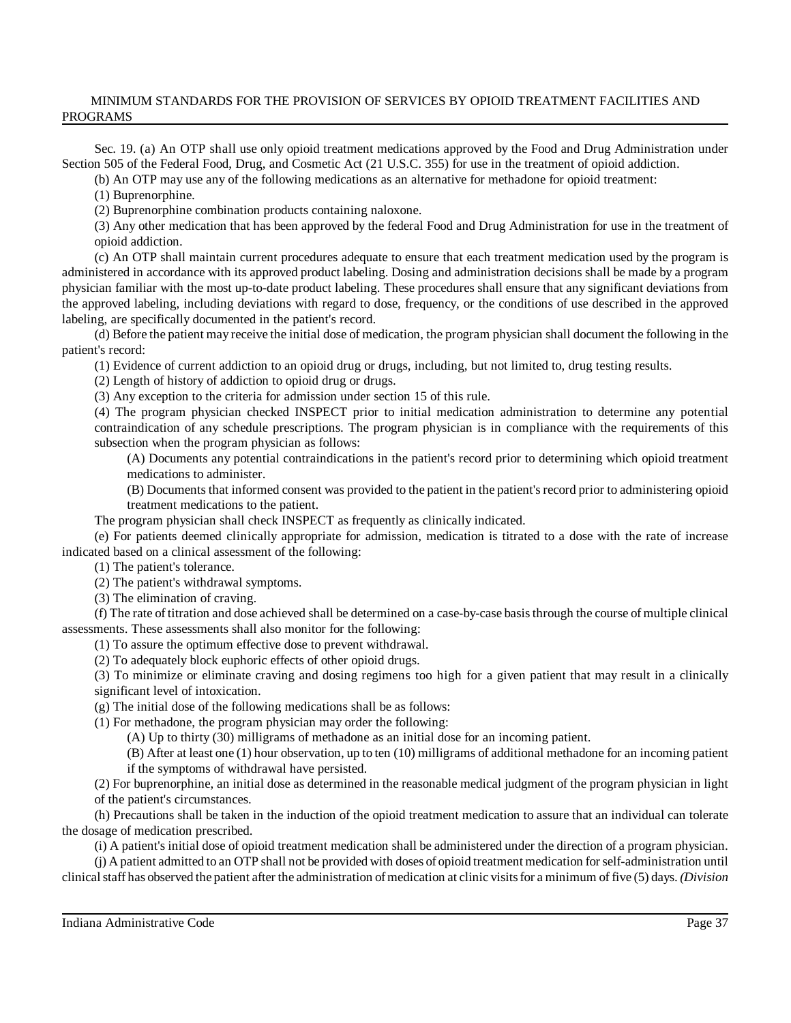Sec. 19. (a) An OTP shall use only opioid treatment medications approved by the Food and Drug Administration under Section 505 of the Federal Food, Drug, and Cosmetic Act (21 U.S.C. 355) for use in the treatment of opioid addiction.

(b) An OTP may use any of the following medications as an alternative for methadone for opioid treatment:

(1) Buprenorphine.

(2) Buprenorphine combination products containing naloxone.

(3) Any other medication that has been approved by the federal Food and Drug Administration for use in the treatment of opioid addiction.

(c) An OTP shall maintain current procedures adequate to ensure that each treatment medication used by the program is administered in accordance with its approved product labeling. Dosing and administration decisions shall be made by a program physician familiar with the most up-to-date product labeling. These procedures shall ensure that any significant deviations from the approved labeling, including deviations with regard to dose, frequency, or the conditions of use described in the approved labeling, are specifically documented in the patient's record.

(d) Before the patient may receive the initial dose of medication, the program physician shall document the following in the patient's record:

(1) Evidence of current addiction to an opioid drug or drugs, including, but not limited to, drug testing results.

(2) Length of history of addiction to opioid drug or drugs.

(3) Any exception to the criteria for admission under section 15 of this rule.

(4) The program physician checked INSPECT prior to initial medication administration to determine any potential contraindication of any schedule prescriptions. The program physician is in compliance with the requirements of this subsection when the program physician as follows:

(A) Documents any potential contraindications in the patient's record prior to determining which opioid treatment medications to administer.

(B) Documents that informed consent was provided to the patient in the patient'srecord prior to administering opioid treatment medications to the patient.

The program physician shall check INSPECT as frequently as clinically indicated.

(e) For patients deemed clinically appropriate for admission, medication is titrated to a dose with the rate of increase indicated based on a clinical assessment of the following:

(1) The patient's tolerance.

(2) The patient's withdrawal symptoms.

(3) The elimination of craving.

(f) The rate of titration and dose achieved shall be determined on a case-by-case basisthrough the course of multiple clinical assessments. These assessments shall also monitor for the following:

(1) To assure the optimum effective dose to prevent withdrawal.

(2) To adequately block euphoric effects of other opioid drugs.

(3) To minimize or eliminate craving and dosing regimens too high for a given patient that may result in a clinically significant level of intoxication.

(g) The initial dose of the following medications shall be as follows:

(1) For methadone, the program physician may order the following:

(A) Up to thirty (30) milligrams of methadone as an initial dose for an incoming patient.

(B) After at least one (1) hour observation, up to ten (10) milligrams of additional methadone for an incoming patient if the symptoms of withdrawal have persisted.

(2) For buprenorphine, an initial dose as determined in the reasonable medical judgment of the program physician in light of the patient's circumstances.

(h) Precautions shall be taken in the induction of the opioid treatment medication to assure that an individual can tolerate the dosage of medication prescribed.

(i) A patient's initial dose of opioid treatment medication shall be administered under the direction of a program physician.

(j) A patient admitted to an OTP shall not be provided with doses of opioid treatment medication forself-administration until clinical staff has observed the patient after the administration of medication at clinic visits for a minimum of five (5) days. *(Division*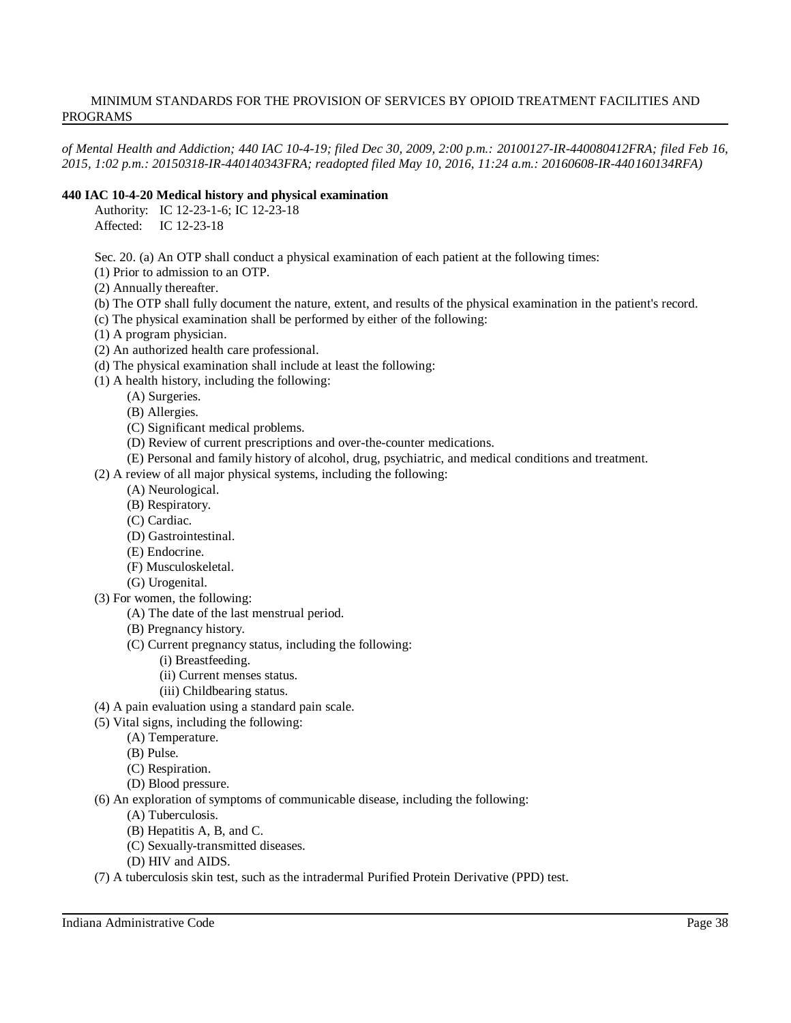*of Mental Health and Addiction; 440 IAC 10-4-19; filed Dec 30, 2009, 2:00 p.m.: 20100127-IR-440080412FRA; filed Feb 16, 2015, 1:02 p.m.: 20150318-IR-440140343FRA; readopted filed May 10, 2016, 11:24 a.m.: 20160608-IR-440160134RFA)*

# **440 IAC 10-4-20 Medical history and physical examination**

Authority: IC 12-23-1-6; IC 12-23-18 Affected: IC 12-23-18

Sec. 20. (a) An OTP shall conduct a physical examination of each patient at the following times:

(1) Prior to admission to an OTP.

- (2) Annually thereafter.
- (b) The OTP shall fully document the nature, extent, and results of the physical examination in the patient's record.
- (c) The physical examination shall be performed by either of the following:
- (1) A program physician.
- (2) An authorized health care professional.
- (d) The physical examination shall include at least the following:
- (1) A health history, including the following:
	- (A) Surgeries.
		- (B) Allergies.
		- (C) Significant medical problems.
		- (D) Review of current prescriptions and over-the-counter medications.
		- (E) Personal and family history of alcohol, drug, psychiatric, and medical conditions and treatment.
- (2) A review of all major physical systems, including the following:
	- (A) Neurological.
	- (B) Respiratory.
	- (C) Cardiac.
	- (D) Gastrointestinal.
	- (E) Endocrine.
	- (F) Musculoskeletal.
	- (G) Urogenital.
- (3) For women, the following:
	- (A) The date of the last menstrual period.
	- (B) Pregnancy history.
	- (C) Current pregnancy status, including the following:
		- (i) Breastfeeding.
		- (ii) Current menses status.
		- (iii) Childbearing status.
- (4) A pain evaluation using a standard pain scale.
- (5) Vital signs, including the following:
	- (A) Temperature.
		- (B) Pulse.
		- (C) Respiration.
		- (D) Blood pressure.
- (6) An exploration of symptoms of communicable disease, including the following:
	- (A) Tuberculosis.
	- (B) Hepatitis A, B, and C.
	- (C) Sexually-transmitted diseases.
	- (D) HIV and AIDS.
- (7) A tuberculosis skin test, such as the intradermal Purified Protein Derivative (PPD) test.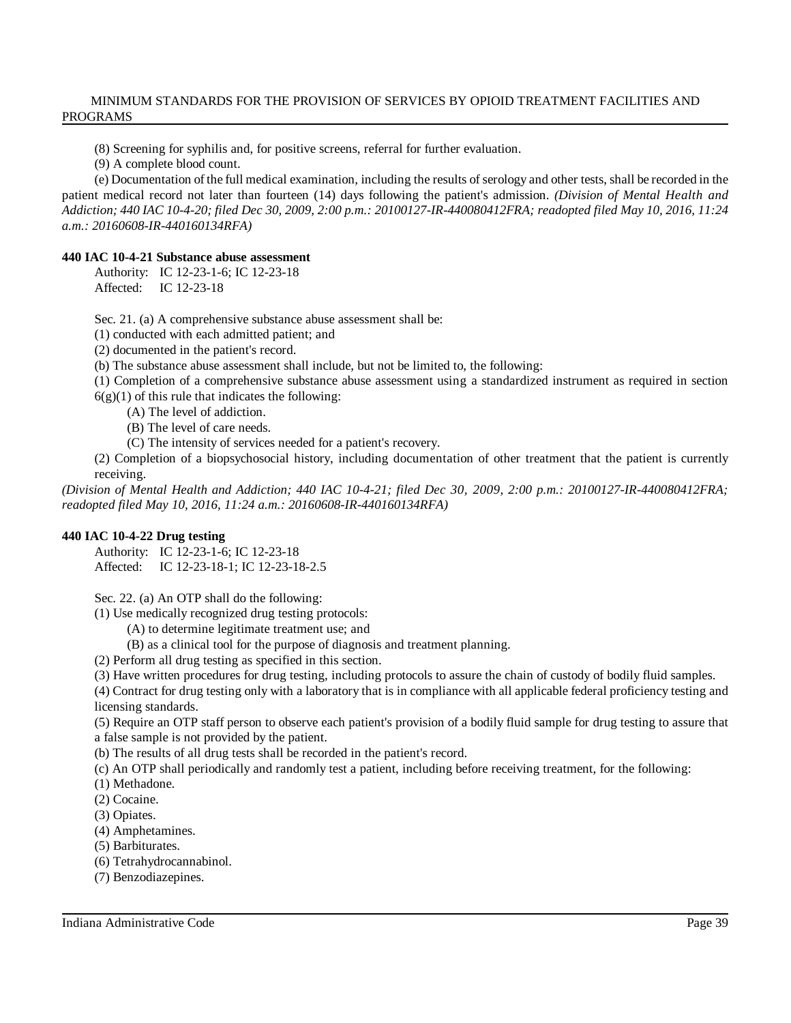(8) Screening for syphilis and, for positive screens, referral for further evaluation.

(9) A complete blood count.

(e) Documentation of the full medical examination, including the results ofserology and other tests, shall be recorded in the patient medical record not later than fourteen (14) days following the patient's admission. *(Division of Mental Health and* Addiction; 440 IAC 10-4-20; filed Dec 30, 2009, 2:00 p.m.: 20100127-IR-440080412FRA; readopted filed May 10, 2016, 11:24 *a.m.: 20160608-IR-440160134RFA)*

# **440 IAC 10-4-21 Substance abuse assessment**

Authority: IC 12-23-1-6; IC 12-23-18 Affected: IC 12-23-18

Sec. 21. (a) A comprehensive substance abuse assessment shall be:

- (1) conducted with each admitted patient; and
- (2) documented in the patient's record.

(b) The substance abuse assessment shall include, but not be limited to, the following:

- (1) Completion of a comprehensive substance abuse assessment using a standardized instrument as required in section  $6(g)(1)$  of this rule that indicates the following:
	- (A) The level of addiction.
		- (B) The level of care needs.
		- (C) The intensity of services needed for a patient's recovery.

(2) Completion of a biopsychosocial history, including documentation of other treatment that the patient is currently receiving.

*(Division of Mental Health and Addiction; 440 IAC 10-4-21; filed Dec 30, 2009, 2:00 p.m.: 20100127-IR-440080412FRA; readopted filed May 10, 2016, 11:24 a.m.: 20160608-IR-440160134RFA)*

# **440 IAC 10-4-22 Drug testing**

Authority: IC 12-23-1-6; IC 12-23-18 Affected: IC 12-23-18-1; IC 12-23-18-2.5

Sec. 22. (a) An OTP shall do the following:

(1) Use medically recognized drug testing protocols:

- (A) to determine legitimate treatment use; and
- (B) as a clinical tool for the purpose of diagnosis and treatment planning.
- (2) Perform all drug testing as specified in this section.
- (3) Have written procedures for drug testing, including protocols to assure the chain of custody of bodily fluid samples.

(4) Contract for drug testing only with a laboratory that is in compliance with all applicable federal proficiency testing and licensing standards.

(5) Require an OTP staff person to observe each patient's provision of a bodily fluid sample for drug testing to assure that a false sample is not provided by the patient.

(b) The results of all drug tests shall be recorded in the patient's record.

- (c) An OTP shall periodically and randomly test a patient, including before receiving treatment, for the following:
- (1) Methadone.
- (2) Cocaine.
- (3) Opiates.
- (4) Amphetamines.
- (5) Barbiturates.
- (6) Tetrahydrocannabinol.
- (7) Benzodiazepines.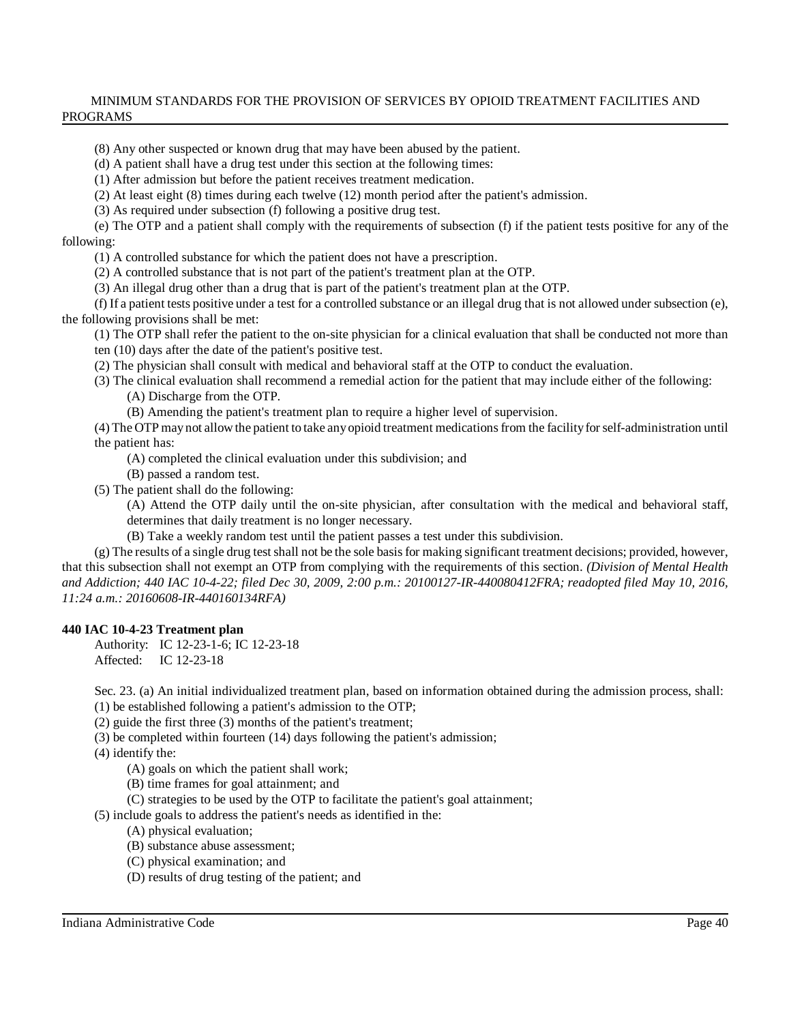(8) Any other suspected or known drug that may have been abused by the patient.

(d) A patient shall have a drug test under this section at the following times:

(1) After admission but before the patient receives treatment medication.

(2) At least eight (8) times during each twelve (12) month period after the patient's admission.

(3) As required under subsection (f) following a positive drug test.

(e) The OTP and a patient shall comply with the requirements of subsection (f) if the patient tests positive for any of the following:

(1) A controlled substance for which the patient does not have a prescription.

(2) A controlled substance that is not part of the patient's treatment plan at the OTP.

(3) An illegal drug other than a drug that is part of the patient's treatment plan at the OTP.

(f) If a patient tests positive under a test for a controlled substance or an illegal drug that is not allowed under subsection (e), the following provisions shall be met:

(1) The OTP shall refer the patient to the on-site physician for a clinical evaluation that shall be conducted not more than ten (10) days after the date of the patient's positive test.

(2) The physician shall consult with medical and behavioral staff at the OTP to conduct the evaluation.

(3) The clinical evaluation shall recommend a remedial action for the patient that may include either of the following: (A) Discharge from the OTP.

(B) Amending the patient's treatment plan to require a higher level of supervision.

(4) The OTP maynot allowthe patient to take anyopioid treatment medicationsfrom the facilityforself-administration until the patient has:

(A) completed the clinical evaluation under this subdivision; and

(B) passed a random test.

(5) The patient shall do the following:

(A) Attend the OTP daily until the on-site physician, after consultation with the medical and behavioral staff, determines that daily treatment is no longer necessary.

(B) Take a weekly random test until the patient passes a test under this subdivision.

 $(g)$  The results of a single drug test shall not be the sole basis for making significant treatment decisions; provided, however, that this subsection shall not exempt an OTP from complying with the requirements of this section. *(Division of Mental Health and Addiction; 440 IAC 10-4-22; filed Dec 30, 2009, 2:00 p.m.: 20100127-IR-440080412FRA; readopted filed May 10, 2016, 11:24 a.m.: 20160608-IR-440160134RFA)*

# **440 IAC 10-4-23 Treatment plan**

Authority: IC 12-23-1-6; IC 12-23-18 Affected: IC 12-23-18

Sec. 23. (a) An initial individualized treatment plan, based on information obtained during the admission process, shall:

(1) be established following a patient's admission to the OTP;

(2) guide the first three (3) months of the patient's treatment;

(3) be completed within fourteen (14) days following the patient's admission;

(4) identify the:

(A) goals on which the patient shall work;

(B) time frames for goal attainment; and

(C) strategies to be used by the OTP to facilitate the patient's goal attainment;

(5) include goals to address the patient's needs as identified in the:

(A) physical evaluation;

(B) substance abuse assessment;

(C) physical examination; and

(D) results of drug testing of the patient; and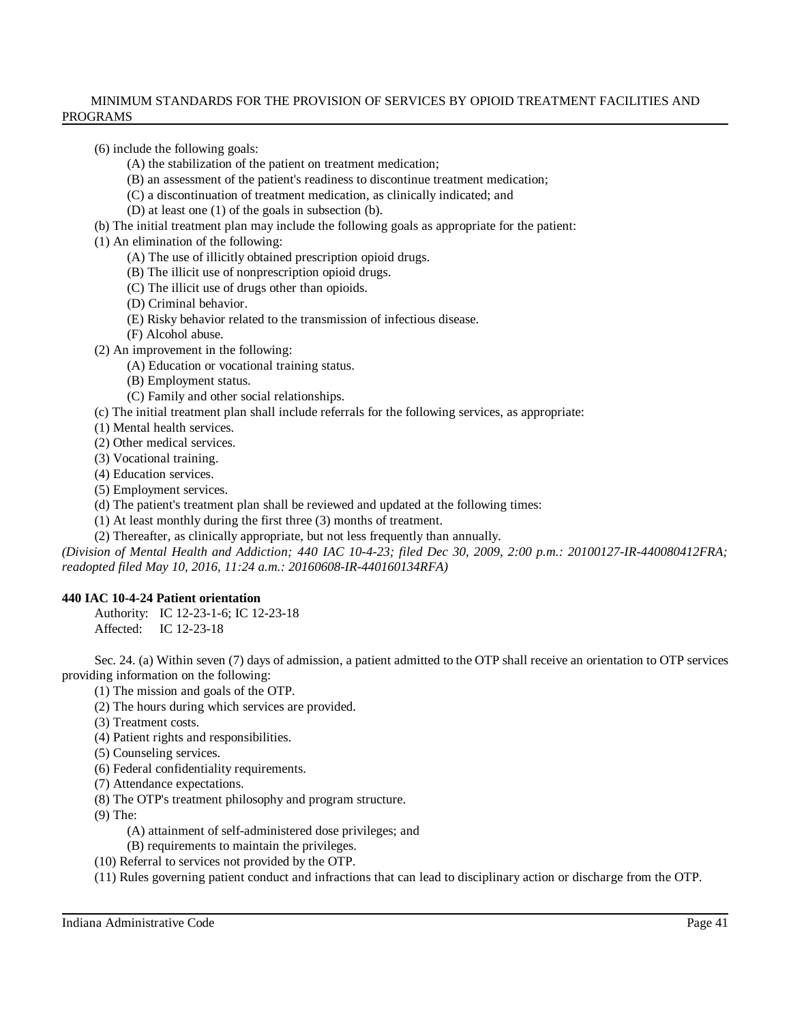(6) include the following goals:

- (A) the stabilization of the patient on treatment medication;
- (B) an assessment of the patient's readiness to discontinue treatment medication;
- (C) a discontinuation of treatment medication, as clinically indicated; and
- (D) at least one (1) of the goals in subsection (b).
- (b) The initial treatment plan may include the following goals as appropriate for the patient:

(1) An elimination of the following:

- (A) The use of illicitly obtained prescription opioid drugs.
- (B) The illicit use of nonprescription opioid drugs.
- (C) The illicit use of drugs other than opioids.
- (D) Criminal behavior.
- (E) Risky behavior related to the transmission of infectious disease.
- (F) Alcohol abuse.
- (2) An improvement in the following:
	- (A) Education or vocational training status.
	- (B) Employment status.
	- (C) Family and other social relationships.
- (c) The initial treatment plan shall include referrals for the following services, as appropriate:
- (1) Mental health services.
- (2) Other medical services.
- (3) Vocational training.
- (4) Education services.
- (5) Employment services.
- (d) The patient's treatment plan shall be reviewed and updated at the following times:
- (1) At least monthly during the first three (3) months of treatment.
- (2) Thereafter, as clinically appropriate, but not less frequently than annually.

*(Division of Mental Health and Addiction; 440 IAC 10-4-23; filed Dec 30, 2009, 2:00 p.m.: 20100127-IR-440080412FRA; readopted filed May 10, 2016, 11:24 a.m.: 20160608-IR-440160134RFA)*

#### **440 IAC 10-4-24 Patient orientation**

Authority: IC 12-23-1-6; IC 12-23-18 Affected: IC 12-23-18

Sec. 24. (a) Within seven (7) days of admission, a patient admitted to the OTP shall receive an orientation to OTP services providing information on the following:

- (1) The mission and goals of the OTP.
- (2) The hours during which services are provided.
- (3) Treatment costs.
- (4) Patient rights and responsibilities.
- (5) Counseling services.
- (6) Federal confidentiality requirements.
- (7) Attendance expectations.
- (8) The OTP's treatment philosophy and program structure.
- (9) The:
	- (A) attainment of self-administered dose privileges; and
	- (B) requirements to maintain the privileges.
- (10) Referral to services not provided by the OTP.
- (11) Rules governing patient conduct and infractions that can lead to disciplinary action or discharge from the OTP.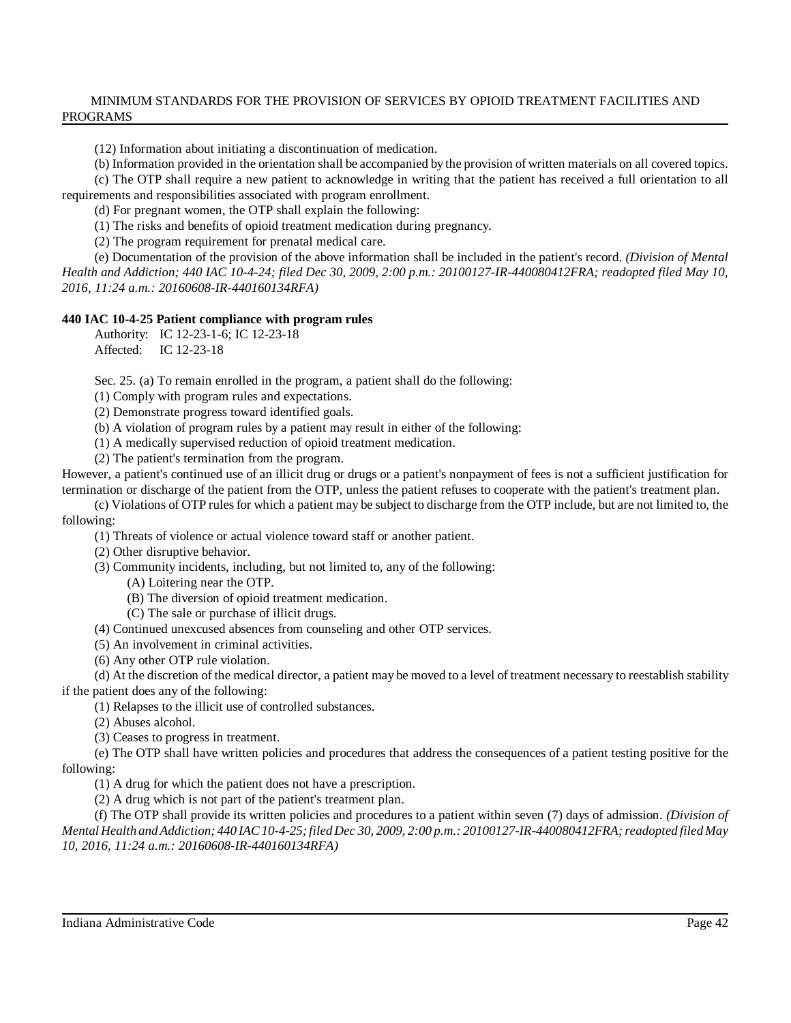(12) Information about initiating a discontinuation of medication.

(b) Information provided in the orientation shall be accompanied by the provision of written materials on all covered topics.

(c) The OTP shall require a new patient to acknowledge in writing that the patient has received a full orientation to all requirements and responsibilities associated with program enrollment.

(d) For pregnant women, the OTP shall explain the following:

(1) The risks and benefits of opioid treatment medication during pregnancy.

(2) The program requirement for prenatal medical care.

(e) Documentation of the provision of the above information shall be included in the patient's record. *(Division of Mental Health and Addiction; 440 IAC 10-4-24; filed Dec 30, 2009, 2:00 p.m.: 20100127-IR-440080412FRA; readopted filed May 10, 2016, 11:24 a.m.: 20160608-IR-440160134RFA)*

#### **440 IAC 10-4-25 Patient compliance with program rules**

Authority: IC 12-23-1-6; IC 12-23-18

Affected: IC 12-23-18

Sec. 25. (a) To remain enrolled in the program, a patient shall do the following:

(1) Comply with program rules and expectations.

(2) Demonstrate progress toward identified goals.

(b) A violation of program rules by a patient may result in either of the following:

(1) A medically supervised reduction of opioid treatment medication.

(2) The patient's termination from the program.

However, a patient's continued use of an illicit drug or drugs or a patient's nonpayment of fees is not a sufficient justification for termination or discharge of the patient from the OTP, unless the patient refuses to cooperate with the patient's treatment plan.

(c) Violations of OTP rulesfor which a patient may be subject to discharge from the OTP include, but are not limited to, the following:

(1) Threats of violence or actual violence toward staff or another patient.

(2) Other disruptive behavior.

(3) Community incidents, including, but not limited to, any of the following:

(A) Loitering near the OTP.

(B) The diversion of opioid treatment medication.

(C) The sale or purchase of illicit drugs.

(4) Continued unexcused absences from counseling and other OTP services.

(5) An involvement in criminal activities.

(6) Any other OTP rule violation.

(d) At the discretion of the medical director, a patient may be moved to a level of treatment necessary to reestablish stability if the patient does any of the following:

(1) Relapses to the illicit use of controlled substances.

(2) Abuses alcohol.

(3) Ceases to progress in treatment.

(e) The OTP shall have written policies and procedures that address the consequences of a patient testing positive for the following:

(1) A drug for which the patient does not have a prescription.

(2) A drug which is not part of the patient's treatment plan.

(f) The OTP shall provide its written policies and procedures to a patient within seven (7) days of admission. *(Division of Mental Health andAddiction; 440 IAC10-4-25;filed Dec 30, 2009, 2:00 p.m.: 20100127-IR-440080412FRA;readopted filed May 10, 2016, 11:24 a.m.: 20160608-IR-440160134RFA)*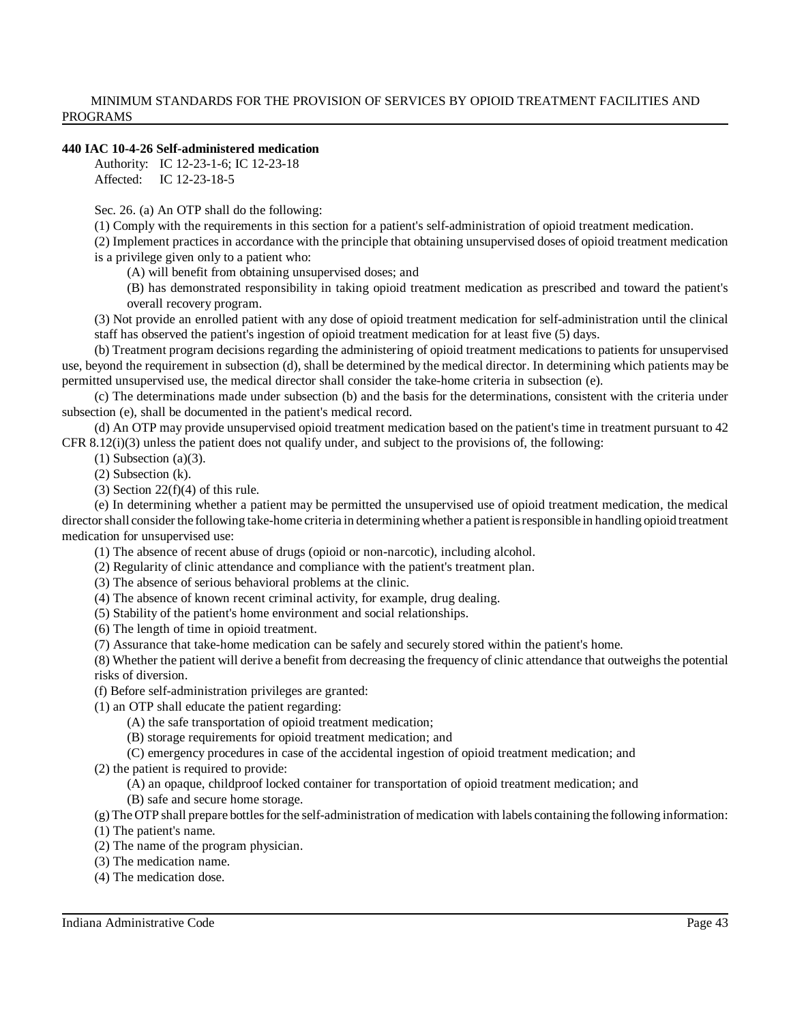#### **440 IAC 10-4-26 Self-administered medication**

Authority: IC 12-23-1-6; IC 12-23-18 Affected: IC 12-23-18-5

Sec. 26. (a) An OTP shall do the following:

(1) Comply with the requirements in this section for a patient's self-administration of opioid treatment medication.

(2) Implement practices in accordance with the principle that obtaining unsupervised doses of opioid treatment medication is a privilege given only to a patient who:

(A) will benefit from obtaining unsupervised doses; and

(B) has demonstrated responsibility in taking opioid treatment medication as prescribed and toward the patient's overall recovery program.

(3) Not provide an enrolled patient with any dose of opioid treatment medication for self-administration until the clinical staff has observed the patient's ingestion of opioid treatment medication for at least five (5) days.

(b) Treatment program decisions regarding the administering of opioid treatment medications to patients for unsupervised use, beyond the requirement in subsection (d), shall be determined by the medical director. In determining which patients may be permitted unsupervised use, the medical director shall consider the take-home criteria in subsection (e).

(c) The determinations made under subsection (b) and the basis for the determinations, consistent with the criteria under subsection (e), shall be documented in the patient's medical record.

(d) An OTP may provide unsupervised opioid treatment medication based on the patient's time in treatment pursuant to 42 CFR  $8.12(i)(3)$  unless the patient does not qualify under, and subject to the provisions of, the following:

 $(1)$  Subsection  $(a)(3)$ .

(2) Subsection (k).

(3) Section  $22(f)(4)$  of this rule.

(e) In determining whether a patient may be permitted the unsupervised use of opioid treatment medication, the medical directorshall consider the following take-home criteria in determining whether a patient isresponsible in handling opioid treatment medication for unsupervised use:

(1) The absence of recent abuse of drugs (opioid or non-narcotic), including alcohol.

(2) Regularity of clinic attendance and compliance with the patient's treatment plan.

(3) The absence of serious behavioral problems at the clinic.

(4) The absence of known recent criminal activity, for example, drug dealing.

(5) Stability of the patient's home environment and social relationships.

(6) The length of time in opioid treatment.

(7) Assurance that take-home medication can be safely and securely stored within the patient's home.

(8) Whether the patient will derive a benefit from decreasing the frequency of clinic attendance that outweighs the potential risks of diversion.

(f) Before self-administration privileges are granted:

(1) an OTP shall educate the patient regarding:

(A) the safe transportation of opioid treatment medication;

(B) storage requirements for opioid treatment medication; and

(C) emergency procedures in case of the accidental ingestion of opioid treatment medication; and

(2) the patient is required to provide:

(A) an opaque, childproof locked container for transportation of opioid treatment medication; and

(B) safe and secure home storage.

 $(g)$  The OTP shall prepare bottles for the self-administration of medication with labels containing the following information:

(1) The patient's name.

(2) The name of the program physician.

(3) The medication name.

(4) The medication dose.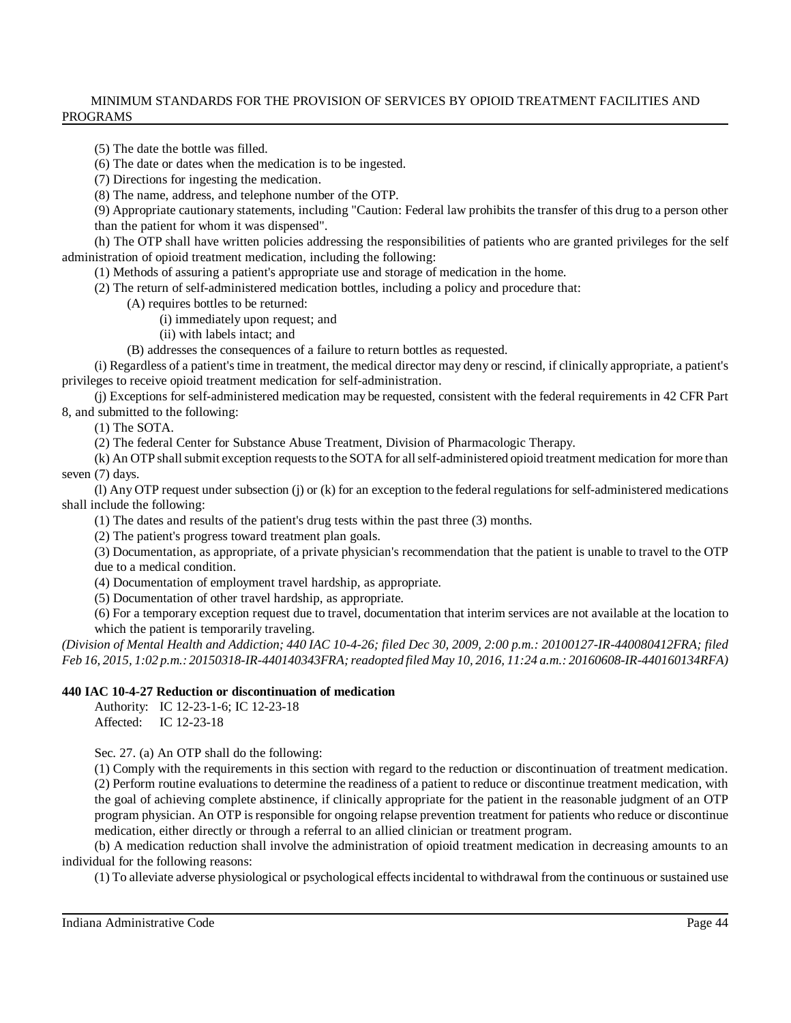(5) The date the bottle was filled.

(6) The date or dates when the medication is to be ingested.

(7) Directions for ingesting the medication.

(8) The name, address, and telephone number of the OTP.

(9) Appropriate cautionary statements, including "Caution: Federal law prohibits the transfer of this drug to a person other than the patient for whom it was dispensed".

(h) The OTP shall have written policies addressing the responsibilities of patients who are granted privileges for the self administration of opioid treatment medication, including the following:

(1) Methods of assuring a patient's appropriate use and storage of medication in the home.

(2) The return of self-administered medication bottles, including a policy and procedure that:

(A) requires bottles to be returned:

(i) immediately upon request; and

(ii) with labels intact; and

(B) addresses the consequences of a failure to return bottles as requested.

(i) Regardless of a patient's time in treatment, the medical director may deny or rescind, if clinically appropriate, a patient's privileges to receive opioid treatment medication for self-administration.

(j) Exceptions for self-administered medication may be requested, consistent with the federal requirements in 42 CFR Part 8, and submitted to the following:

(1) The SOTA.

(2) The federal Center for Substance Abuse Treatment, Division of Pharmacologic Therapy.

(k) An OTP shallsubmit exception requeststo the SOTA for allself-administered opioid treatment medication for more than seven (7) days.

(I) Any OTP request under subsection  $(i)$  or  $(k)$  for an exception to the federal regulations for self-administered medications shall include the following:

(1) The dates and results of the patient's drug tests within the past three (3) months.

(2) The patient's progress toward treatment plan goals.

(3) Documentation, as appropriate, of a private physician's recommendation that the patient is unable to travel to the OTP due to a medical condition.

(4) Documentation of employment travel hardship, as appropriate.

(5) Documentation of other travel hardship, as appropriate.

(6) For a temporary exception request due to travel, documentation that interim services are not available at the location to which the patient is temporarily traveling.

(Division of Mental Health and Addiction; 440 IAC 10-4-26; filed Dec 30, 2009, 2:00 p.m.: 20100127-IR-440080412FRA; filed *Feb 16, 2015, 1:02 p.m.: 20150318-IR-440140343FRA;readopted filed May 10, 2016, 11:24 a.m.: 20160608-IR-440160134RFA)*

# **440 IAC 10-4-27 Reduction or discontinuation of medication**

Authority: IC 12-23-1-6; IC 12-23-18 Affected: IC 12-23-18

Sec. 27. (a) An OTP shall do the following:

(1) Comply with the requirements in this section with regard to the reduction or discontinuation of treatment medication. (2) Perform routine evaluations to determine the readiness of a patient to reduce or discontinue treatment medication, with the goal of achieving complete abstinence, if clinically appropriate for the patient in the reasonable judgment of an OTP program physician. An OTP isresponsible for ongoing relapse prevention treatment for patients who reduce or discontinue medication, either directly or through a referral to an allied clinician or treatment program.

(b) A medication reduction shall involve the administration of opioid treatment medication in decreasing amounts to an individual for the following reasons:

(1) To alleviate adverse physiological or psychological effectsincidental to withdrawal from the continuous or sustained use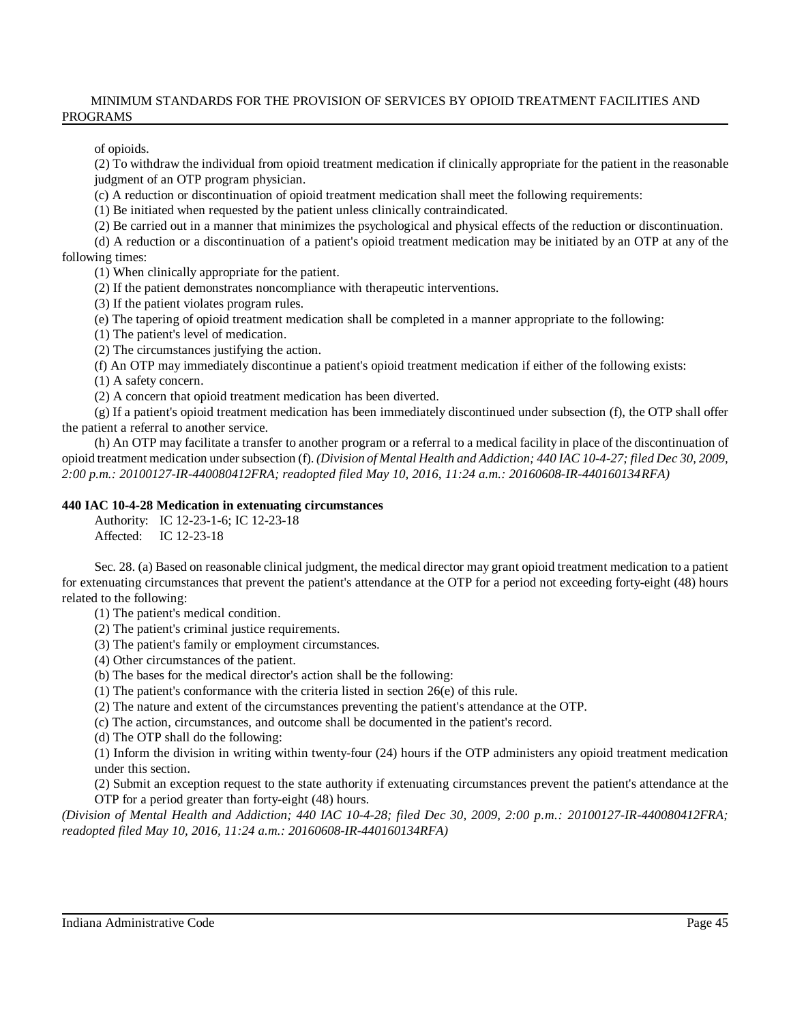of opioids.

(2) To withdraw the individual from opioid treatment medication if clinically appropriate for the patient in the reasonable judgment of an OTP program physician.

(c) A reduction or discontinuation of opioid treatment medication shall meet the following requirements:

(1) Be initiated when requested by the patient unless clinically contraindicated.

(2) Be carried out in a manner that minimizes the psychological and physical effects of the reduction or discontinuation.

(d) A reduction or a discontinuation of a patient's opioid treatment medication may be initiated by an OTP at any of the following times:

(1) When clinically appropriate for the patient.

(2) If the patient demonstrates noncompliance with therapeutic interventions.

(3) If the patient violates program rules.

(e) The tapering of opioid treatment medication shall be completed in a manner appropriate to the following:

(1) The patient's level of medication.

(2) The circumstances justifying the action.

(f) An OTP may immediately discontinue a patient's opioid treatment medication if either of the following exists:

(1) A safety concern.

(2) A concern that opioid treatment medication has been diverted.

(g) If a patient's opioid treatment medication has been immediately discontinued under subsection (f), the OTP shall offer the patient a referral to another service.

(h) An OTP may facilitate a transfer to another program or a referral to a medical facility in place of the discontinuation of opioid treatment medication undersubsection (f). *(Division of Mental Health and Addiction; 440 IAC 10-4-27; filed Dec 30, 2009, 2:00 p.m.: 20100127-IR-440080412FRA; readopted filed May 10, 2016, 11:24 a.m.: 20160608-IR-440160134RFA)*

# **440 IAC 10-4-28 Medication in extenuating circumstances**

Authority: IC 12-23-1-6; IC 12-23-18 Affected: IC 12-23-18

Sec. 28. (a) Based on reasonable clinical judgment, the medical director may grant opioid treatment medication to a patient for extenuating circumstances that prevent the patient's attendance at the OTP for a period not exceeding forty-eight (48) hours related to the following:

(1) The patient's medical condition.

(2) The patient's criminal justice requirements.

- (3) The patient's family or employment circumstances.
- (4) Other circumstances of the patient.
- (b) The bases for the medical director's action shall be the following:
- (1) The patient's conformance with the criteria listed in section 26(e) of this rule.
- (2) The nature and extent of the circumstances preventing the patient's attendance at the OTP.

(c) The action, circumstances, and outcome shall be documented in the patient's record.

(d) The OTP shall do the following:

(1) Inform the division in writing within twenty-four (24) hours if the OTP administers any opioid treatment medication under this section.

(2) Submit an exception request to the state authority if extenuating circumstances prevent the patient's attendance at the OTP for a period greater than forty-eight (48) hours.

*(Division of Mental Health and Addiction; 440 IAC 10-4-28; filed Dec 30, 2009, 2:00 p.m.: 20100127-IR-440080412FRA; readopted filed May 10, 2016, 11:24 a.m.: 20160608-IR-440160134RFA)*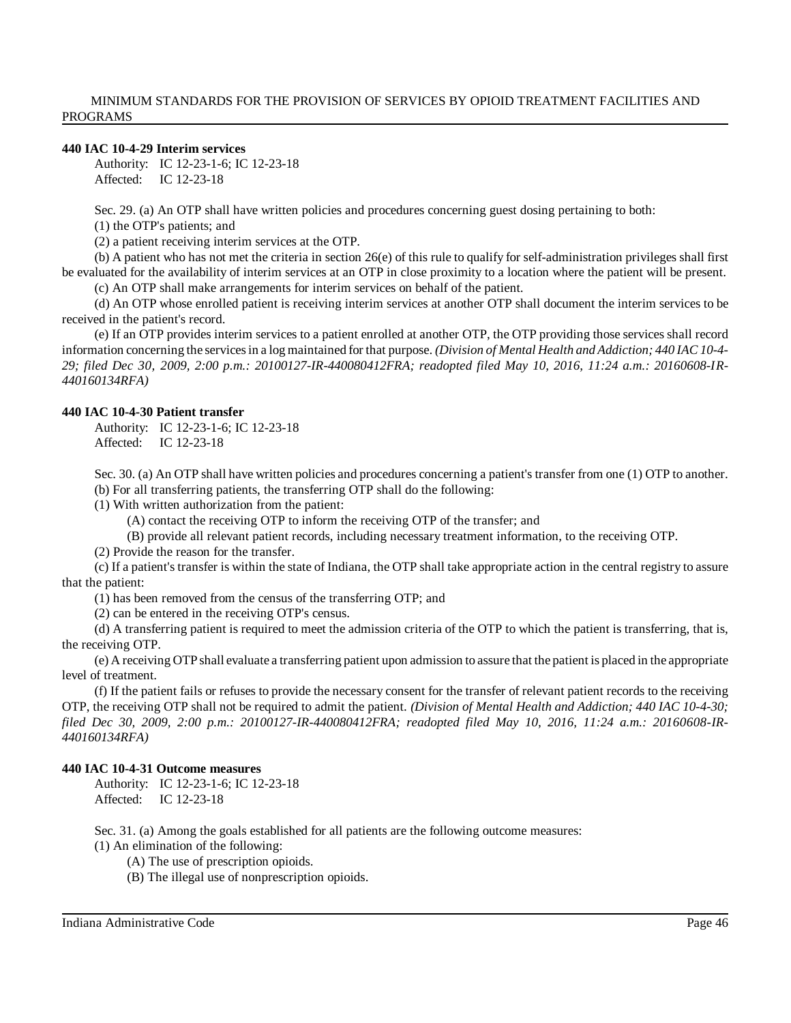### **440 IAC 10-4-29 Interim services**

Authority: IC 12-23-1-6; IC 12-23-18 Affected: IC 12-23-18

Sec. 29. (a) An OTP shall have written policies and procedures concerning guest dosing pertaining to both:

(1) the OTP's patients; and

(2) a patient receiving interim services at the OTP.

(b) A patient who has not met the criteria in section 26(e) of this rule to qualify for self-administration privileges shall first be evaluated for the availability of interim services at an OTP in close proximity to a location where the patient will be present.

(c) An OTP shall make arrangements for interim services on behalf of the patient.

(d) An OTP whose enrolled patient is receiving interim services at another OTP shall document the interim services to be received in the patient's record.

(e) If an OTP provides interim services to a patient enrolled at another OTP, the OTP providing those services shall record information concerning the servicesin a log maintained for that purpose. *(Division of Mental Health and Addiction; 440 IAC 10-4- 29; filed Dec 30, 2009, 2:00 p.m.: 20100127-IR-440080412FRA; readopted filed May 10, 2016, 11:24 a.m.: 20160608-IR-440160134RFA)*

#### **440 IAC 10-4-30 Patient transfer**

Authority: IC 12-23-1-6; IC 12-23-18 Affected: IC 12-23-18

Sec. 30. (a) An OTP shall have written policies and procedures concerning a patient's transfer from one (1) OTP to another. (b) For all transferring patients, the transferring OTP shall do the following:

(1) With written authorization from the patient:

(A) contact the receiving OTP to inform the receiving OTP of the transfer; and

(B) provide all relevant patient records, including necessary treatment information, to the receiving OTP.

(2) Provide the reason for the transfer.

(c) If a patient's transfer is within the state of Indiana, the OTP shall take appropriate action in the central registry to assure that the patient:

(1) has been removed from the census of the transferring OTP; and

(2) can be entered in the receiving OTP's census.

(d) A transferring patient is required to meet the admission criteria of the OTP to which the patient is transferring, that is, the receiving OTP.

(e) A receiving OTPshall evaluate a transferring patient upon admission to assure that the patient is placed in the appropriate level of treatment.

(f) If the patient fails or refuses to provide the necessary consent for the transfer of relevant patient records to the receiving OTP, the receiving OTP shall not be required to admit the patient. *(Division of Mental Health and Addiction; 440 IAC 10-4-30; filed Dec 30, 2009, 2:00 p.m.: 20100127-IR-440080412FRA; readopted filed May 10, 2016, 11:24 a.m.: 20160608-IR-440160134RFA)*

### **440 IAC 10-4-31 Outcome measures**

Authority: IC 12-23-1-6; IC 12-23-18 Affected: IC 12-23-18

Sec. 31. (a) Among the goals established for all patients are the following outcome measures:

(1) An elimination of the following:

(A) The use of prescription opioids.

(B) The illegal use of nonprescription opioids.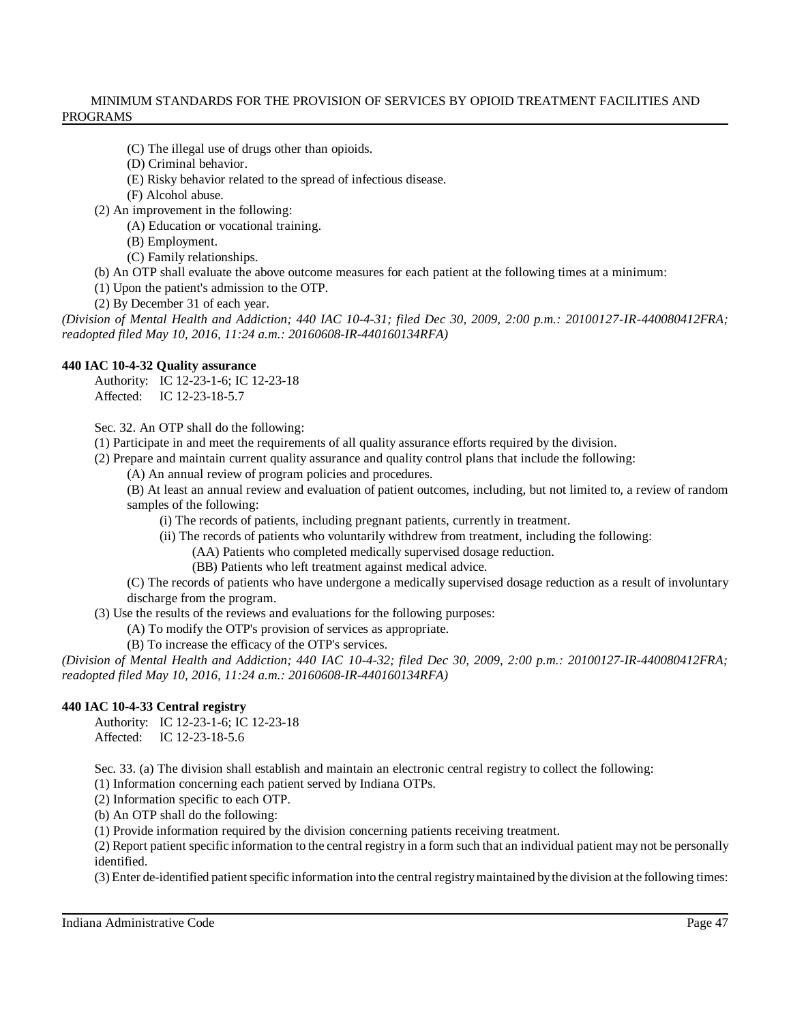- (C) The illegal use of drugs other than opioids.
- (D) Criminal behavior.
- (E) Risky behavior related to the spread of infectious disease.
- (F) Alcohol abuse.
- (2) An improvement in the following:
	- (A) Education or vocational training.
		- (B) Employment.
		- (C) Family relationships.
- (b) An OTP shall evaluate the above outcome measures for each patient at the following times at a minimum:
- (1) Upon the patient's admission to the OTP.
- (2) By December 31 of each year.

(Division of Mental Health and Addiction; 440 IAC 10-4-31; filed Dec 30, 2009, 2:00 p.m.: 20100127-IR-440080412FRA; *readopted filed May 10, 2016, 11:24 a.m.: 20160608-IR-440160134RFA)*

# **440 IAC 10-4-32 Quality assurance**

Authority: IC 12-23-1-6; IC 12-23-18 Affected: IC 12-23-18-5.7

Sec. 32. An OTP shall do the following:

- (1) Participate in and meet the requirements of all quality assurance efforts required by the division.
- (2) Prepare and maintain current quality assurance and quality control plans that include the following:
	- (A) An annual review of program policies and procedures.
	- (B) At least an annual review and evaluation of patient outcomes, including, but not limited to, a review of random samples of the following:
		- (i) The records of patients, including pregnant patients, currently in treatment.
		- (ii) The records of patients who voluntarily withdrew from treatment, including the following:
			- (AA) Patients who completed medically supervised dosage reduction.
			- (BB) Patients who left treatment against medical advice.
	- (C) The records of patients who have undergone a medically supervised dosage reduction as a result of involuntary discharge from the program.

(3) Use the results of the reviews and evaluations for the following purposes:

- (A) To modify the OTP's provision of services as appropriate.
- (B) To increase the efficacy of the OTP's services.

*(Division of Mental Health and Addiction; 440 IAC 10-4-32; filed Dec 30, 2009, 2:00 p.m.: 20100127-IR-440080412FRA; readopted filed May 10, 2016, 11:24 a.m.: 20160608-IR-440160134RFA)*

# **440 IAC 10-4-33 Central registry**

Authority: IC 12-23-1-6; IC 12-23-18 Affected: IC 12-23-18-5.6

Sec. 33. (a) The division shall establish and maintain an electronic central registry to collect the following:

(1) Information concerning each patient served by Indiana OTPs.

(2) Information specific to each OTP.

(b) An OTP shall do the following:

(1) Provide information required by the division concerning patients receiving treatment.

(2) Report patient specific information to the central registry in a form such that an individual patient may not be personally identified.

(3) Enter de-identified patientspecific information into the central registrymaintained bythe division at the following times: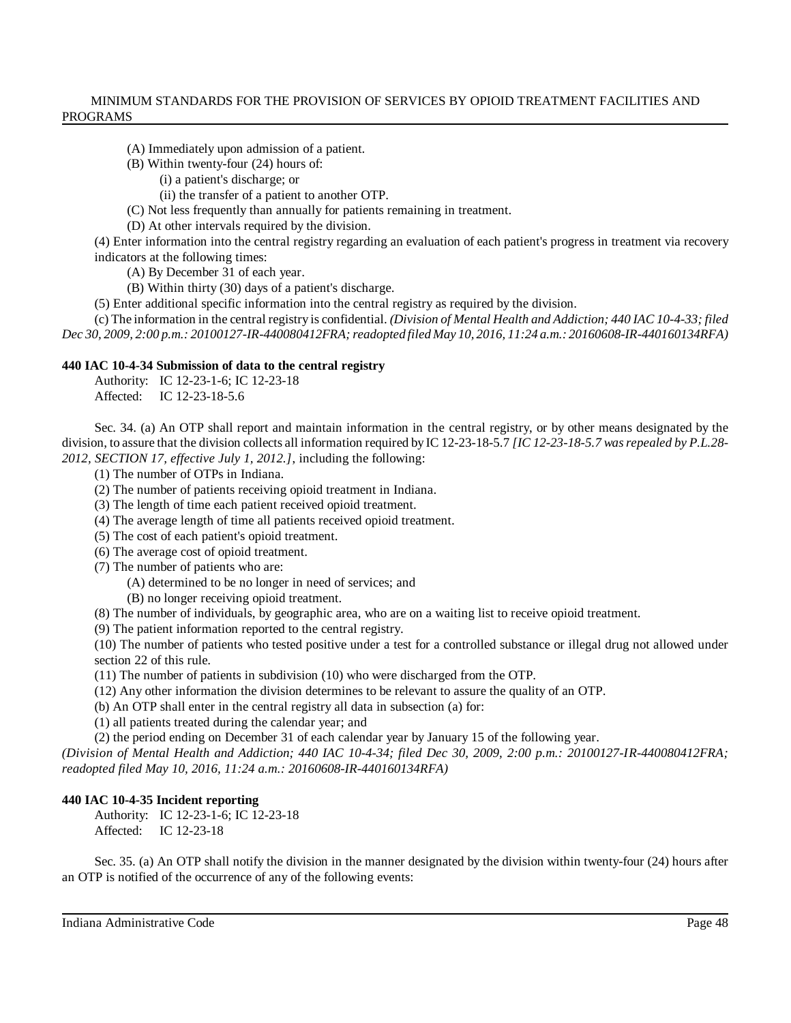- (A) Immediately upon admission of a patient.
- (B) Within twenty-four (24) hours of:
	- (i) a patient's discharge; or
	- (ii) the transfer of a patient to another OTP.
- (C) Not less frequently than annually for patients remaining in treatment.
- (D) At other intervals required by the division.

(4) Enter information into the central registry regarding an evaluation of each patient's progress in treatment via recovery indicators at the following times:

(A) By December 31 of each year.

- (B) Within thirty (30) days of a patient's discharge.
- (5) Enter additional specific information into the central registry as required by the division.

(c) The information in the central registry is confidential. *(Division of Mental Health and Addiction; 440 IAC 10-4-33; filed Dec 30, 2009, 2:00 p.m.: 20100127-IR-440080412FRA;readopted filed May 10, 2016, 11:24 a.m.: 20160608-IR-440160134RFA)*

#### **440 IAC 10-4-34 Submission of data to the central registry**

Authority: IC 12-23-1-6; IC 12-23-18 Affected: IC 12-23-18-5.6

Sec. 34. (a) An OTP shall report and maintain information in the central registry, or by other means designated by the division, to assure that the division collects all information required by IC 12-23-18-5.7 *[IC 12-23-18-5.7 wasrepealed by P.L.28- 2012, SECTION 17, effective July 1, 2012.]*, including the following:

- (1) The number of OTPs in Indiana.
- (2) The number of patients receiving opioid treatment in Indiana.
- (3) The length of time each patient received opioid treatment.
- (4) The average length of time all patients received opioid treatment.
- (5) The cost of each patient's opioid treatment.
- (6) The average cost of opioid treatment.
- (7) The number of patients who are:
	- (A) determined to be no longer in need of services; and
	- (B) no longer receiving opioid treatment.
- (8) The number of individuals, by geographic area, who are on a waiting list to receive opioid treatment.
- (9) The patient information reported to the central registry.

(10) The number of patients who tested positive under a test for a controlled substance or illegal drug not allowed under section 22 of this rule.

- (11) The number of patients in subdivision (10) who were discharged from the OTP.
- (12) Any other information the division determines to be relevant to assure the quality of an OTP.
- (b) An OTP shall enter in the central registry all data in subsection (a) for:
- (1) all patients treated during the calendar year; and

(2) the period ending on December 31 of each calendar year by January 15 of the following year.

*(Division of Mental Health and Addiction; 440 IAC 10-4-34; filed Dec 30, 2009, 2:00 p.m.: 20100127-IR-440080412FRA; readopted filed May 10, 2016, 11:24 a.m.: 20160608-IR-440160134RFA)*

#### **440 IAC 10-4-35 Incident reporting**

Authority: IC 12-23-1-6; IC 12-23-18 Affected: IC 12-23-18

Sec. 35. (a) An OTP shall notify the division in the manner designated by the division within twenty-four (24) hours after an OTP is notified of the occurrence of any of the following events: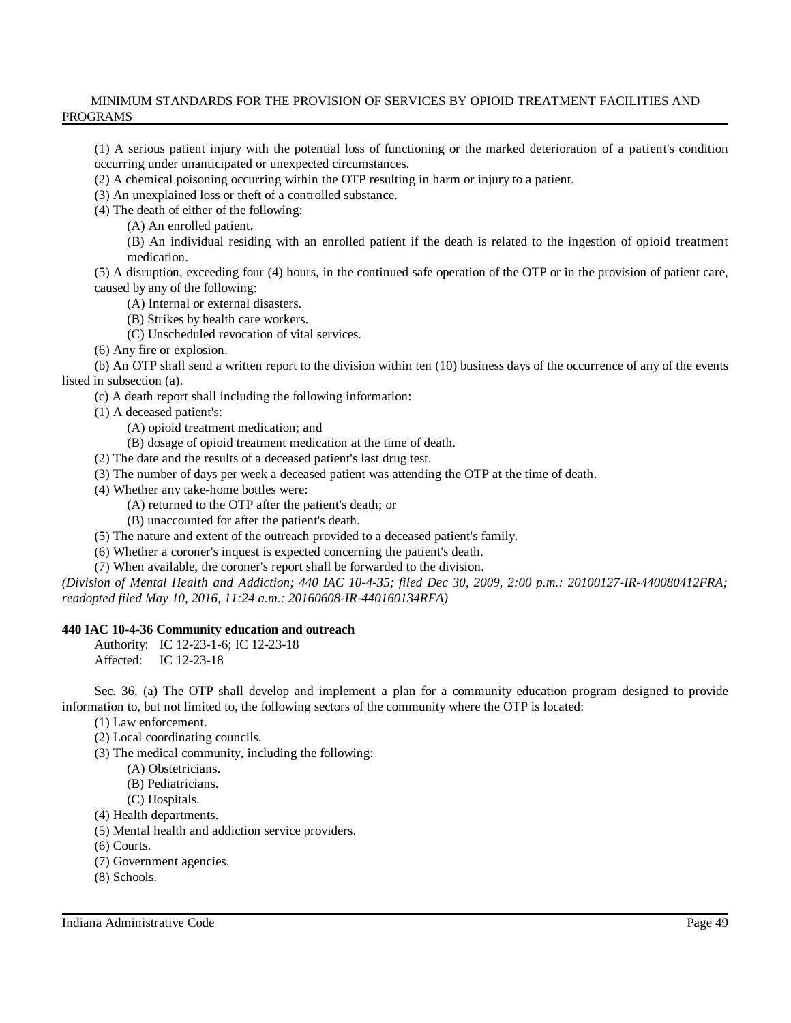(1) A serious patient injury with the potential loss of functioning or the marked deterioration of a patient's condition occurring under unanticipated or unexpected circumstances.

(2) A chemical poisoning occurring within the OTP resulting in harm or injury to a patient.

(3) An unexplained loss or theft of a controlled substance.

(4) The death of either of the following:

(A) An enrolled patient.

(B) An individual residing with an enrolled patient if the death is related to the ingestion of opioid treatment medication.

(5) A disruption, exceeding four (4) hours, in the continued safe operation of the OTP or in the provision of patient care, caused by any of the following:

(A) Internal or external disasters.

(B) Strikes by health care workers.

(C) Unscheduled revocation of vital services.

(6) Any fire or explosion.

(b) An OTP shall send a written report to the division within ten (10) business days of the occurrence of any of the events listed in subsection (a).

(c) A death report shall including the following information:

(1) A deceased patient's:

(A) opioid treatment medication; and

(B) dosage of opioid treatment medication at the time of death.

(2) The date and the results of a deceased patient's last drug test.

(3) The number of days per week a deceased patient was attending the OTP at the time of death.

(4) Whether any take-home bottles were:

(A) returned to the OTP after the patient's death; or

(B) unaccounted for after the patient's death.

(5) The nature and extent of the outreach provided to a deceased patient's family.

(6) Whether a coroner's inquest is expected concerning the patient's death.

(7) When available, the coroner's report shall be forwarded to the division.

*(Division of Mental Health and Addiction; 440 IAC 10-4-35; filed Dec 30, 2009, 2:00 p.m.: 20100127-IR-440080412FRA; readopted filed May 10, 2016, 11:24 a.m.: 20160608-IR-440160134RFA)*

# **440 IAC 10-4-36 Community education and outreach**

Authority: IC 12-23-1-6; IC 12-23-18 Affected: IC 12-23-18

Sec. 36. (a) The OTP shall develop and implement a plan for a community education program designed to provide information to, but not limited to, the following sectors of the community where the OTP is located:

(1) Law enforcement.

(2) Local coordinating councils.

(3) The medical community, including the following:

(A) Obstetricians.

(B) Pediatricians.

(C) Hospitals.

(4) Health departments.

(5) Mental health and addiction service providers.

(6) Courts.

(7) Government agencies.

(8) Schools.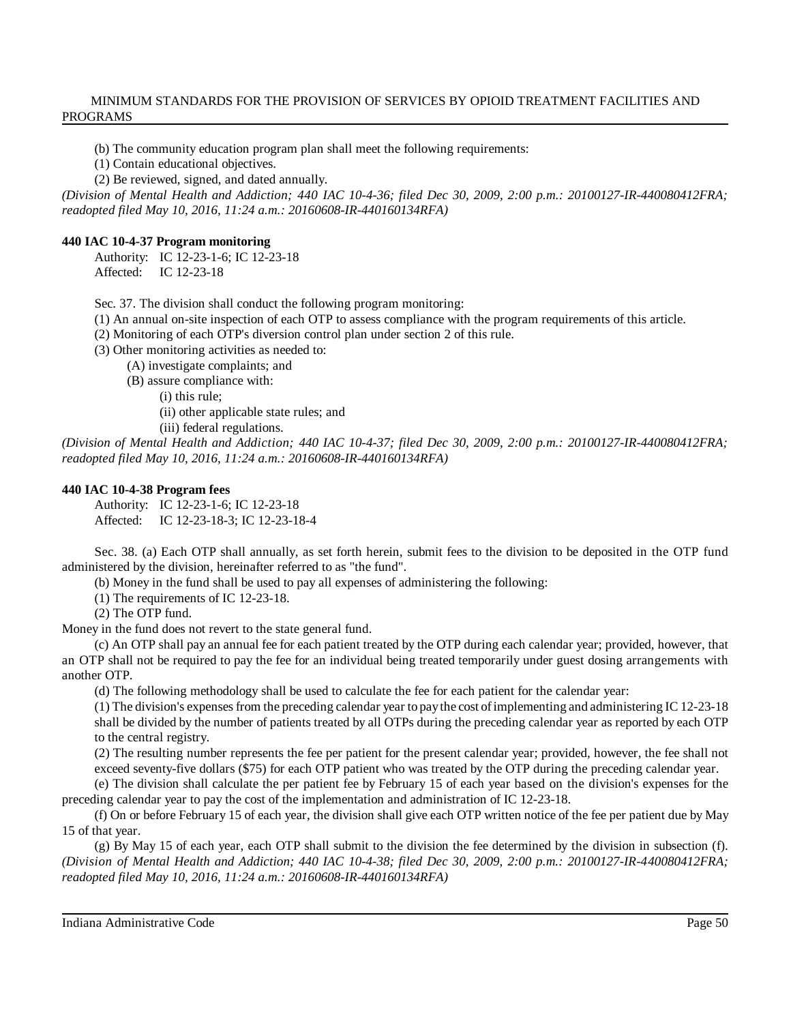(b) The community education program plan shall meet the following requirements:

(1) Contain educational objectives.

(2) Be reviewed, signed, and dated annually.

*(Division of Mental Health and Addiction; 440 IAC 10-4-36; filed Dec 30, 2009, 2:00 p.m.: 20100127-IR-440080412FRA; readopted filed May 10, 2016, 11:24 a.m.: 20160608-IR-440160134RFA)*

# **440 IAC 10-4-37 Program monitoring**

Authority: IC 12-23-1-6; IC 12-23-18 Affected: IC 12-23-18

Sec. 37. The division shall conduct the following program monitoring:

(1) An annual on-site inspection of each OTP to assess compliance with the program requirements of this article.

(2) Monitoring of each OTP's diversion control plan under section 2 of this rule.

(3) Other monitoring activities as needed to:

(A) investigate complaints; and

(B) assure compliance with:

(i) this rule;

(ii) other applicable state rules; and

(iii) federal regulations.

*(Division of Mental Health and Addiction; 440 IAC 10-4-37; filed Dec 30, 2009, 2:00 p.m.: 20100127-IR-440080412FRA; readopted filed May 10, 2016, 11:24 a.m.: 20160608-IR-440160134RFA)*

#### **440 IAC 10-4-38 Program fees**

Authority: IC 12-23-1-6; IC 12-23-18 Affected: IC 12-23-18-3; IC 12-23-18-4

Sec. 38. (a) Each OTP shall annually, as set forth herein, submit fees to the division to be deposited in the OTP fund administered by the division, hereinafter referred to as "the fund".

(b) Money in the fund shall be used to pay all expenses of administering the following:

(1) The requirements of IC 12-23-18.

(2) The OTP fund.

Money in the fund does not revert to the state general fund.

(c) An OTP shall pay an annual fee for each patient treated by the OTP during each calendar year; provided, however, that an OTP shall not be required to pay the fee for an individual being treated temporarily under guest dosing arrangements with another OTP.

(d) The following methodology shall be used to calculate the fee for each patient for the calendar year:

(1) The division's expensesfrom the preceding calendar year to paythe cost ofimplementing and administering IC 12-23-18 shall be divided by the number of patients treated by all OTPs during the preceding calendar year as reported by each OTP to the central registry.

(2) The resulting number represents the fee per patient for the present calendar year; provided, however, the fee shall not exceed seventy-five dollars (\$75) for each OTP patient who was treated by the OTP during the preceding calendar year.

(e) The division shall calculate the per patient fee by February 15 of each year based on the division's expenses for the preceding calendar year to pay the cost of the implementation and administration of IC 12-23-18.

(f) On or before February 15 of each year, the division shall give each OTP written notice of the fee per patient due by May 15 of that year.

(g) By May 15 of each year, each OTP shall submit to the division the fee determined by the division in subsection (f). *(Division of Mental Health and Addiction; 440 IAC 10-4-38; filed Dec 30, 2009, 2:00 p.m.: 20100127-IR-440080412FRA; readopted filed May 10, 2016, 11:24 a.m.: 20160608-IR-440160134RFA)*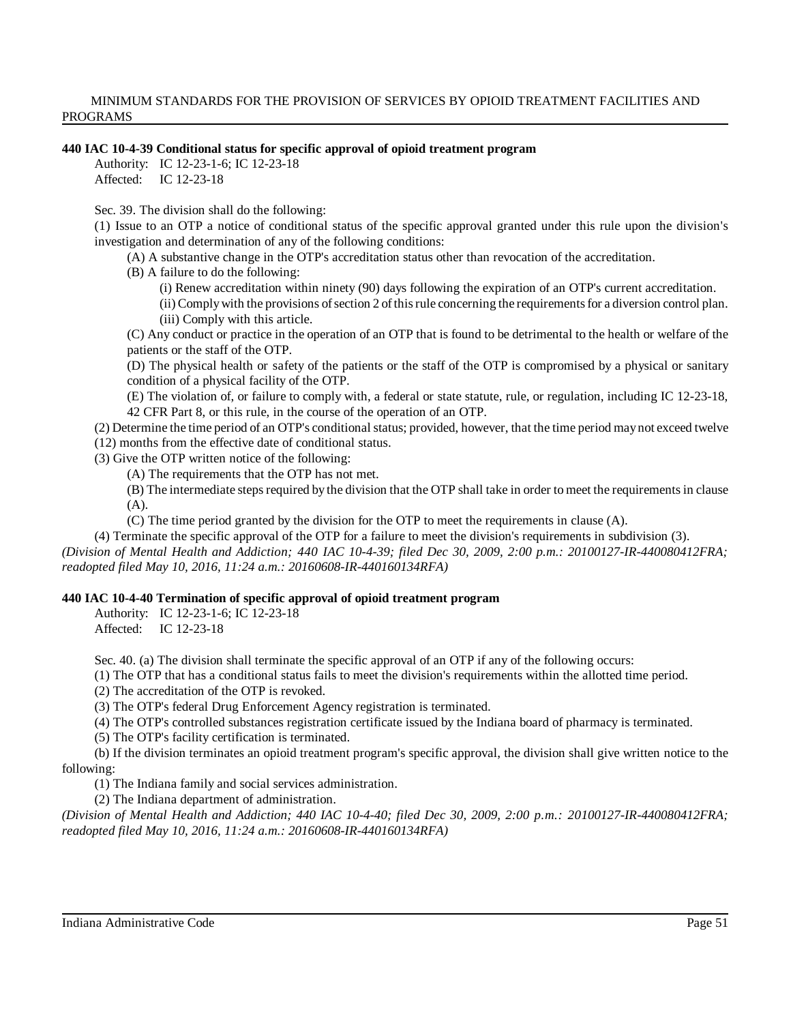#### **440 IAC 10-4-39 Conditional status for specific approval of opioid treatment program**

Authority: IC 12-23-1-6; IC 12-23-18

Affected: IC 12-23-18

Sec. 39. The division shall do the following:

(1) Issue to an OTP a notice of conditional status of the specific approval granted under this rule upon the division's investigation and determination of any of the following conditions:

(A) A substantive change in the OTP's accreditation status other than revocation of the accreditation.

(B) A failure to do the following:

(i) Renew accreditation within ninety (90) days following the expiration of an OTP's current accreditation.

(ii) Complywith the provisions ofsection 2 ofthisrule concerning the requirementsfor a diversion control plan. (iii) Comply with this article.

(C) Any conduct or practice in the operation of an OTP that is found to be detrimental to the health or welfare of the patients or the staff of the OTP.

(D) The physical health or safety of the patients or the staff of the OTP is compromised by a physical or sanitary condition of a physical facility of the OTP.

(E) The violation of, or failure to comply with, a federal or state statute, rule, or regulation, including IC 12-23-18, 42 CFR Part 8, or this rule, in the course of the operation of an OTP.

(2) Determine the time period of an OTP's conditional status; provided, however, that the time period maynot exceed twelve (12) months from the effective date of conditional status.

(3) Give the OTP written notice of the following:

(A) The requirements that the OTP has not met.

(B) The intermediate steps required by the division that the OTP shall take in order to meet the requirements in clause (A).

(C) The time period granted by the division for the OTP to meet the requirements in clause (A).

(4) Terminate the specific approval of the OTP for a failure to meet the division's requirements in subdivision (3).

*(Division of Mental Health and Addiction; 440 IAC 10-4-39; filed Dec 30, 2009, 2:00 p.m.: 20100127-IR-440080412FRA; readopted filed May 10, 2016, 11:24 a.m.: 20160608-IR-440160134RFA)*

# **440 IAC 10-4-40 Termination of specific approval of opioid treatment program**

Authority: IC 12-23-1-6; IC 12-23-18 Affected: IC 12-23-18

Sec. 40. (a) The division shall terminate the specific approval of an OTP if any of the following occurs:

(1) The OTP that has a conditional status fails to meet the division's requirements within the allotted time period.

(2) The accreditation of the OTP is revoked.

(3) The OTP's federal Drug Enforcement Agency registration is terminated.

(4) The OTP's controlled substances registration certificate issued by the Indiana board of pharmacy is terminated.

(5) The OTP's facility certification is terminated.

(b) If the division terminates an opioid treatment program's specific approval, the division shall give written notice to the following:

(1) The Indiana family and social services administration.

(2) The Indiana department of administration.

*(Division of Mental Health and Addiction; 440 IAC 10-4-40; filed Dec 30, 2009, 2:00 p.m.: 20100127-IR-440080412FRA; readopted filed May 10, 2016, 11:24 a.m.: 20160608-IR-440160134RFA)*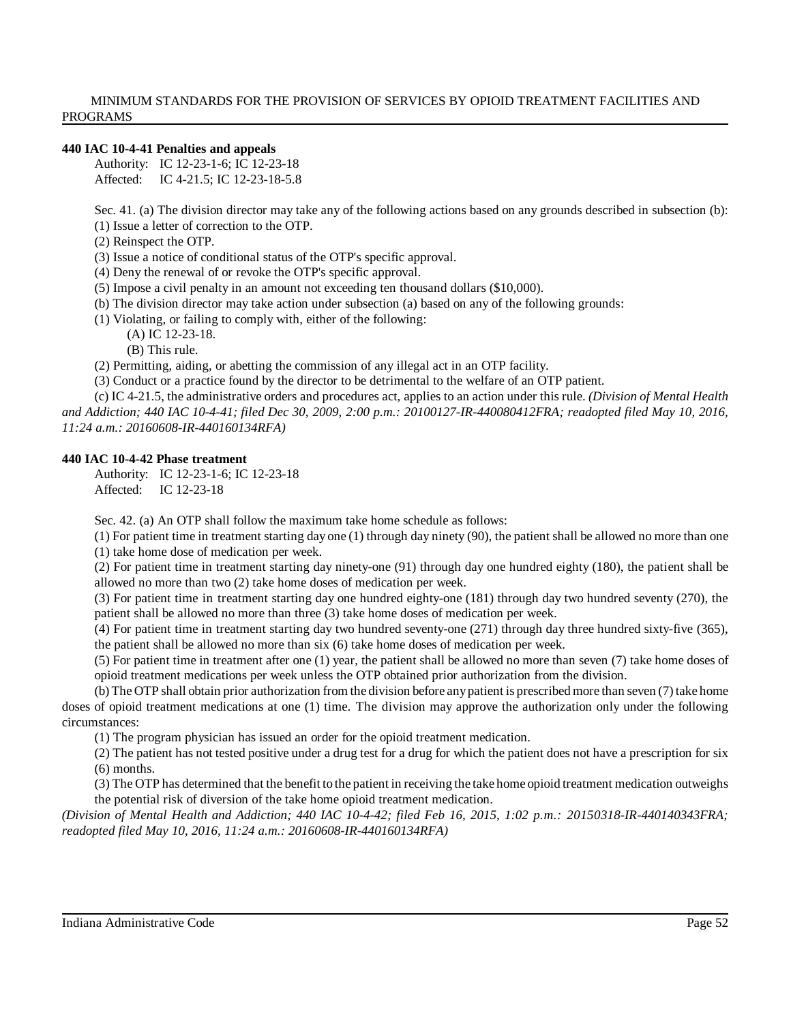#### **440 IAC 10-4-41 Penalties and appeals**

Authority: IC 12-23-1-6; IC 12-23-18 Affected: IC 4-21.5; IC 12-23-18-5.8

Sec. 41. (a) The division director may take any of the following actions based on any grounds described in subsection (b): (1) Issue a letter of correction to the OTP.

(2) Reinspect the OTP.

(3) Issue a notice of conditional status of the OTP's specific approval.

(4) Deny the renewal of or revoke the OTP's specific approval.

(5) Impose a civil penalty in an amount not exceeding ten thousand dollars (\$10,000).

(b) The division director may take action under subsection (a) based on any of the following grounds:

(1) Violating, or failing to comply with, either of the following:

(A) IC 12-23-18. (B) This rule.

(2) Permitting, aiding, or abetting the commission of any illegal act in an OTP facility.

(3) Conduct or a practice found by the director to be detrimental to the welfare of an OTP patient.

(c) IC 4-21.5, the administrative orders and procedures act, applies to an action under this rule. *(Division of Mental Health and Addiction; 440 IAC 10-4-41; filed Dec 30, 2009, 2:00 p.m.: 20100127-IR-440080412FRA; readopted filed May 10, 2016, 11:24 a.m.: 20160608-IR-440160134RFA)*

#### **440 IAC 10-4-42 Phase treatment**

Authority: IC 12-23-1-6; IC 12-23-18 Affected: IC 12-23-18

Sec. 42. (a) An OTP shall follow the maximum take home schedule as follows:

(1) For patient time in treatment starting day one (1) through day ninety (90), the patient shall be allowed no more than one (1) take home dose of medication per week.

(2) For patient time in treatment starting day ninety-one (91) through day one hundred eighty (180), the patient shall be allowed no more than two (2) take home doses of medication per week.

(3) For patient time in treatment starting day one hundred eighty-one (181) through day two hundred seventy (270), the patient shall be allowed no more than three (3) take home doses of medication per week.

(4) For patient time in treatment starting day two hundred seventy-one (271) through day three hundred sixty-five (365), the patient shall be allowed no more than six (6) take home doses of medication per week.

(5) For patient time in treatment after one (1) year, the patient shall be allowed no more than seven (7) take home doses of opioid treatment medications per week unless the OTP obtained prior authorization from the division.

(b) The OTP shall obtain prior authorization from the division before anypatient is prescribed more than seven (7) take home doses of opioid treatment medications at one (1) time. The division may approve the authorization only under the following circumstances:

(1) The program physician has issued an order for the opioid treatment medication.

(2) The patient has not tested positive under a drug test for a drug for which the patient does not have a prescription for six (6) months.

(3) The OTP has determined that the benefit to the patient in receiving the take home opioid treatment medication outweighs the potential risk of diversion of the take home opioid treatment medication.

*(Division of Mental Health and Addiction; 440 IAC 10-4-42; filed Feb 16, 2015, 1:02 p.m.: 20150318-IR-440140343FRA; readopted filed May 10, 2016, 11:24 a.m.: 20160608-IR-440160134RFA)*